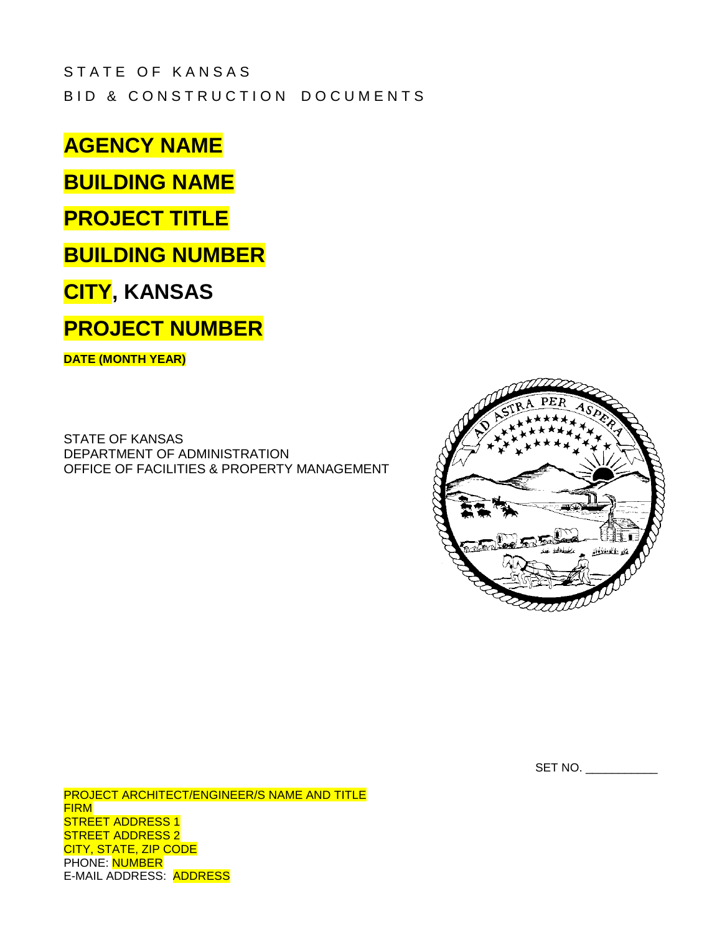# STATE OF KANSAS BID & CONSTRUCTION DOCUMENTS

**AGENCY NAME**

**BUILDING NAME**

# **PROJECT TITLE**

**BUILDING NUMBER**

# **CITY, KANSAS**

# **PROJECT NUMBER**

**DATE (MONTH YEAR)**

STATE OF KANSAS DEPARTMENT OF ADMINISTRATION OFFICE OF FACILITIES & PROPERTY MANAGEMENT



SET NO.

PROJECT ARCHITECT/ENGINEER/S NAME AND TITLE FIRM STREET ADDRESS 1 STREET ADDRESS 2 CITY, STATE, ZIP CODE PHONE: NUMBER E-MAIL ADDRESS: ADDRESS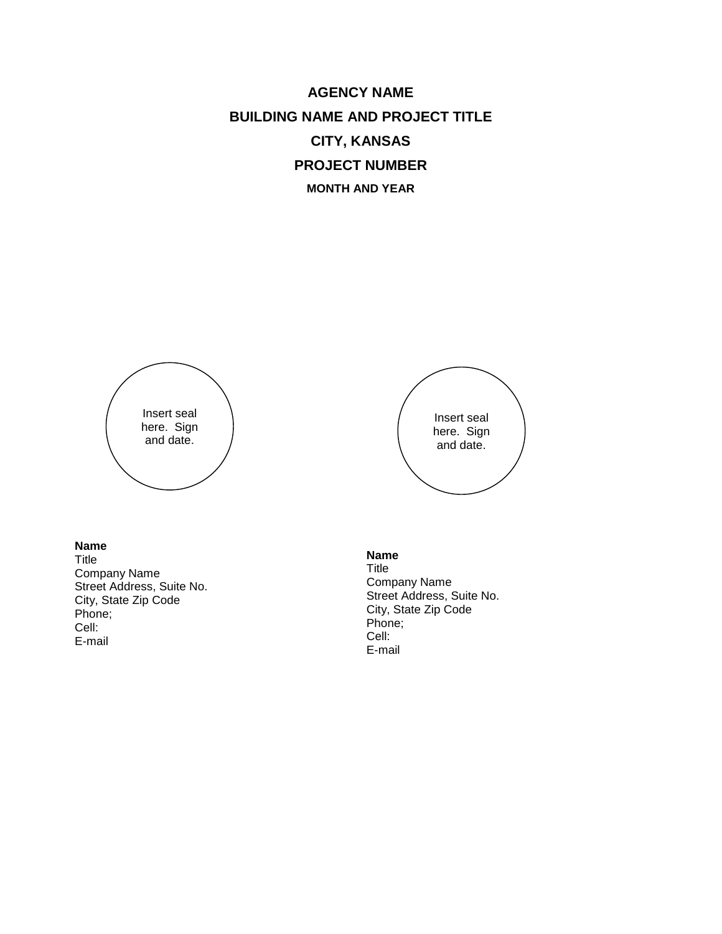**AGENCY NAME BUILDING NAME AND PROJECT TITLE CITY, KANSAS PROJECT NUMBER MONTH AND YEAR**



# **Name**

Title Company Name Street Address, Suite No. City, State Zip Code Phone; Cell: E-mail



#### **Name**

Title Company Name Street Address, Suite No. City, State Zip Code Phone; Cell: E-mail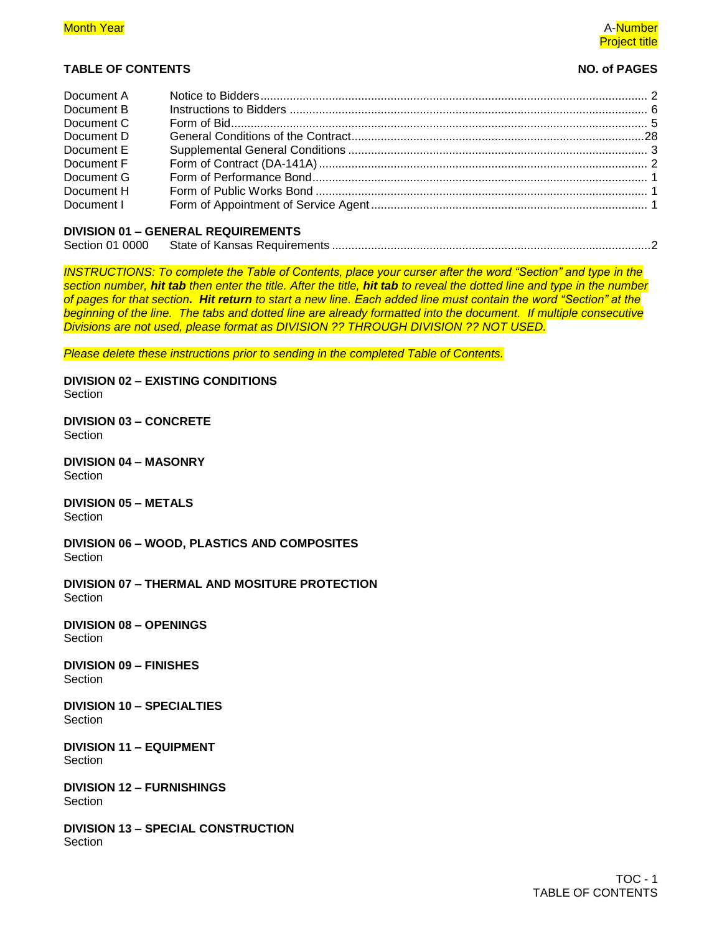# **Month Year A-Number A-Number A-Number A-Number A-Number A-Number A-Number A-Number A-Number A-Number A-Number** Project title

# **TABLE OF CONTENTS NO. of PAGES**

| Document A |  |
|------------|--|
| Document B |  |
| Document C |  |
| Document D |  |
| Document E |  |
| Document F |  |
| Document G |  |
| Document H |  |
| Document I |  |
|            |  |

# **DIVISION 01 – GENERAL REQUIREMENTS**

| Section 01 0000 |  |  |
|-----------------|--|--|
|-----------------|--|--|

*INSTRUCTIONS: To complete the Table of Contents, place your curser after the word "Section" and type in the section number, hit tab then enter the title. After the title, hit tab to reveal the dotted line and type in the number of pages for that section. Hit return to start a new line. Each added line must contain the word "Section" at the beginning of the line. The tabs and dotted line are already formatted into the document. If multiple consecutive Divisions are not used, please format as DIVISION ?? THROUGH DIVISION ?? NOT USED.*

*Please delete these instructions prior to sending in the completed Table of Contents.*

**DIVISION 02 – EXISTING CONDITIONS** Section

**DIVISION 03 – CONCRETE Section** 

**DIVISION 04 – MASONRY** Section

**DIVISION 05 – METALS** Section

**DIVISION 06 – WOOD, PLASTICS AND COMPOSITES** Section

**DIVISION 07 – THERMAL AND MOSITURE PROTECTION** Section

**DIVISION 08 – OPENINGS** Section

**DIVISION 09 – FINISHES Section** 

**DIVISION 10 – SPECIALTIES Section** 

**DIVISION 11 – EQUIPMENT** Section

**DIVISION 12 – FURNISHINGS** Section

**DIVISION 13 – SPECIAL CONSTRUCTION Section**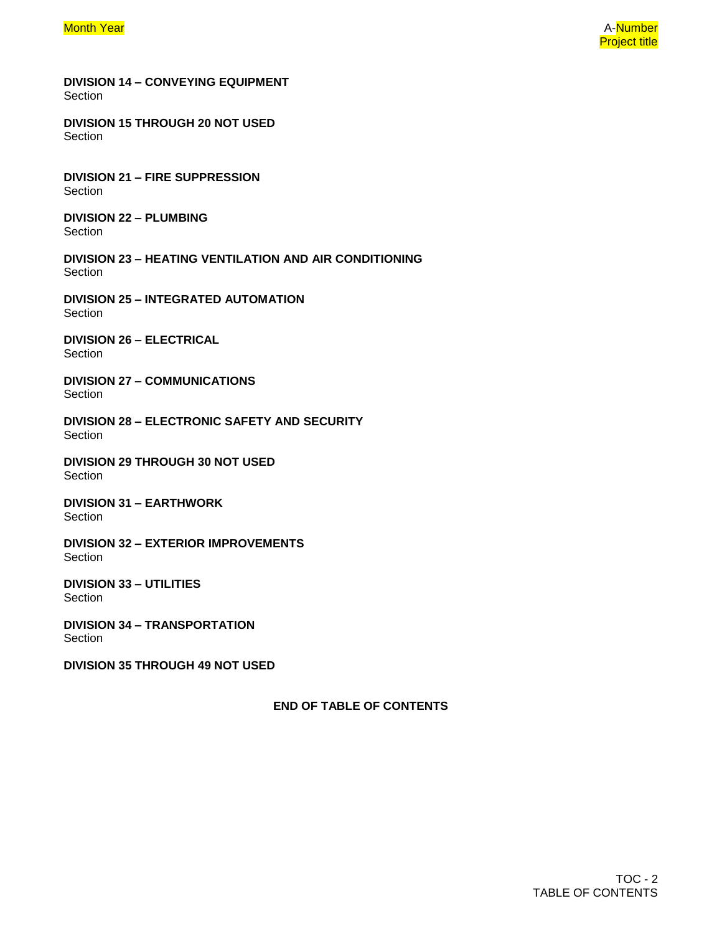**DIVISION 14 – CONVEYING EQUIPMENT Section** 

**DIVISION 15 THROUGH 20 NOT USED** Section

**DIVISION 21 – FIRE SUPPRESSION** Section

**DIVISION 22 – PLUMBING** Section

**DIVISION 23 – HEATING VENTILATION AND AIR CONDITIONING** Section

**DIVISION 25 – INTEGRATED AUTOMATION** Section

**DIVISION 26 – ELECTRICAL** Section

**DIVISION 27 – COMMUNICATIONS Section** 

**DIVISION 28 – ELECTRONIC SAFETY AND SECURITY** Section

**DIVISION 29 THROUGH 30 NOT USED** Section

**DIVISION 31 – EARTHWORK** Section

**DIVISION 32 – EXTERIOR IMPROVEMENTS Section** 

**DIVISION 33 – UTILITIES** Section

**DIVISION 34 – TRANSPORTATION Section** 

**DIVISION 35 THROUGH 49 NOT USED**

**END OF TABLE OF CONTENTS**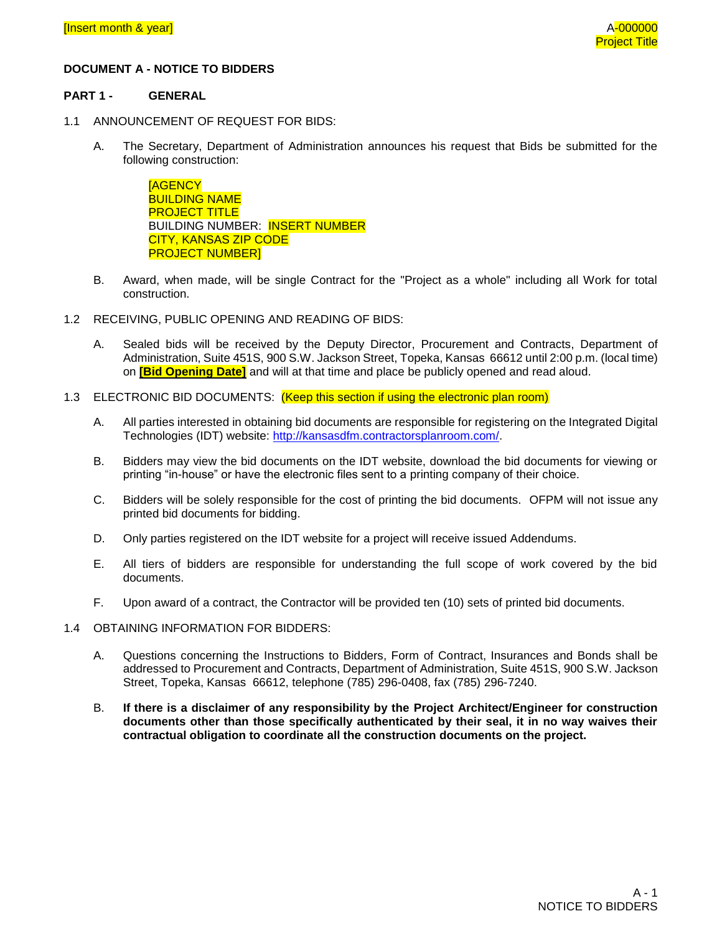# **DOCUMENT A - NOTICE TO BIDDERS**

#### **PART 1 - GENERAL**

- 1.1 ANNOUNCEMENT OF REQUEST FOR BIDS:
	- A. The Secretary, Department of Administration announces his request that Bids be submitted for the following construction:

**[AGENCY** BUILDING NAME PROJECT TITLE BUILDING NUMBER: INSERT NUMBER CITY, KANSAS ZIP CODE PROJECT NUMBER]

- B. Award, when made, will be single Contract for the "Project as a whole" including all Work for total construction.
- 1.2 RECEIVING, PUBLIC OPENING AND READING OF BIDS:
	- A. Sealed bids will be received by the Deputy Director, Procurement and Contracts, Department of Administration, Suite 451S, 900 S.W. Jackson Street, Topeka, Kansas 66612 until 2:00 p.m. (local time) on **[Bid Opening Date]** and will at that time and place be publicly opened and read aloud.
- 1.3 ELECTRONIC BID DOCUMENTS: (Keep this section if using the electronic plan room)
	- A. All parties interested in obtaining bid documents are responsible for registering on the Integrated Digital Technologies (IDT) website: [http://kansasdfm.contractorsplanroom.com/.](http://kansasdfm.contractorsplanroom.com/)
	- B. Bidders may view the bid documents on the IDT website, download the bid documents for viewing or printing "in-house" or have the electronic files sent to a printing company of their choice.
	- C. Bidders will be solely responsible for the cost of printing the bid documents. OFPM will not issue any printed bid documents for bidding.
	- D. Only parties registered on the IDT website for a project will receive issued Addendums.
	- E. All tiers of bidders are responsible for understanding the full scope of work covered by the bid documents.
	- F. Upon award of a contract, the Contractor will be provided ten (10) sets of printed bid documents.
- 1.4 OBTAINING INFORMATION FOR BIDDERS:
	- A. Questions concerning the Instructions to Bidders, Form of Contract, Insurances and Bonds shall be addressed to Procurement and Contracts, Department of Administration, Suite 451S, 900 S.W. Jackson Street, Topeka, Kansas 66612, telephone (785) 296-0408, fax (785) 296-7240.
	- B. **If there is a disclaimer of any responsibility by the Project Architect/Engineer for construction documents other than those specifically authenticated by their seal, it in no way waives their contractual obligation to coordinate all the construction documents on the project.**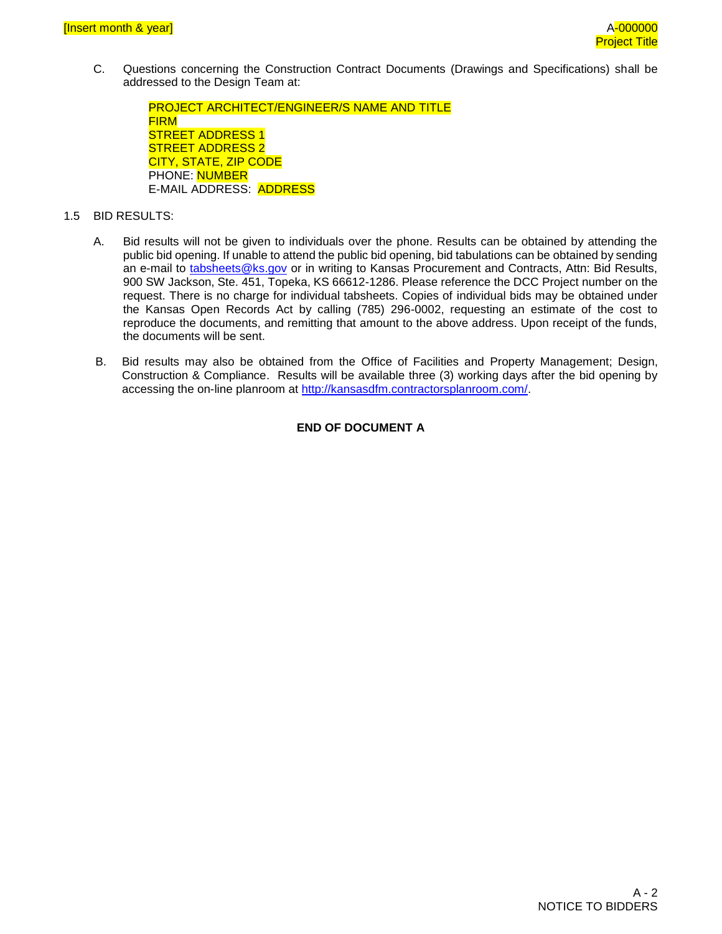C. Questions concerning the Construction Contract Documents (Drawings and Specifications) shall be addressed to the Design Team at:

PROJECT ARCHITECT/ENGINEER/S NAME AND TITLE FIRM STREET ADDRESS 1 STREET ADDRESS 2 CITY, STATE, ZIP CODE PHONE: NUMBER E-MAIL ADDRESS: ADDRESS

- 1.5 BID RESULTS:
	- A. Bid results will not be given to individuals over the phone. Results can be obtained by attending the public bid opening. If unable to attend the public bid opening, bid tabulations can be obtained by sending an e-mail to [tabsheets@ks.gov](mailto:tabsheets@ks.gov) or in writing to Kansas Procurement and Contracts, Attn: Bid Results, 900 SW Jackson, Ste. 451, Topeka, KS 66612-1286. Please reference the DCC Project number on the request. There is no charge for individual tabsheets. Copies of individual bids may be obtained under the Kansas Open Records Act by calling (785) 296-0002, requesting an estimate of the cost to reproduce the documents, and remitting that amount to the above address. Upon receipt of the funds, the documents will be sent.
	- B. Bid results may also be obtained from the Office of Facilities and Property Management; Design, Construction & Compliance. Results will be available three (3) working days after the bid opening by accessing the on-line planroom at [http://kansasdfm.contractorsplanroom.com/.](http://kansasdfm.contractorsplanroom.com/)

# **END OF DOCUMENT A**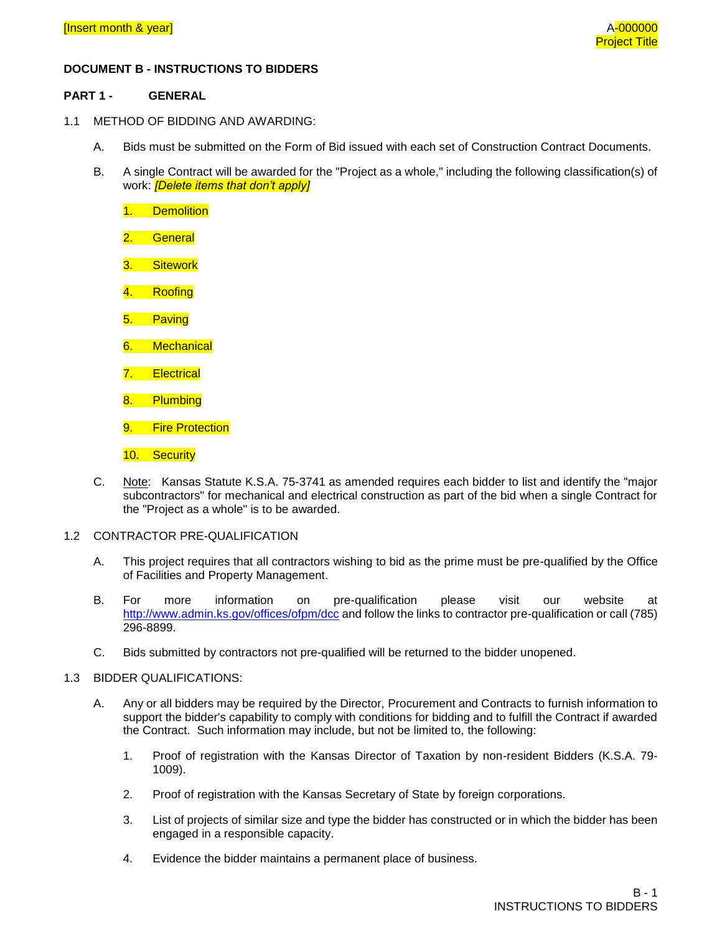## **DOCUMENT B - INSTRUCTIONS TO BIDDERS**

#### **PART 1 - GENERAL**

- 1.1 METHOD OF BIDDING AND AWARDING:
	- A. Bids must be submitted on the Form of Bid issued with each set of Construction Contract Documents.
	- B. A single Contract will be awarded for the "Project as a whole," including the following classification(s) of work: *[Delete items that don't apply]*
		- 1. Demolition 2. General 3. Sitework 4. Roofing 5. Paving 6. Mechanical 7. Electrical 8. Plumbing
		- 9. Fire Protection
		- 10. Security
	- C. Note: Kansas Statute K.S.A. 75-3741 as amended requires each bidder to list and identify the "major subcontractors" for mechanical and electrical construction as part of the bid when a single Contract for the "Project as a whole" is to be awarded.
- 1.2 CONTRACTOR PRE-QUALIFICATION
	- A. This project requires that all contractors wishing to bid as the prime must be pre-qualified by the Office of Facilities and Property Management.
	- B. For more information on pre-qualification please visit our website at [http://www.admin.ks.gov/offices/ofpm/dcc](http://www.da.ks.gov/fp/) and follow the links to contractor pre-qualification or call (785) 296-8899.
	- C. Bids submitted by contractors not pre-qualified will be returned to the bidder unopened.

#### 1.3 BIDDER QUALIFICATIONS:

- A. Any or all bidders may be required by the Director, Procurement and Contracts to furnish information to support the bidder's capability to comply with conditions for bidding and to fulfill the Contract if awarded the Contract. Such information may include, but not be limited to, the following:
	- 1. Proof of registration with the Kansas Director of Taxation by non-resident Bidders (K.S.A. 79- 1009).
	- 2. Proof of registration with the Kansas Secretary of State by foreign corporations.
	- 3. List of projects of similar size and type the bidder has constructed or in which the bidder has been engaged in a responsible capacity.
	- 4. Evidence the bidder maintains a permanent place of business.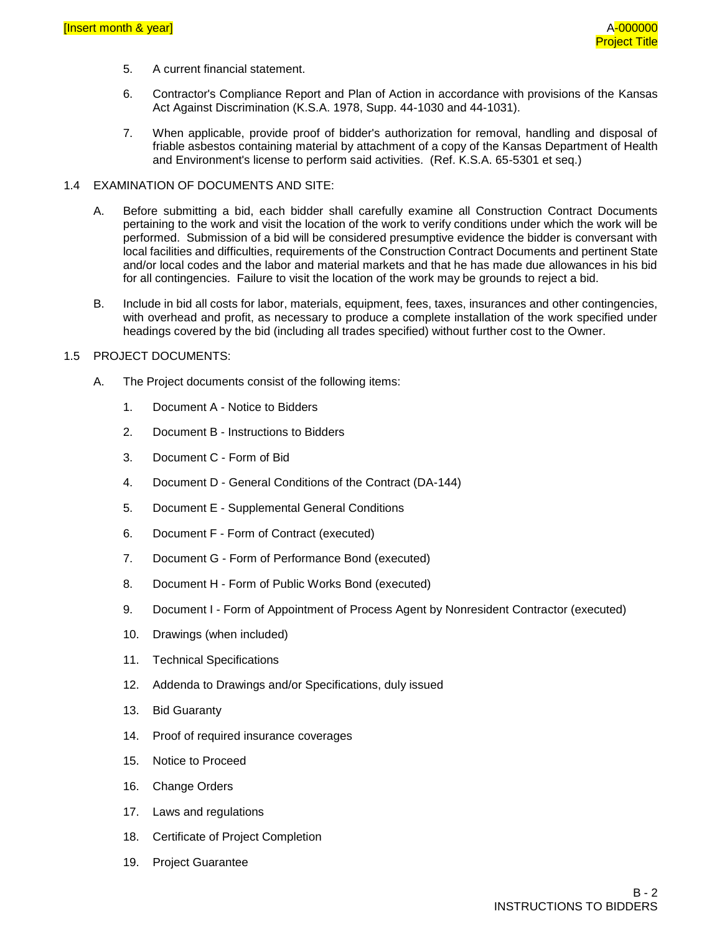- 5. A current financial statement.
- 6. Contractor's Compliance Report and Plan of Action in accordance with provisions of the Kansas Act Against Discrimination (K.S.A. 1978, Supp. 44-1030 and 44-1031).
- 7. When applicable, provide proof of bidder's authorization for removal, handling and disposal of friable asbestos containing material by attachment of a copy of the Kansas Department of Health and Environment's license to perform said activities. (Ref. K.S.A. 65-5301 et seq.)

#### 1.4 EXAMINATION OF DOCUMENTS AND SITE:

- A. Before submitting a bid, each bidder shall carefully examine all Construction Contract Documents pertaining to the work and visit the location of the work to verify conditions under which the work will be performed. Submission of a bid will be considered presumptive evidence the bidder is conversant with local facilities and difficulties, requirements of the Construction Contract Documents and pertinent State and/or local codes and the labor and material markets and that he has made due allowances in his bid for all contingencies. Failure to visit the location of the work may be grounds to reject a bid.
- B. Include in bid all costs for labor, materials, equipment, fees, taxes, insurances and other contingencies, with overhead and profit, as necessary to produce a complete installation of the work specified under headings covered by the bid (including all trades specified) without further cost to the Owner.

#### 1.5 PROJECT DOCUMENTS:

- A. The Project documents consist of the following items:
	- 1. Document A Notice to Bidders
	- 2. Document B Instructions to Bidders
	- 3. Document C Form of Bid
	- 4. Document D General Conditions of the Contract (DA-144)
	- 5. Document E Supplemental General Conditions
	- 6. Document F Form of Contract (executed)
	- 7. Document G Form of Performance Bond (executed)
	- 8. Document H Form of Public Works Bond (executed)
	- 9. Document I Form of Appointment of Process Agent by Nonresident Contractor (executed)
	- 10. Drawings (when included)
	- 11. Technical Specifications
	- 12. Addenda to Drawings and/or Specifications, duly issued
	- 13. Bid Guaranty
	- 14. Proof of required insurance coverages
	- 15. Notice to Proceed
	- 16. Change Orders
	- 17. Laws and regulations
	- 18. Certificate of Project Completion
	- 19. Project Guarantee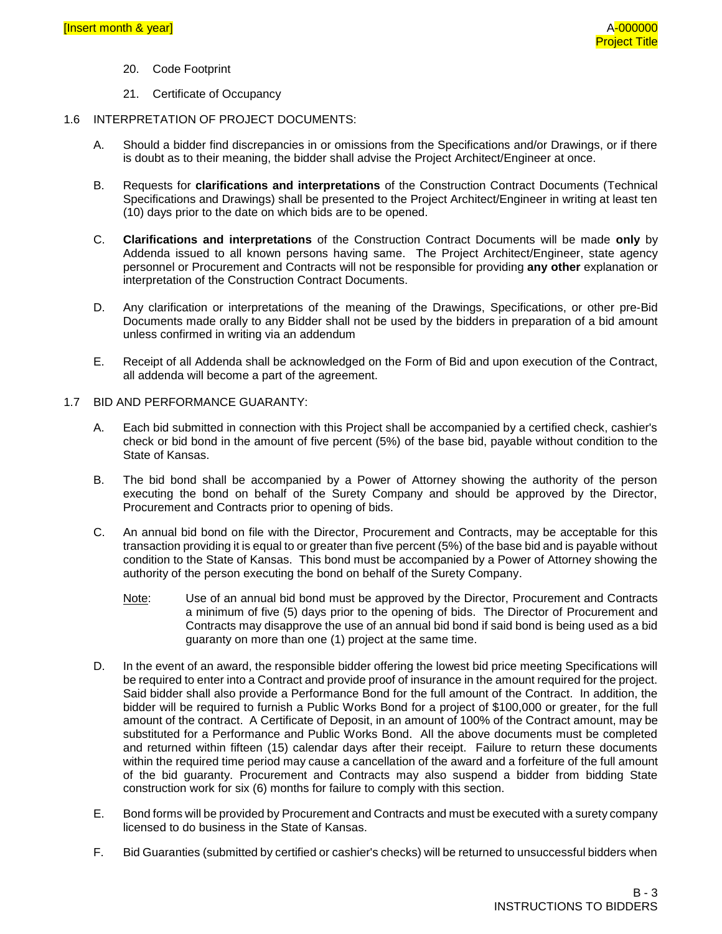- 20. Code Footprint
- 21. Certificate of Occupancy
- 1.6 INTERPRETATION OF PROJECT DOCUMENTS:
	- A. Should a bidder find discrepancies in or omissions from the Specifications and/or Drawings, or if there is doubt as to their meaning, the bidder shall advise the Project Architect/Engineer at once.
	- B. Requests for **clarifications and interpretations** of the Construction Contract Documents (Technical Specifications and Drawings) shall be presented to the Project Architect/Engineer in writing at least ten (10) days prior to the date on which bids are to be opened.
	- C. **Clarifications and interpretations** of the Construction Contract Documents will be made **only** by Addenda issued to all known persons having same. The Project Architect/Engineer, state agency personnel or Procurement and Contracts will not be responsible for providing **any other** explanation or interpretation of the Construction Contract Documents.
	- D. Any clarification or interpretations of the meaning of the Drawings, Specifications, or other pre-Bid Documents made orally to any Bidder shall not be used by the bidders in preparation of a bid amount unless confirmed in writing via an addendum
	- E. Receipt of all Addenda shall be acknowledged on the Form of Bid and upon execution of the Contract, all addenda will become a part of the agreement.
- 1.7 BID AND PERFORMANCE GUARANTY:
	- A. Each bid submitted in connection with this Project shall be accompanied by a certified check, cashier's check or bid bond in the amount of five percent (5%) of the base bid, payable without condition to the State of Kansas.
	- B. The bid bond shall be accompanied by a Power of Attorney showing the authority of the person executing the bond on behalf of the Surety Company and should be approved by the Director, Procurement and Contracts prior to opening of bids.
	- C. An annual bid bond on file with the Director, Procurement and Contracts, may be acceptable for this transaction providing it is equal to or greater than five percent (5%) of the base bid and is payable without condition to the State of Kansas. This bond must be accompanied by a Power of Attorney showing the authority of the person executing the bond on behalf of the Surety Company.
		- Note: Use of an annual bid bond must be approved by the Director, Procurement and Contracts a minimum of five (5) days prior to the opening of bids. The Director of Procurement and Contracts may disapprove the use of an annual bid bond if said bond is being used as a bid guaranty on more than one (1) project at the same time.
	- D. In the event of an award, the responsible bidder offering the lowest bid price meeting Specifications will be required to enter into a Contract and provide proof of insurance in the amount required for the project. Said bidder shall also provide a Performance Bond for the full amount of the Contract. In addition, the bidder will be required to furnish a Public Works Bond for a project of \$100,000 or greater, for the full amount of the contract. A Certificate of Deposit, in an amount of 100% of the Contract amount, may be substituted for a Performance and Public Works Bond. All the above documents must be completed and returned within fifteen (15) calendar days after their receipt. Failure to return these documents within the required time period may cause a cancellation of the award and a forfeiture of the full amount of the bid guaranty. Procurement and Contracts may also suspend a bidder from bidding State construction work for six (6) months for failure to comply with this section.
	- E. Bond forms will be provided by Procurement and Contracts and must be executed with a surety company licensed to do business in the State of Kansas.
	- F. Bid Guaranties (submitted by certified or cashier's checks) will be returned to unsuccessful bidders when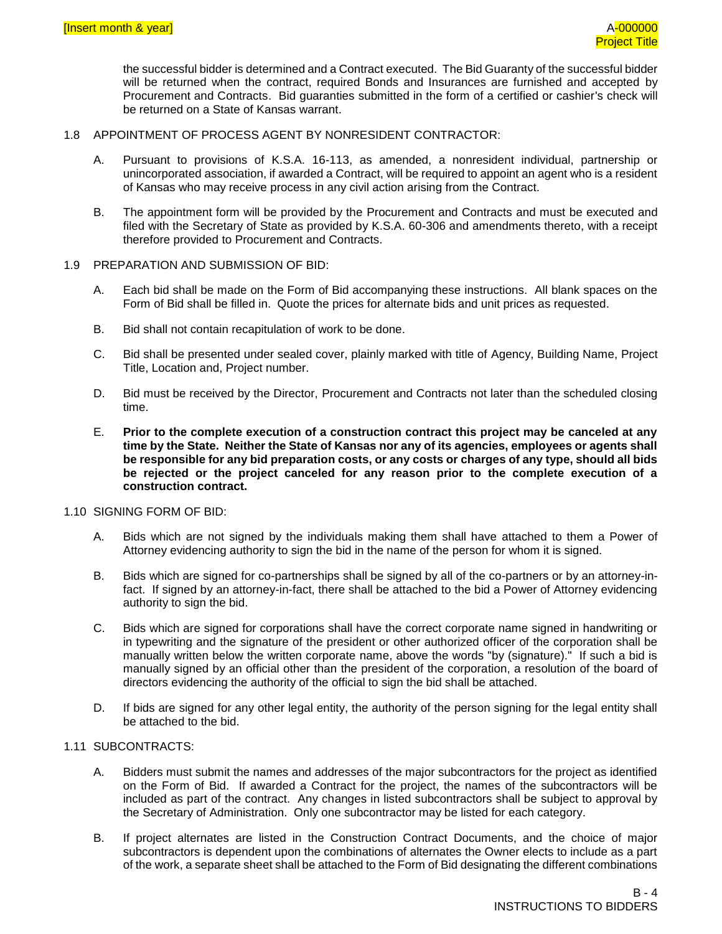the successful bidder is determined and a Contract executed. The Bid Guaranty of the successful bidder will be returned when the contract, required Bonds and Insurances are furnished and accepted by Procurement and Contracts. Bid guaranties submitted in the form of a certified or cashier's check will be returned on a State of Kansas warrant.

- 1.8 APPOINTMENT OF PROCESS AGENT BY NONRESIDENT CONTRACTOR:
	- A. Pursuant to provisions of K.S.A. 16-113, as amended, a nonresident individual, partnership or unincorporated association, if awarded a Contract, will be required to appoint an agent who is a resident of Kansas who may receive process in any civil action arising from the Contract.
	- B. The appointment form will be provided by the Procurement and Contracts and must be executed and filed with the Secretary of State as provided by K.S.A. 60-306 and amendments thereto, with a receipt therefore provided to Procurement and Contracts.
- 1.9 PREPARATION AND SUBMISSION OF BID:
	- A. Each bid shall be made on the Form of Bid accompanying these instructions. All blank spaces on the Form of Bid shall be filled in. Quote the prices for alternate bids and unit prices as requested.
	- B. Bid shall not contain recapitulation of work to be done.
	- C. Bid shall be presented under sealed cover, plainly marked with title of Agency, Building Name, Project Title, Location and, Project number.
	- D. Bid must be received by the Director, Procurement and Contracts not later than the scheduled closing time.
	- E. **Prior to the complete execution of a construction contract this project may be canceled at any time by the State. Neither the State of Kansas nor any of its agencies, employees or agents shall be responsible for any bid preparation costs, or any costs or charges of any type, should all bids be rejected or the project canceled for any reason prior to the complete execution of a construction contract.**
- 1.10 SIGNING FORM OF BID:
	- A. Bids which are not signed by the individuals making them shall have attached to them a Power of Attorney evidencing authority to sign the bid in the name of the person for whom it is signed.
	- B. Bids which are signed for co-partnerships shall be signed by all of the co-partners or by an attorney-infact. If signed by an attorney-in-fact, there shall be attached to the bid a Power of Attorney evidencing authority to sign the bid.
	- C. Bids which are signed for corporations shall have the correct corporate name signed in handwriting or in typewriting and the signature of the president or other authorized officer of the corporation shall be manually written below the written corporate name, above the words "by (signature)." If such a bid is manually signed by an official other than the president of the corporation, a resolution of the board of directors evidencing the authority of the official to sign the bid shall be attached.
	- D. If bids are signed for any other legal entity, the authority of the person signing for the legal entity shall be attached to the bid.

# 1.11 SUBCONTRACTS:

- A. Bidders must submit the names and addresses of the major subcontractors for the project as identified on the Form of Bid. If awarded a Contract for the project, the names of the subcontractors will be included as part of the contract. Any changes in listed subcontractors shall be subject to approval by the Secretary of Administration. Only one subcontractor may be listed for each category.
- B. If project alternates are listed in the Construction Contract Documents, and the choice of major subcontractors is dependent upon the combinations of alternates the Owner elects to include as a part of the work, a separate sheet shall be attached to the Form of Bid designating the different combinations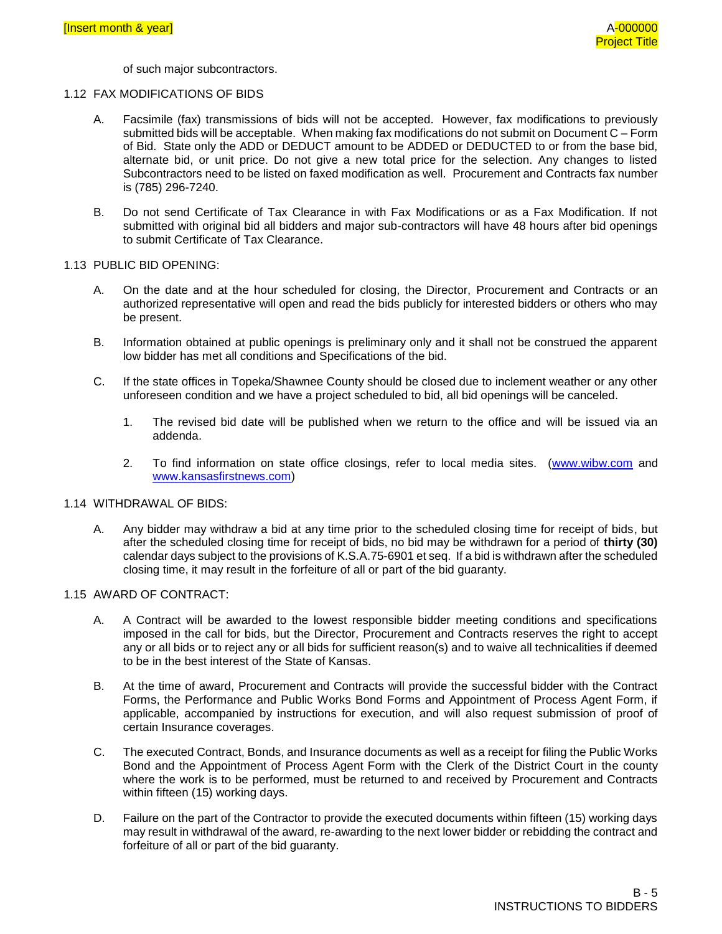of such major subcontractors.

#### 1.12 FAX MODIFICATIONS OF BIDS

- A. Facsimile (fax) transmissions of bids will not be accepted. However, fax modifications to previously submitted bids will be acceptable. When making fax modifications do not submit on Document C – Form of Bid. State only the ADD or DEDUCT amount to be ADDED or DEDUCTED to or from the base bid, alternate bid, or unit price. Do not give a new total price for the selection. Any changes to listed Subcontractors need to be listed on faxed modification as well. Procurement and Contracts fax number is (785) 296-7240.
- B. Do not send Certificate of Tax Clearance in with Fax Modifications or as a Fax Modification. If not submitted with original bid all bidders and major sub-contractors will have 48 hours after bid openings to submit Certificate of Tax Clearance.

#### 1.13 PUBLIC BID OPENING:

- A. On the date and at the hour scheduled for closing, the Director, Procurement and Contracts or an authorized representative will open and read the bids publicly for interested bidders or others who may be present.
- B. Information obtained at public openings is preliminary only and it shall not be construed the apparent low bidder has met all conditions and Specifications of the bid.
- C. If the state offices in Topeka/Shawnee County should be closed due to inclement weather or any other unforeseen condition and we have a project scheduled to bid, all bid openings will be canceled.
	- 1. The revised bid date will be published when we return to the office and will be issued via an addenda.
	- 2. To find information on state office closings, refer to local media sites. [\(www.wibw.com](http://www.wibw.com/) and [www.kansasfirstnews.com\)](http://www.kansasfirstnews.com/)

#### 1.14 WITHDRAWAL OF BIDS:

A. Any bidder may withdraw a bid at any time prior to the scheduled closing time for receipt of bids, but after the scheduled closing time for receipt of bids, no bid may be withdrawn for a period of **thirty (30)** calendar days subject to the provisions of K.S.A.75-6901 et seq. If a bid is withdrawn after the scheduled closing time, it may result in the forfeiture of all or part of the bid guaranty.

#### 1.15 AWARD OF CONTRACT:

- A. A Contract will be awarded to the lowest responsible bidder meeting conditions and specifications imposed in the call for bids, but the Director, Procurement and Contracts reserves the right to accept any or all bids or to reject any or all bids for sufficient reason(s) and to waive all technicalities if deemed to be in the best interest of the State of Kansas.
- B. At the time of award, Procurement and Contracts will provide the successful bidder with the Contract Forms, the Performance and Public Works Bond Forms and Appointment of Process Agent Form, if applicable, accompanied by instructions for execution, and will also request submission of proof of certain Insurance coverages.
- C. The executed Contract, Bonds, and Insurance documents as well as a receipt for filing the Public Works Bond and the Appointment of Process Agent Form with the Clerk of the District Court in the county where the work is to be performed, must be returned to and received by Procurement and Contracts within fifteen (15) working days.
- D. Failure on the part of the Contractor to provide the executed documents within fifteen (15) working days may result in withdrawal of the award, re-awarding to the next lower bidder or rebidding the contract and forfeiture of all or part of the bid guaranty.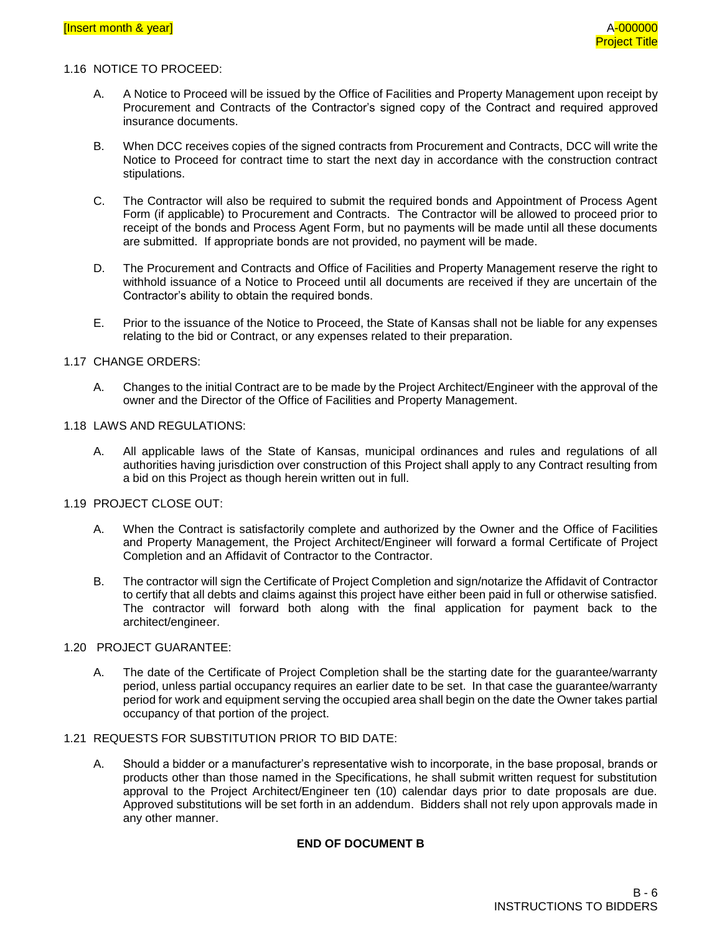#### 1.16 NOTICE TO PROCEED:

- A. A Notice to Proceed will be issued by the Office of Facilities and Property Management upon receipt by Procurement and Contracts of the Contractor's signed copy of the Contract and required approved insurance documents.
- B. When DCC receives copies of the signed contracts from Procurement and Contracts, DCC will write the Notice to Proceed for contract time to start the next day in accordance with the construction contract stipulations.
- C. The Contractor will also be required to submit the required bonds and Appointment of Process Agent Form (if applicable) to Procurement and Contracts. The Contractor will be allowed to proceed prior to receipt of the bonds and Process Agent Form, but no payments will be made until all these documents are submitted. If appropriate bonds are not provided, no payment will be made.
- D. The Procurement and Contracts and Office of Facilities and Property Management reserve the right to withhold issuance of a Notice to Proceed until all documents are received if they are uncertain of the Contractor's ability to obtain the required bonds.
- E. Prior to the issuance of the Notice to Proceed, the State of Kansas shall not be liable for any expenses relating to the bid or Contract, or any expenses related to their preparation.

#### 1.17 CHANGE ORDERS:

A. Changes to the initial Contract are to be made by the Project Architect/Engineer with the approval of the owner and the Director of the Office of Facilities and Property Management.

#### 1.18 LAWS AND REGULATIONS:

A. All applicable laws of the State of Kansas, municipal ordinances and rules and regulations of all authorities having jurisdiction over construction of this Project shall apply to any Contract resulting from a bid on this Project as though herein written out in full.

#### 1.19 PROJECT CLOSE OUT:

- A. When the Contract is satisfactorily complete and authorized by the Owner and the Office of Facilities and Property Management, the Project Architect/Engineer will forward a formal Certificate of Project Completion and an Affidavit of Contractor to the Contractor.
- B. The contractor will sign the Certificate of Project Completion and sign/notarize the Affidavit of Contractor to certify that all debts and claims against this project have either been paid in full or otherwise satisfied. The contractor will forward both along with the final application for payment back to the architect/engineer.

#### 1.20 PROJECT GUARANTEE:

A. The date of the Certificate of Project Completion shall be the starting date for the guarantee/warranty period, unless partial occupancy requires an earlier date to be set. In that case the guarantee/warranty period for work and equipment serving the occupied area shall begin on the date the Owner takes partial occupancy of that portion of the project.

### 1.21 REQUESTS FOR SUBSTITUTION PRIOR TO BID DATE:

A. Should a bidder or a manufacturer's representative wish to incorporate, in the base proposal, brands or products other than those named in the Specifications, he shall submit written request for substitution approval to the Project Architect/Engineer ten (10) calendar days prior to date proposals are due. Approved substitutions will be set forth in an addendum. Bidders shall not rely upon approvals made in any other manner.

# **END OF DOCUMENT B**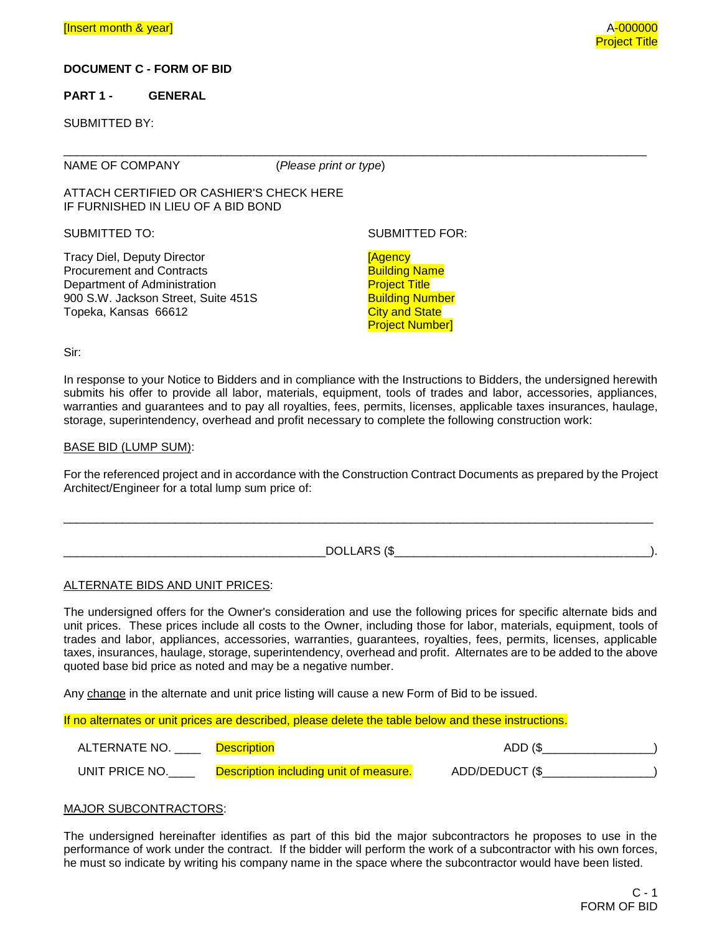#### **DOCUMENT C - FORM OF BID**

#### **PART 1 - GENERAL**

SUBMITTED BY:

NAME OF COMPANY (*Please print or type*)

\_\_\_\_\_\_\_\_\_\_\_\_\_\_\_\_\_\_\_\_\_\_\_\_\_\_\_\_\_\_\_\_\_\_\_\_\_\_\_\_\_\_\_\_\_\_\_\_\_\_\_\_\_\_\_\_\_\_\_\_\_\_\_\_\_\_\_\_\_\_\_\_\_\_\_\_\_\_\_\_\_\_\_\_\_\_\_\_\_

ATTACH CERTIFIED OR CASHIER'S CHECK HERE IF FURNISHED IN LIEU OF A BID BOND

SUBMITTED TO: SUBMITTED FOR:

Tracy Diel, Deputy Director Procurement and Contracts Department of Administration 900 S.W. Jackson Street, Suite 451S Topeka, Kansas 66612

[Agency Building Name **Project Title** Building Number **City and State** Project Number]

Sir:

In response to your Notice to Bidders and in compliance with the Instructions to Bidders, the undersigned herewith submits his offer to provide all labor, materials, equipment, tools of trades and labor, accessories, appliances, warranties and guarantees and to pay all royalties, fees, permits, licenses, applicable taxes insurances, haulage, storage, superintendency, overhead and profit necessary to complete the following construction work:

#### BASE BID (LUMP SUM):

For the referenced project and in accordance with the Construction Contract Documents as prepared by the Project Architect/Engineer for a total lump sum price of:

| _______ |
|---------|
|         |
| ____    |

\_\_\_\_\_\_\_\_\_\_\_\_\_\_\_\_\_\_\_\_\_\_\_\_\_\_\_\_\_\_\_\_\_\_\_\_\_\_\_\_\_\_\_\_\_\_\_\_\_\_\_\_\_\_\_\_\_\_\_\_\_\_\_\_\_\_\_\_\_\_\_\_\_\_\_\_\_\_\_\_\_\_\_\_\_\_\_\_\_\_

#### ALTERNATE BIDS AND UNIT PRICES:

The undersigned offers for the Owner's consideration and use the following prices for specific alternate bids and unit prices. These prices include all costs to the Owner, including those for labor, materials, equipment, tools of trades and labor, appliances, accessories, warranties, guarantees, royalties, fees, permits, licenses, applicable taxes, insurances, haulage, storage, superintendency, overhead and profit. Alternates are to be added to the above quoted base bid price as noted and may be a negative number.

Any change in the alternate and unit price listing will cause a new Form of Bid to be issued.

If no alternates or unit prices are described, please delete the table below and these instructions.

| ALTERNATE NO.  | Description                            | ADD (\$        |
|----------------|----------------------------------------|----------------|
| UNIT PRICE NO. | Description including unit of measure. | ADD/DEDUCT (\$ |

#### MAJOR SUBCONTRACTORS:

The undersigned hereinafter identifies as part of this bid the major subcontractors he proposes to use in the performance of work under the contract. If the bidder will perform the work of a subcontractor with his own forces, he must so indicate by writing his company name in the space where the subcontractor would have been listed.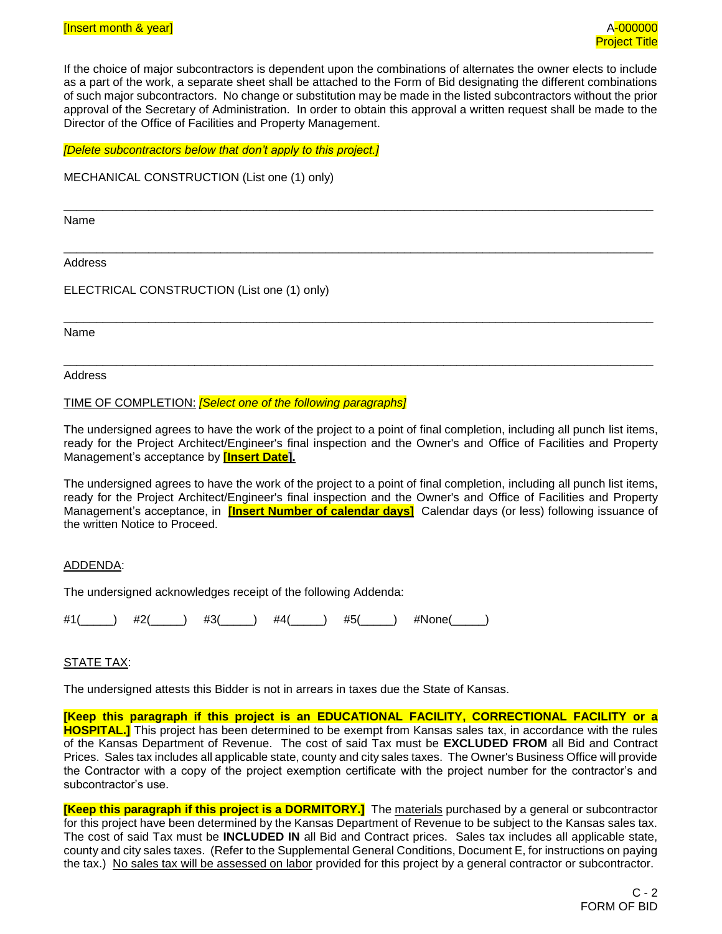If the choice of major subcontractors is dependent upon the combinations of alternates the owner elects to include as a part of the work, a separate sheet shall be attached to the Form of Bid designating the different combinations of such major subcontractors. No change or substitution may be made in the listed subcontractors without the prior approval of the Secretary of Administration. In order to obtain this approval a written request shall be made to the Director of the Office of Facilities and Property Management.

\_\_\_\_\_\_\_\_\_\_\_\_\_\_\_\_\_\_\_\_\_\_\_\_\_\_\_\_\_\_\_\_\_\_\_\_\_\_\_\_\_\_\_\_\_\_\_\_\_\_\_\_\_\_\_\_\_\_\_\_\_\_\_\_\_\_\_\_\_\_\_\_\_\_\_\_\_\_\_\_\_\_\_\_\_\_\_\_\_\_

\_\_\_\_\_\_\_\_\_\_\_\_\_\_\_\_\_\_\_\_\_\_\_\_\_\_\_\_\_\_\_\_\_\_\_\_\_\_\_\_\_\_\_\_\_\_\_\_\_\_\_\_\_\_\_\_\_\_\_\_\_\_\_\_\_\_\_\_\_\_\_\_\_\_\_\_\_\_\_\_\_\_\_\_\_\_\_\_\_\_

\_\_\_\_\_\_\_\_\_\_\_\_\_\_\_\_\_\_\_\_\_\_\_\_\_\_\_\_\_\_\_\_\_\_\_\_\_\_\_\_\_\_\_\_\_\_\_\_\_\_\_\_\_\_\_\_\_\_\_\_\_\_\_\_\_\_\_\_\_\_\_\_\_\_\_\_\_\_\_\_\_\_\_\_\_\_\_\_\_\_

\_\_\_\_\_\_\_\_\_\_\_\_\_\_\_\_\_\_\_\_\_\_\_\_\_\_\_\_\_\_\_\_\_\_\_\_\_\_\_\_\_\_\_\_\_\_\_\_\_\_\_\_\_\_\_\_\_\_\_\_\_\_\_\_\_\_\_\_\_\_\_\_\_\_\_\_\_\_\_\_\_\_\_\_\_\_\_\_\_\_

*[Delete subcontractors below that don't apply to this project.]*

MECHANICAL CONSTRUCTION (List one (1) only)

Name

Address

ELECTRICAL CONSTRUCTION (List one (1) only)

Name

Address

TIME OF COMPLETION: *[Select one of the following paragraphs]*

The undersigned agrees to have the work of the project to a point of final completion, including all punch list items, ready for the Project Architect/Engineer's final inspection and the Owner's and Office of Facilities and Property Management's acceptance by **[Insert Date].**

The undersigned agrees to have the work of the project to a point of final completion, including all punch list items, ready for the Project Architect/Engineer's final inspection and the Owner's and Office of Facilities and Property Management's acceptance, in **[Insert Number of calendar days]** Calendar days (or less) following issuance of the written Notice to Proceed.

#### ADDENDA:

The undersigned acknowledges receipt of the following Addenda:

#1(\_\_\_\_\_) #2(\_\_\_\_\_) #3(\_\_\_\_\_) #4(\_\_\_\_\_) #5(\_\_\_\_\_) #None(\_\_\_\_\_)

### STATE TAX:

The undersigned attests this Bidder is not in arrears in taxes due the State of Kansas.

**[Keep this paragraph if this project is an EDUCATIONAL FACILITY, CORRECTIONAL FACILITY or a HOSPITAL.]** This project has been determined to be exempt from Kansas sales tax, in accordance with the rules of the Kansas Department of Revenue. The cost of said Tax must be **EXCLUDED FROM** all Bid and Contract Prices. Sales tax includes all applicable state, county and city sales taxes. The Owner's Business Office will provide the Contractor with a copy of the project exemption certificate with the project number for the contractor's and subcontractor's use.

**[Keep this paragraph if this project is a DORMITORY.]** The materials purchased by a general or subcontractor for this project have been determined by the Kansas Department of Revenue to be subject to the Kansas sales tax. The cost of said Tax must be **INCLUDED IN** all Bid and Contract prices. Sales tax includes all applicable state, county and city sales taxes. (Refer to the Supplemental General Conditions, Document E, for instructions on paying the tax.) No sales tax will be assessed on labor provided for this project by a general contractor or subcontractor.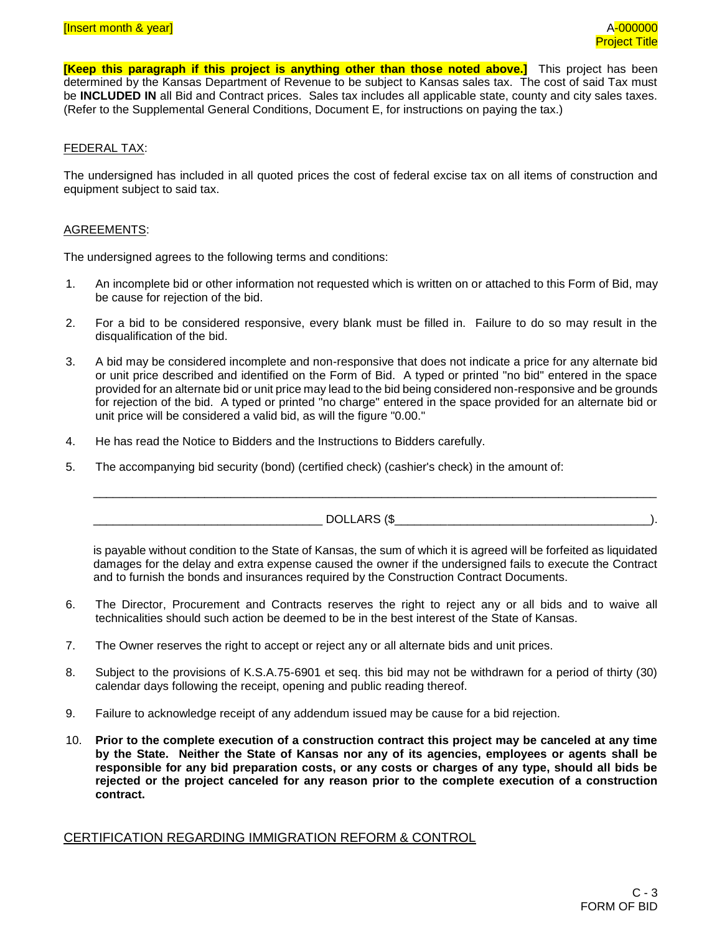**[Keep this paragraph if this project is anything other than those noted above.]** This project has been determined by the Kansas Department of Revenue to be subject to Kansas sales tax. The cost of said Tax must be **INCLUDED IN** all Bid and Contract prices. Sales tax includes all applicable state, county and city sales taxes. (Refer to the Supplemental General Conditions, Document E, for instructions on paying the tax.)

#### FEDERAL TAX:

The undersigned has included in all quoted prices the cost of federal excise tax on all items of construction and equipment subject to said tax.

#### AGREEMENTS:

The undersigned agrees to the following terms and conditions:

- 1. An incomplete bid or other information not requested which is written on or attached to this Form of Bid, may be cause for rejection of the bid.
- 2. For a bid to be considered responsive, every blank must be filled in. Failure to do so may result in the disqualification of the bid.
- 3. A bid may be considered incomplete and non-responsive that does not indicate a price for any alternate bid or unit price described and identified on the Form of Bid. A typed or printed "no bid" entered in the space provided for an alternate bid or unit price may lead to the bid being considered non-responsive and be grounds for rejection of the bid. A typed or printed "no charge" entered in the space provided for an alternate bid or unit price will be considered a valid bid, as will the figure "0.00."
- 4. He has read the Notice to Bidders and the Instructions to Bidders carefully.
- 5. The accompanying bid security (bond) (certified check) (cashier's check) in the amount of:

\_\_\_\_\_\_\_\_\_\_\_\_\_\_\_\_\_\_\_\_\_\_\_\_\_\_\_\_\_\_\_\_\_\_\_ DOLLARS (\$\_\_\_\_\_\_\_\_\_\_\_\_\_\_\_\_\_\_\_\_\_\_\_\_\_\_\_\_\_\_\_\_\_\_\_\_\_\_\_).

is payable without condition to the State of Kansas, the sum of which it is agreed will be forfeited as liquidated damages for the delay and extra expense caused the owner if the undersigned fails to execute the Contract and to furnish the bonds and insurances required by the Construction Contract Documents.

\_\_\_\_\_\_\_\_\_\_\_\_\_\_\_\_\_\_\_\_\_\_\_\_\_\_\_\_\_\_\_\_\_\_\_\_\_\_\_\_\_\_\_\_\_\_\_\_\_\_\_\_\_\_\_\_\_\_\_\_\_\_\_\_\_\_\_\_\_\_\_\_\_\_\_\_\_\_\_\_\_\_\_\_\_\_

- 6. The Director, Procurement and Contracts reserves the right to reject any or all bids and to waive all technicalities should such action be deemed to be in the best interest of the State of Kansas.
- 7. The Owner reserves the right to accept or reject any or all alternate bids and unit prices.
- 8. Subject to the provisions of K.S.A.75-6901 et seq. this bid may not be withdrawn for a period of thirty (30) calendar days following the receipt, opening and public reading thereof.
- 9. Failure to acknowledge receipt of any addendum issued may be cause for a bid rejection.
- 10. **Prior to the complete execution of a construction contract this project may be canceled at any time by the State. Neither the State of Kansas nor any of its agencies, employees or agents shall be responsible for any bid preparation costs, or any costs or charges of any type, should all bids be rejected or the project canceled for any reason prior to the complete execution of a construction contract.**

### CERTIFICATION REGARDING IMMIGRATION REFORM & CONTROL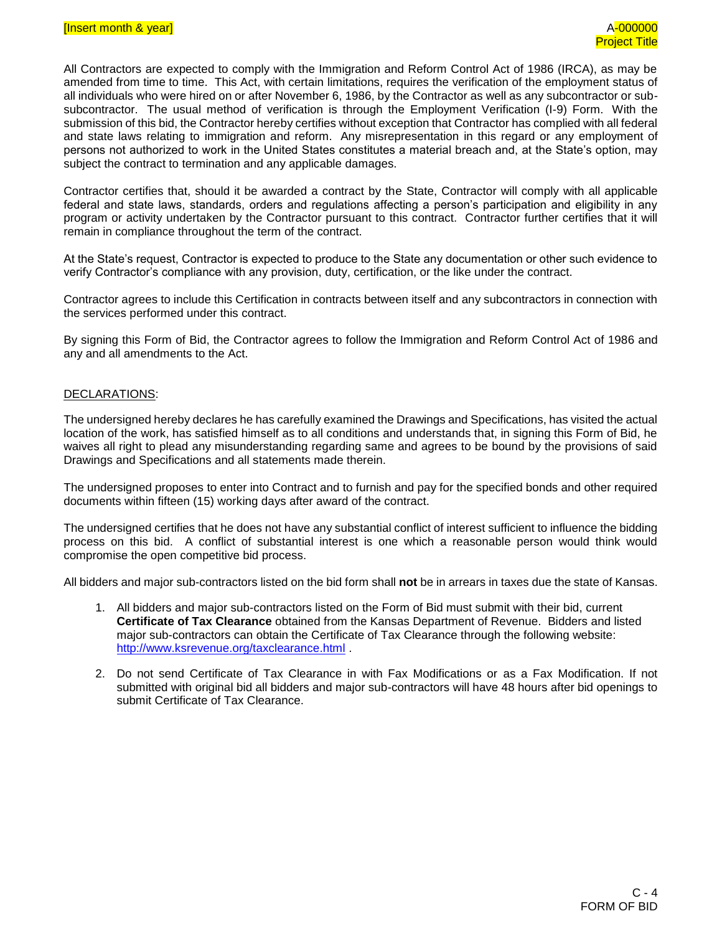All Contractors are expected to comply with the Immigration and Reform Control Act of 1986 (IRCA), as may be amended from time to time. This Act, with certain limitations, requires the verification of the employment status of all individuals who were hired on or after November 6, 1986, by the Contractor as well as any subcontractor or subsubcontractor. The usual method of verification is through the Employment Verification (I-9) Form. With the submission of this bid, the Contractor hereby certifies without exception that Contractor has complied with all federal and state laws relating to immigration and reform. Any misrepresentation in this regard or any employment of persons not authorized to work in the United States constitutes a material breach and, at the State's option, may subject the contract to termination and any applicable damages.

Contractor certifies that, should it be awarded a contract by the State, Contractor will comply with all applicable federal and state laws, standards, orders and regulations affecting a person's participation and eligibility in any program or activity undertaken by the Contractor pursuant to this contract. Contractor further certifies that it will remain in compliance throughout the term of the contract.

At the State's request, Contractor is expected to produce to the State any documentation or other such evidence to verify Contractor's compliance with any provision, duty, certification, or the like under the contract.

Contractor agrees to include this Certification in contracts between itself and any subcontractors in connection with the services performed under this contract.

By signing this Form of Bid, the Contractor agrees to follow the Immigration and Reform Control Act of 1986 and any and all amendments to the Act.

#### DECLARATIONS:

The undersigned hereby declares he has carefully examined the Drawings and Specifications, has visited the actual location of the work, has satisfied himself as to all conditions and understands that, in signing this Form of Bid, he waives all right to plead any misunderstanding regarding same and agrees to be bound by the provisions of said Drawings and Specifications and all statements made therein.

The undersigned proposes to enter into Contract and to furnish and pay for the specified bonds and other required documents within fifteen (15) working days after award of the contract.

The undersigned certifies that he does not have any substantial conflict of interest sufficient to influence the bidding process on this bid. A conflict of substantial interest is one which a reasonable person would think would compromise the open competitive bid process.

All bidders and major sub-contractors listed on the bid form shall **not** be in arrears in taxes due the state of Kansas.

- 1. All bidders and major sub-contractors listed on the Form of Bid must submit with their bid, current **Certificate of Tax Clearance** obtained from the Kansas Department of Revenue. Bidders and listed major sub-contractors can obtain the Certificate of Tax Clearance through the following website: <http://www.ksrevenue.org/taxclearance.html> .
- 2. Do not send Certificate of Tax Clearance in with Fax Modifications or as a Fax Modification. If not submitted with original bid all bidders and major sub-contractors will have 48 hours after bid openings to submit Certificate of Tax Clearance.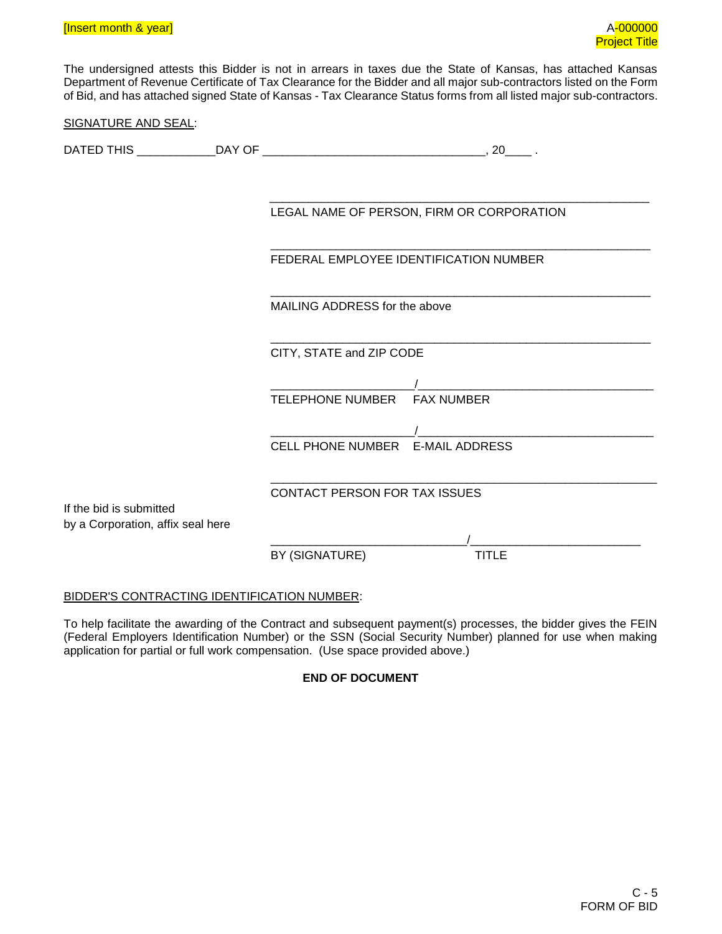The undersigned attests this Bidder is not in arrears in taxes due the State of Kansas, has attached Kansas Department of Revenue Certificate of Tax Clearance for the Bidder and all major sub-contractors listed on the Form of Bid, and has attached signed State of Kansas - Tax Clearance Status forms from all listed major sub-contractors.

| SIGNATURE AND SEAL:               |                                                                                   |  |
|-----------------------------------|-----------------------------------------------------------------------------------|--|
|                                   |                                                                                   |  |
|                                   |                                                                                   |  |
|                                   | LEGAL NAME OF PERSON, FIRM OR CORPORATION                                         |  |
|                                   | FEDERAL EMPLOYEE IDENTIFICATION NUMBER                                            |  |
|                                   | MAILING ADDRESS for the above                                                     |  |
|                                   | CITY, STATE and ZIP CODE                                                          |  |
|                                   | <u> 1980 - Jan Samuel Barbara, martin a</u><br>TELEPHONE NUMBER FAX NUMBER        |  |
|                                   | <u> 1980 - Jan Samuel Barbara, margaret e</u><br>CELL PHONE NUMBER E-MAIL ADDRESS |  |
| If the bid is submitted           | CONTACT PERSON FOR TAX ISSUES                                                     |  |
| by a Corporation, affix seal here |                                                                                   |  |
|                                   | BY (SIGNATURE)<br><b>TITLE</b>                                                    |  |

# BIDDER'S CONTRACTING IDENTIFICATION NUMBER:

To help facilitate the awarding of the Contract and subsequent payment(s) processes, the bidder gives the FEIN (Federal Employers Identification Number) or the SSN (Social Security Number) planned for use when making application for partial or full work compensation. (Use space provided above.)

# **END OF DOCUMENT**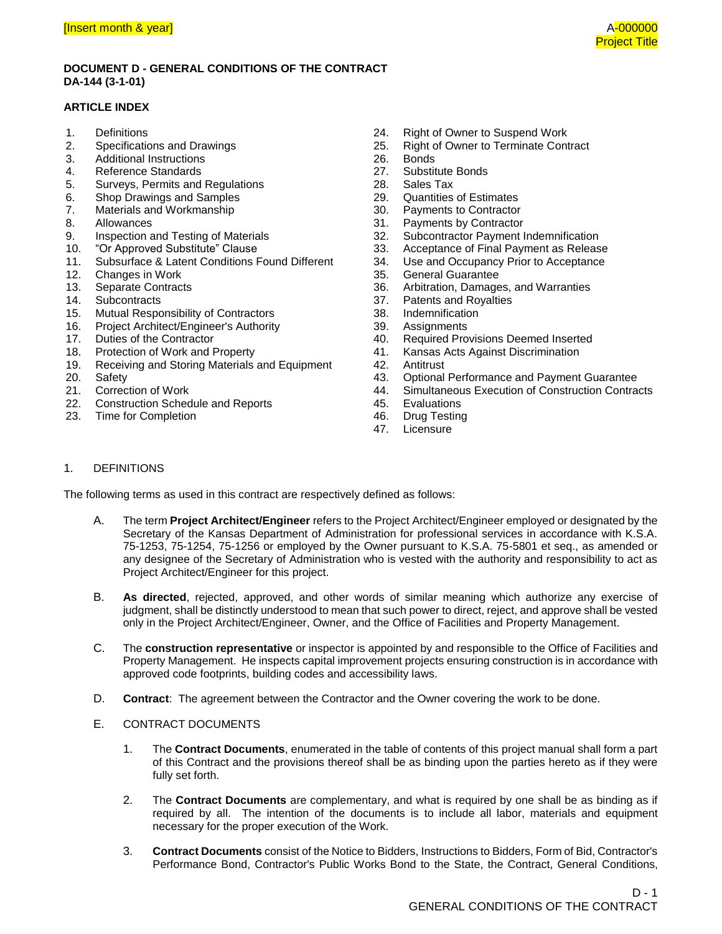#### **DOCUMENT D - GENERAL CONDITIONS OF THE CONTRACT DA-144 (3-1-01)**

### **ARTICLE INDEX**

- 1. Definitions
- 2. Specifications and Drawings
- 3. Additional Instructions
- 4. Reference Standards
- 5. Surveys, Permits and Regulations
- 6. Shop Drawings and Samples
- 7. Materials and Workmanship
- 8. Allowances
- 9. Inspection and Testing of Materials
- 10. "Or Approved Substitute" Clause<br>11. Subsurface & Latent Conditions F
- Subsurface & Latent Conditions Found Different
- 12. Changes in Work
- 13. Separate Contracts
- 14. Subcontracts
- 15. Mutual Responsibility of Contractors
- 16. Project Architect/Engineer's Authority
- 17. Duties of the Contractor
- 18. Protection of Work and Property
- 19. Receiving and Storing Materials and Equipment
- 20. Safety
- 21. Correction of Work
- 22. Construction Schedule and Reports
- 23. Time for Completion
- 24. Right of Owner to Suspend Work
- 25. Right of Owner to Terminate Contract
- 26. Bonds<br>27. Substit
- Substitute Bonds
- 28. Sales Tax
- 29. Quantities of Estimates
- 30. Payments to Contractor<br>31. Payments by Contractor
- 31. Payments by Contractor<br>32. Subcontractor Pavment I
- Subcontractor Payment Indemnification
- 33. Acceptance of Final Payment as Release
- 34. Use and Occupancy Prior to Acceptance
- 35. General Guarantee
- 36. Arbitration, Damages, and Warranties
- 37. Patents and Royalties<br>38. Indemnification
- **Indemnification**
- 39. Assignments
- 40. Required Provisions Deemed Inserted
- 41. Kansas Acts Against Discrimination
- 42. Antitrust
- 43. Optional Performance and Payment Guarantee
- 44. Simultaneous Execution of Construction Contracts
- 45. Evaluations
- 46. Drug Testing
- 47. Licensure

#### 1. DEFINITIONS

The following terms as used in this contract are respectively defined as follows:

- A. The term **Project Architect/Engineer** refers to the Project Architect/Engineer employed or designated by the Secretary of the Kansas Department of Administration for professional services in accordance with K.S.A. 75-1253, 75-1254, 75-1256 or employed by the Owner pursuant to K.S.A. 75-5801 et seq., as amended or any designee of the Secretary of Administration who is vested with the authority and responsibility to act as Project Architect/Engineer for this project.
- B. **As directed**, rejected, approved, and other words of similar meaning which authorize any exercise of judgment, shall be distinctly understood to mean that such power to direct, reject, and approve shall be vested only in the Project Architect/Engineer, Owner, and the Office of Facilities and Property Management.
- C. The **construction representative** or inspector is appointed by and responsible to the Office of Facilities and Property Management. He inspects capital improvement projects ensuring construction is in accordance with approved code footprints, building codes and accessibility laws.
- D. **Contract**: The agreement between the Contractor and the Owner covering the work to be done.
- E. CONTRACT DOCUMENTS
	- 1. The **Contract Documents**, enumerated in the table of contents of this project manual shall form a part of this Contract and the provisions thereof shall be as binding upon the parties hereto as if they were fully set forth.
	- 2. The **Contract Documents** are complementary, and what is required by one shall be as binding as if required by all. The intention of the documents is to include all labor, materials and equipment necessary for the proper execution of the Work.
	- 3. **Contract Documents** consist of the Notice to Bidders, Instructions to Bidders, Form of Bid, Contractor's Performance Bond, Contractor's Public Works Bond to the State, the Contract, General Conditions,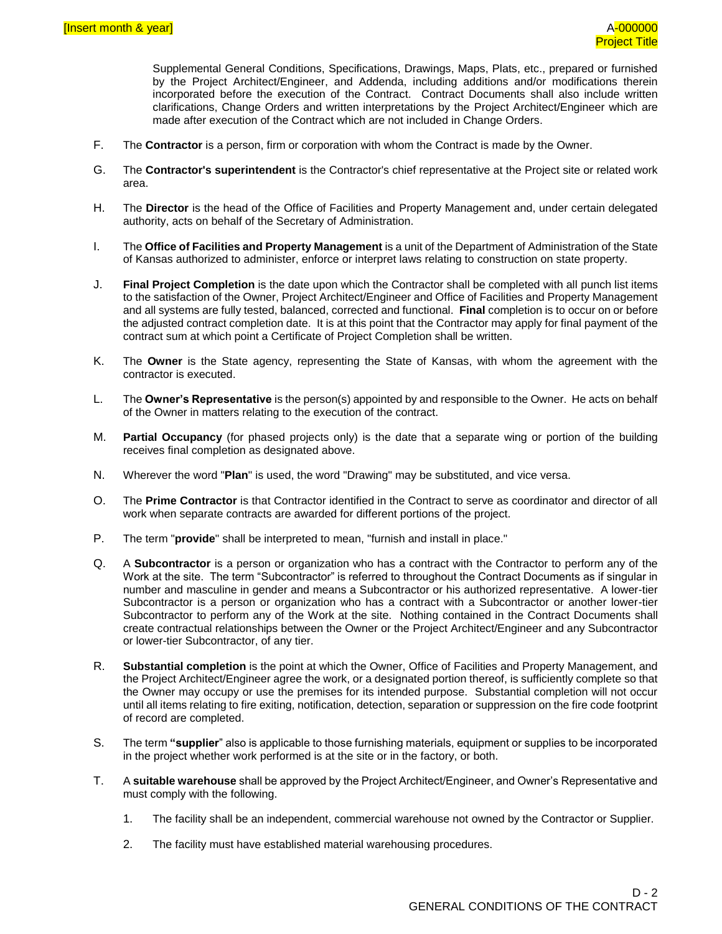Supplemental General Conditions, Specifications, Drawings, Maps, Plats, etc., prepared or furnished by the Project Architect/Engineer, and Addenda, including additions and/or modifications therein incorporated before the execution of the Contract. Contract Documents shall also include written clarifications, Change Orders and written interpretations by the Project Architect/Engineer which are made after execution of the Contract which are not included in Change Orders.

- F. The **Contractor** is a person, firm or corporation with whom the Contract is made by the Owner.
- G. The **Contractor's superintendent** is the Contractor's chief representative at the Project site or related work area.
- H. The **Director** is the head of the Office of Facilities and Property Management and, under certain delegated authority, acts on behalf of the Secretary of Administration.
- I. The **Office of Facilities and Property Management** is a unit of the Department of Administration of the State of Kansas authorized to administer, enforce or interpret laws relating to construction on state property.
- J. **Final Project Completion** is the date upon which the Contractor shall be completed with all punch list items to the satisfaction of the Owner, Project Architect/Engineer and Office of Facilities and Property Management and all systems are fully tested, balanced, corrected and functional. **Final** completion is to occur on or before the adjusted contract completion date. It is at this point that the Contractor may apply for final payment of the contract sum at which point a Certificate of Project Completion shall be written.
- K. The **Owner** is the State agency, representing the State of Kansas, with whom the agreement with the contractor is executed.
- L. The **Owner's Representative** is the person(s) appointed by and responsible to the Owner. He acts on behalf of the Owner in matters relating to the execution of the contract.
- M. **Partial Occupancy** (for phased projects only) is the date that a separate wing or portion of the building receives final completion as designated above.
- N. Wherever the word "**Plan**" is used, the word "Drawing" may be substituted, and vice versa.
- O. The **Prime Contractor** is that Contractor identified in the Contract to serve as coordinator and director of all work when separate contracts are awarded for different portions of the project.
- P. The term "**provide**" shall be interpreted to mean, "furnish and install in place."
- Q. A **Subcontractor** is a person or organization who has a contract with the Contractor to perform any of the Work at the site. The term "Subcontractor" is referred to throughout the Contract Documents as if singular in number and masculine in gender and means a Subcontractor or his authorized representative. A lower-tier Subcontractor is a person or organization who has a contract with a Subcontractor or another lower-tier Subcontractor to perform any of the Work at the site. Nothing contained in the Contract Documents shall create contractual relationships between the Owner or the Project Architect/Engineer and any Subcontractor or lower-tier Subcontractor, of any tier.
- R. **Substantial completion** is the point at which the Owner, Office of Facilities and Property Management, and the Project Architect/Engineer agree the work, or a designated portion thereof, is sufficiently complete so that the Owner may occupy or use the premises for its intended purpose. Substantial completion will not occur until all items relating to fire exiting, notification, detection, separation or suppression on the fire code footprint of record are completed.
- S. The term **"supplier**" also is applicable to those furnishing materials, equipment or supplies to be incorporated in the project whether work performed is at the site or in the factory, or both.
- T. A **suitable warehouse** shall be approved by the Project Architect/Engineer, and Owner's Representative and must comply with the following.
	- 1. The facility shall be an independent, commercial warehouse not owned by the Contractor or Supplier.
	- 2. The facility must have established material warehousing procedures.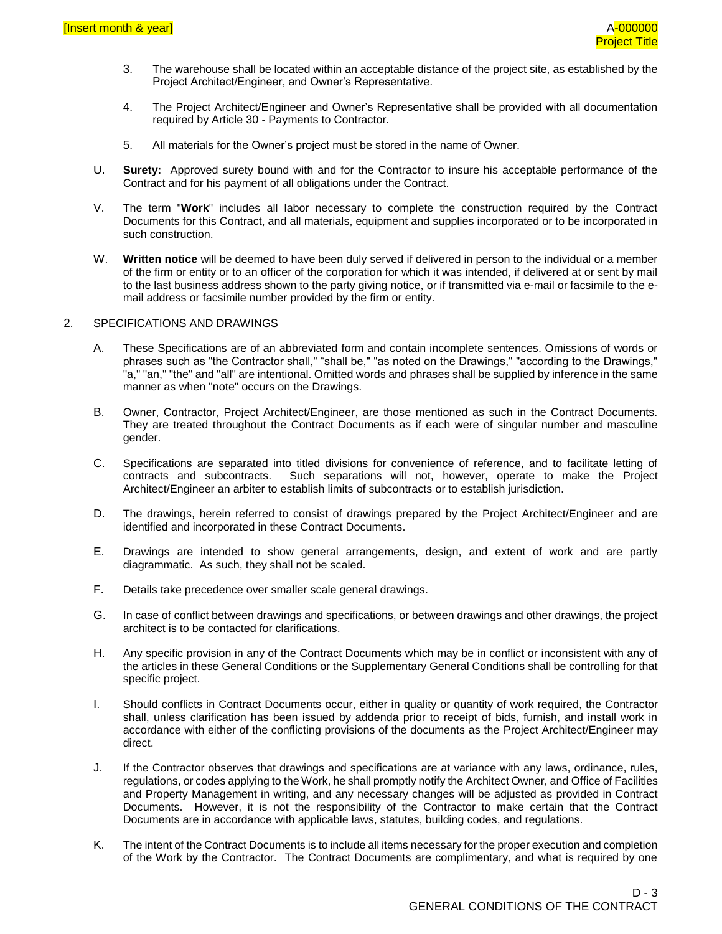- 3. The warehouse shall be located within an acceptable distance of the project site, as established by the Project Architect/Engineer, and Owner's Representative.
- 4. The Project Architect/Engineer and Owner's Representative shall be provided with all documentation required by Article 30 - Payments to Contractor.
- 5. All materials for the Owner's project must be stored in the name of Owner.
- U. **Surety:** Approved surety bound with and for the Contractor to insure his acceptable performance of the Contract and for his payment of all obligations under the Contract.
- V. The term "**Work**" includes all labor necessary to complete the construction required by the Contract Documents for this Contract, and all materials, equipment and supplies incorporated or to be incorporated in such construction.
- W. **Written notice** will be deemed to have been duly served if delivered in person to the individual or a member of the firm or entity or to an officer of the corporation for which it was intended, if delivered at or sent by mail to the last business address shown to the party giving notice, or if transmitted via e-mail or facsimile to the email address or facsimile number provided by the firm or entity.

#### 2. SPECIFICATIONS AND DRAWINGS

- A. These Specifications are of an abbreviated form and contain incomplete sentences. Omissions of words or phrases such as "the Contractor shall," "shall be," "as noted on the Drawings," "according to the Drawings," "a," "an," "the" and "all" are intentional. Omitted words and phrases shall be supplied by inference in the same manner as when "note" occurs on the Drawings.
- B. Owner, Contractor, Project Architect/Engineer, are those mentioned as such in the Contract Documents. They are treated throughout the Contract Documents as if each were of singular number and masculine gender.
- C. Specifications are separated into titled divisions for convenience of reference, and to facilitate letting of contracts and subcontracts. Such separations will not, however, operate to make the Project Architect/Engineer an arbiter to establish limits of subcontracts or to establish jurisdiction.
- D. The drawings, herein referred to consist of drawings prepared by the Project Architect/Engineer and are identified and incorporated in these Contract Documents.
- E. Drawings are intended to show general arrangements, design, and extent of work and are partly diagrammatic. As such, they shall not be scaled.
- F. Details take precedence over smaller scale general drawings.
- G. In case of conflict between drawings and specifications, or between drawings and other drawings, the project architect is to be contacted for clarifications.
- H. Any specific provision in any of the Contract Documents which may be in conflict or inconsistent with any of the articles in these General Conditions or the Supplementary General Conditions shall be controlling for that specific project.
- I. Should conflicts in Contract Documents occur, either in quality or quantity of work required, the Contractor shall, unless clarification has been issued by addenda prior to receipt of bids, furnish, and install work in accordance with either of the conflicting provisions of the documents as the Project Architect/Engineer may direct.
- J. If the Contractor observes that drawings and specifications are at variance with any laws, ordinance, rules, regulations, or codes applying to the Work, he shall promptly notify the Architect Owner, and Office of Facilities and Property Management in writing, and any necessary changes will be adjusted as provided in Contract Documents. However, it is not the responsibility of the Contractor to make certain that the Contract Documents are in accordance with applicable laws, statutes, building codes, and regulations.
- K. The intent of the Contract Documents is to include all items necessary for the proper execution and completion of the Work by the Contractor. The Contract Documents are complimentary, and what is required by one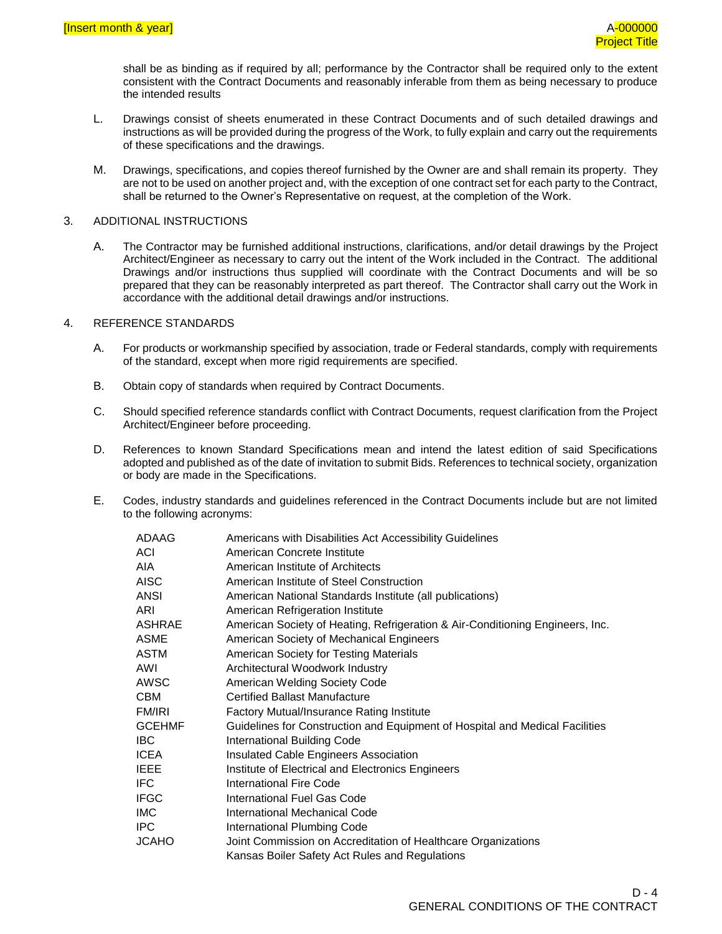shall be as binding as if required by all; performance by the Contractor shall be required only to the extent consistent with the Contract Documents and reasonably inferable from them as being necessary to produce the intended results

- L. Drawings consist of sheets enumerated in these Contract Documents and of such detailed drawings and instructions as will be provided during the progress of the Work, to fully explain and carry out the requirements of these specifications and the drawings.
- M. Drawings, specifications, and copies thereof furnished by the Owner are and shall remain its property. They are not to be used on another project and, with the exception of one contract set for each party to the Contract, shall be returned to the Owner's Representative on request, at the completion of the Work.

#### 3. ADDITIONAL INSTRUCTIONS

A. The Contractor may be furnished additional instructions, clarifications, and/or detail drawings by the Project Architect/Engineer as necessary to carry out the intent of the Work included in the Contract. The additional Drawings and/or instructions thus supplied will coordinate with the Contract Documents and will be so prepared that they can be reasonably interpreted as part thereof. The Contractor shall carry out the Work in accordance with the additional detail drawings and/or instructions.

#### 4. REFERENCE STANDARDS

- A. For products or workmanship specified by association, trade or Federal standards, comply with requirements of the standard, except when more rigid requirements are specified.
- B. Obtain copy of standards when required by Contract Documents.
- C. Should specified reference standards conflict with Contract Documents, request clarification from the Project Architect/Engineer before proceeding.
- D. References to known Standard Specifications mean and intend the latest edition of said Specifications adopted and published as of the date of invitation to submit Bids. References to technical society, organization or body are made in the Specifications.
- E. Codes, industry standards and guidelines referenced in the Contract Documents include but are not limited to the following acronyms:

| ADAAG       | Americans with Disabilities Act Accessibility Guidelines                      |
|-------------|-------------------------------------------------------------------------------|
| ACI         | American Concrete Institute                                                   |
| AIA         | American Institute of Architects                                              |
| AISC        | American Institute of Steel Construction                                      |
| ANSI        | American National Standards Institute (all publications)                      |
| ARI         | American Refrigeration Institute                                              |
| ASHRAE      | American Society of Heating, Refrigeration & Air-Conditioning Engineers, Inc. |
| ASME        | American Society of Mechanical Engineers                                      |
| ASTM        | American Society for Testing Materials                                        |
| AWI         | Architectural Woodwork Industry                                               |
| AWSC        | American Welding Society Code                                                 |
| СВМ         | <b>Certified Ballast Manufacture</b>                                          |
| FM/IRI      | Factory Mutual/Insurance Rating Institute                                     |
| GCEHMF      | Guidelines for Construction and Equipment of Hospital and Medical Facilities  |
| IBC.        | International Building Code                                                   |
| ICEA        | Insulated Cable Engineers Association                                         |
| IEEE        | Institute of Electrical and Electronics Engineers                             |
| IFC         | International Fire Code                                                       |
| <b>IFGC</b> | International Fuel Gas Code                                                   |
| IMC         | International Mechanical Code                                                 |
| IPC         | International Plumbing Code                                                   |
| JCAHO       | Joint Commission on Accreditation of Healthcare Organizations                 |
|             | Kansas Boiler Safety Act Rules and Regulations                                |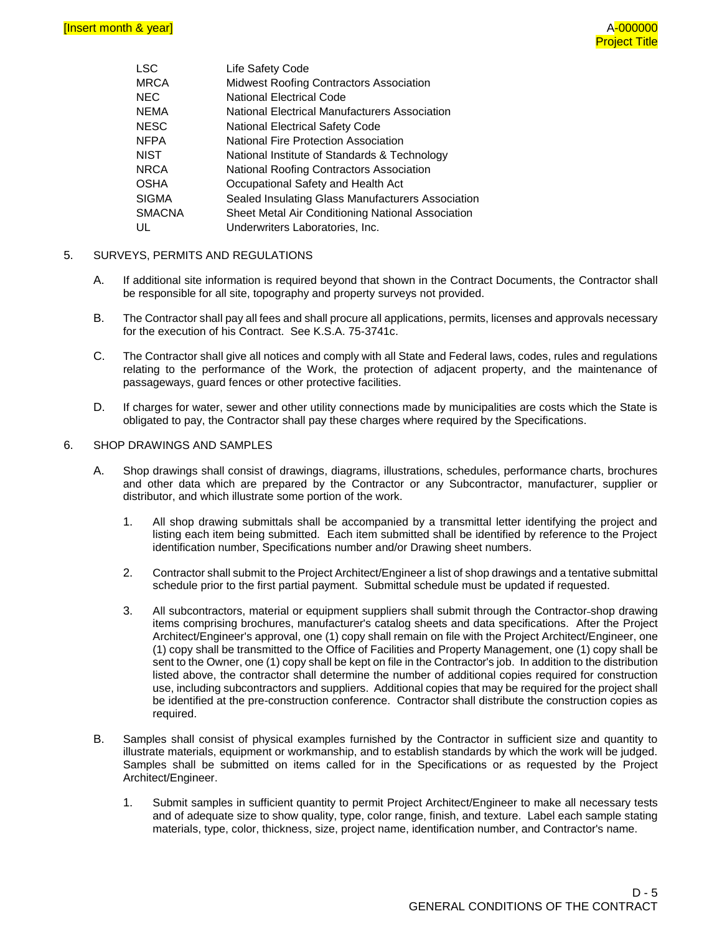| <b>LSC</b>    | Life Safety Code                                  |
|---------------|---------------------------------------------------|
| <b>MRCA</b>   | Midwest Roofing Contractors Association           |
| NEC.          | <b>National Electrical Code</b>                   |
| <b>NEMA</b>   | National Electrical Manufacturers Association     |
| <b>NESC</b>   | <b>National Electrical Safety Code</b>            |
| <b>NFPA</b>   | National Fire Protection Association              |
| <b>NIST</b>   | National Institute of Standards & Technology      |
| <b>NRCA</b>   | National Roofing Contractors Association          |
| <b>OSHA</b>   | Occupational Safety and Health Act                |
| <b>SIGMA</b>  | Sealed Insulating Glass Manufacturers Association |
| <b>SMACNA</b> | Sheet Metal Air Conditioning National Association |
| UL            | Underwriters Laboratories, Inc.                   |

#### 5. SURVEYS, PERMITS AND REGULATIONS

- A. If additional site information is required beyond that shown in the Contract Documents, the Contractor shall be responsible for all site, topography and property surveys not provided.
- B. The Contractor shall pay all fees and shall procure all applications, permits, licenses and approvals necessary for the execution of his Contract. See K.S.A. 75-3741c.
- C. The Contractor shall give all notices and comply with all State and Federal laws, codes, rules and regulations relating to the performance of the Work, the protection of adjacent property, and the maintenance of passageways, guard fences or other protective facilities.
- D. If charges for water, sewer and other utility connections made by municipalities are costs which the State is obligated to pay, the Contractor shall pay these charges where required by the Specifications.

#### 6. SHOP DRAWINGS AND SAMPLES

- A. Shop drawings shall consist of drawings, diagrams, illustrations, schedules, performance charts, brochures and other data which are prepared by the Contractor or any Subcontractor, manufacturer, supplier or distributor, and which illustrate some portion of the work.
	- 1. All shop drawing submittals shall be accompanied by a transmittal letter identifying the project and listing each item being submitted. Each item submitted shall be identified by reference to the Project identification number, Specifications number and/or Drawing sheet numbers.
	- 2. Contractor shall submit to the Project Architect/Engineer a list of shop drawings and a tentative submittal schedule prior to the first partial payment. Submittal schedule must be updated if requested.
	- 3. All subcontractors, material or equipment suppliers shall submit through the Contractor shop drawing items comprising brochures, manufacturer's catalog sheets and data specifications. After the Project Architect/Engineer's approval, one (1) copy shall remain on file with the Project Architect/Engineer, one (1) copy shall be transmitted to the Office of Facilities and Property Management, one (1) copy shall be sent to the Owner, one (1) copy shall be kept on file in the Contractor's job. In addition to the distribution listed above, the contractor shall determine the number of additional copies required for construction use, including subcontractors and suppliers. Additional copies that may be required for the project shall be identified at the pre-construction conference. Contractor shall distribute the construction copies as required.
- B. Samples shall consist of physical examples furnished by the Contractor in sufficient size and quantity to illustrate materials, equipment or workmanship, and to establish standards by which the work will be judged. Samples shall be submitted on items called for in the Specifications or as requested by the Project Architect/Engineer.
	- 1. Submit samples in sufficient quantity to permit Project Architect/Engineer to make all necessary tests and of adequate size to show quality, type, color range, finish, and texture. Label each sample stating materials, type, color, thickness, size, project name, identification number, and Contractor's name.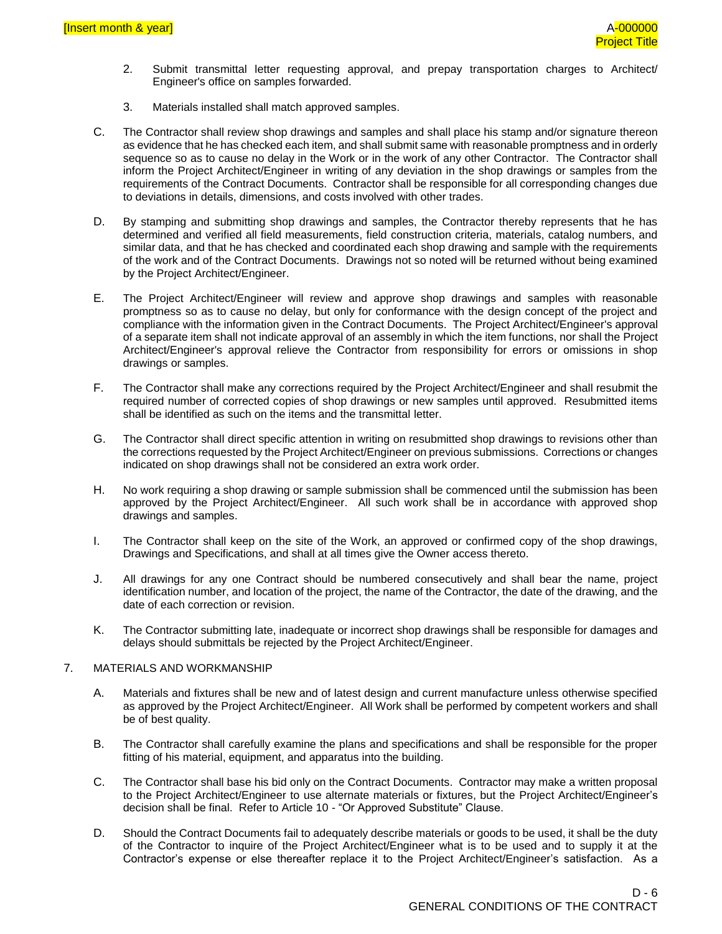- 2. Submit transmittal letter requesting approval, and prepay transportation charges to Architect/ Engineer's office on samples forwarded.
- 3. Materials installed shall match approved samples.
- C. The Contractor shall review shop drawings and samples and shall place his stamp and/or signature thereon as evidence that he has checked each item, and shall submit same with reasonable promptness and in orderly sequence so as to cause no delay in the Work or in the work of any other Contractor. The Contractor shall inform the Project Architect/Engineer in writing of any deviation in the shop drawings or samples from the requirements of the Contract Documents. Contractor shall be responsible for all corresponding changes due to deviations in details, dimensions, and costs involved with other trades.
- D. By stamping and submitting shop drawings and samples, the Contractor thereby represents that he has determined and verified all field measurements, field construction criteria, materials, catalog numbers, and similar data, and that he has checked and coordinated each shop drawing and sample with the requirements of the work and of the Contract Documents. Drawings not so noted will be returned without being examined by the Project Architect/Engineer.
- E. The Project Architect/Engineer will review and approve shop drawings and samples with reasonable promptness so as to cause no delay, but only for conformance with the design concept of the project and compliance with the information given in the Contract Documents. The Project Architect/Engineer's approval of a separate item shall not indicate approval of an assembly in which the item functions, nor shall the Project Architect/Engineer's approval relieve the Contractor from responsibility for errors or omissions in shop drawings or samples.
- F. The Contractor shall make any corrections required by the Project Architect/Engineer and shall resubmit the required number of corrected copies of shop drawings or new samples until approved. Resubmitted items shall be identified as such on the items and the transmittal letter.
- G. The Contractor shall direct specific attention in writing on resubmitted shop drawings to revisions other than the corrections requested by the Project Architect/Engineer on previous submissions. Corrections or changes indicated on shop drawings shall not be considered an extra work order.
- H. No work requiring a shop drawing or sample submission shall be commenced until the submission has been approved by the Project Architect/Engineer. All such work shall be in accordance with approved shop drawings and samples.
- I. The Contractor shall keep on the site of the Work, an approved or confirmed copy of the shop drawings, Drawings and Specifications, and shall at all times give the Owner access thereto.
- J. All drawings for any one Contract should be numbered consecutively and shall bear the name, project identification number, and location of the project, the name of the Contractor, the date of the drawing, and the date of each correction or revision.
- K. The Contractor submitting late, inadequate or incorrect shop drawings shall be responsible for damages and delays should submittals be rejected by the Project Architect/Engineer.

#### 7. MATERIALS AND WORKMANSHIP

- A. Materials and fixtures shall be new and of latest design and current manufacture unless otherwise specified as approved by the Project Architect/Engineer. All Work shall be performed by competent workers and shall be of best quality.
- B. The Contractor shall carefully examine the plans and specifications and shall be responsible for the proper fitting of his material, equipment, and apparatus into the building.
- C. The Contractor shall base his bid only on the Contract Documents. Contractor may make a written proposal to the Project Architect/Engineer to use alternate materials or fixtures, but the Project Architect/Engineer's decision shall be final. Refer to Article 10 - "Or Approved Substitute" Clause.
- D. Should the Contract Documents fail to adequately describe materials or goods to be used, it shall be the duty of the Contractor to inquire of the Project Architect/Engineer what is to be used and to supply it at the Contractor's expense or else thereafter replace it to the Project Architect/Engineer's satisfaction. As a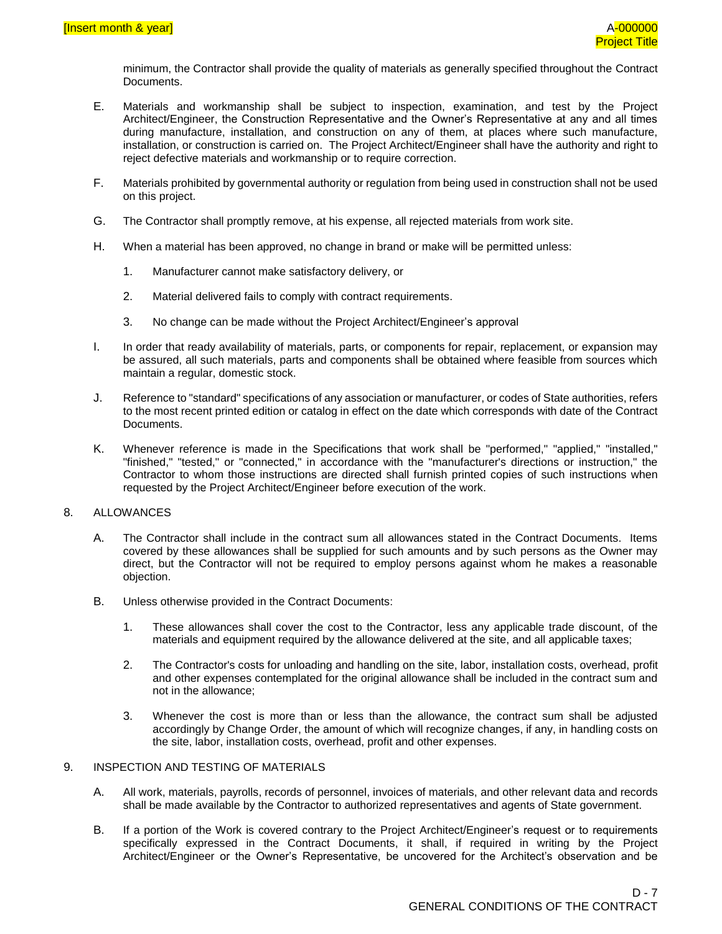minimum, the Contractor shall provide the quality of materials as generally specified throughout the Contract Documents.

- E. Materials and workmanship shall be subject to inspection, examination, and test by the Project Architect/Engineer, the Construction Representative and the Owner's Representative at any and all times during manufacture, installation, and construction on any of them, at places where such manufacture, installation, or construction is carried on. The Project Architect/Engineer shall have the authority and right to reject defective materials and workmanship or to require correction.
- F. Materials prohibited by governmental authority or regulation from being used in construction shall not be used on this project.
- G. The Contractor shall promptly remove, at his expense, all rejected materials from work site.
- H. When a material has been approved, no change in brand or make will be permitted unless:
	- 1. Manufacturer cannot make satisfactory delivery, or
	- 2. Material delivered fails to comply with contract requirements.
	- 3. No change can be made without the Project Architect/Engineer's approval
- I. In order that ready availability of materials, parts, or components for repair, replacement, or expansion may be assured, all such materials, parts and components shall be obtained where feasible from sources which maintain a regular, domestic stock.
- J. Reference to "standard" specifications of any association or manufacturer, or codes of State authorities, refers to the most recent printed edition or catalog in effect on the date which corresponds with date of the Contract Documents.
- K. Whenever reference is made in the Specifications that work shall be "performed," "applied," "installed," "finished," "tested," or "connected," in accordance with the "manufacturer's directions or instruction," the Contractor to whom those instructions are directed shall furnish printed copies of such instructions when requested by the Project Architect/Engineer before execution of the work.

#### 8. ALLOWANCES

- A. The Contractor shall include in the contract sum all allowances stated in the Contract Documents. Items covered by these allowances shall be supplied for such amounts and by such persons as the Owner may direct, but the Contractor will not be required to employ persons against whom he makes a reasonable objection.
- B. Unless otherwise provided in the Contract Documents:
	- 1. These allowances shall cover the cost to the Contractor, less any applicable trade discount, of the materials and equipment required by the allowance delivered at the site, and all applicable taxes;
	- 2. The Contractor's costs for unloading and handling on the site, labor, installation costs, overhead, profit and other expenses contemplated for the original allowance shall be included in the contract sum and not in the allowance;
	- 3. Whenever the cost is more than or less than the allowance, the contract sum shall be adjusted accordingly by Change Order, the amount of which will recognize changes, if any, in handling costs on the site, labor, installation costs, overhead, profit and other expenses.

#### 9. INSPECTION AND TESTING OF MATERIALS

- A. All work, materials, payrolls, records of personnel, invoices of materials, and other relevant data and records shall be made available by the Contractor to authorized representatives and agents of State government.
- B. If a portion of the Work is covered contrary to the Project Architect/Engineer's request or to requirements specifically expressed in the Contract Documents, it shall, if required in writing by the Project Architect/Engineer or the Owner's Representative, be uncovered for the Architect's observation and be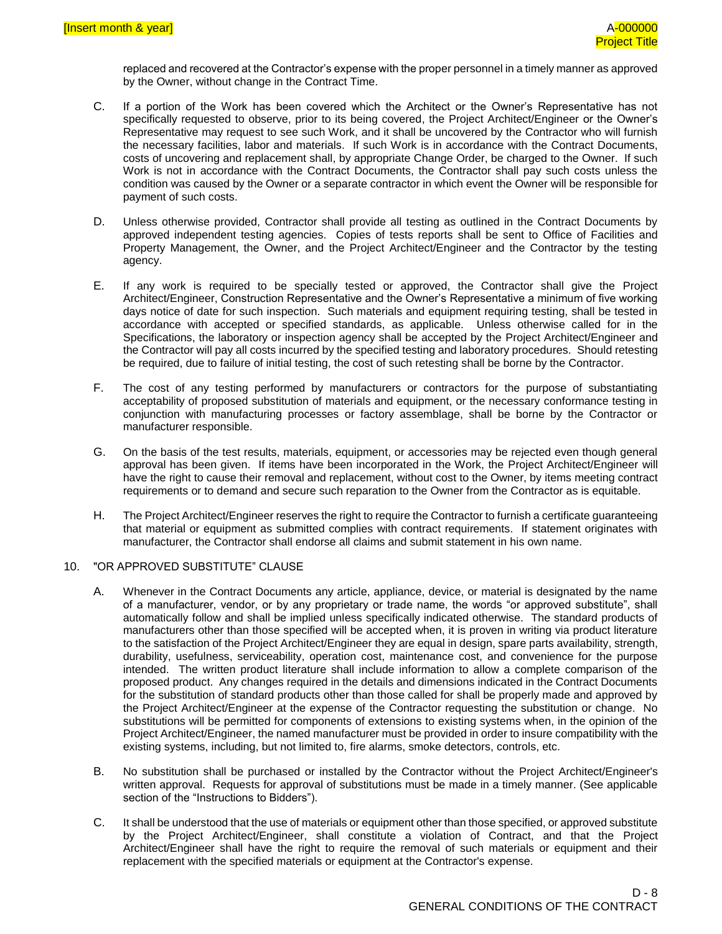replaced and recovered at the Contractor's expense with the proper personnel in a timely manner as approved by the Owner, without change in the Contract Time.

- C. If a portion of the Work has been covered which the Architect or the Owner's Representative has not specifically requested to observe, prior to its being covered, the Project Architect/Engineer or the Owner's Representative may request to see such Work, and it shall be uncovered by the Contractor who will furnish the necessary facilities, labor and materials. If such Work is in accordance with the Contract Documents, costs of uncovering and replacement shall, by appropriate Change Order, be charged to the Owner. If such Work is not in accordance with the Contract Documents, the Contractor shall pay such costs unless the condition was caused by the Owner or a separate contractor in which event the Owner will be responsible for payment of such costs.
- D. Unless otherwise provided, Contractor shall provide all testing as outlined in the Contract Documents by approved independent testing agencies. Copies of tests reports shall be sent to Office of Facilities and Property Management, the Owner, and the Project Architect/Engineer and the Contractor by the testing agency.
- E. If any work is required to be specially tested or approved, the Contractor shall give the Project Architect/Engineer, Construction Representative and the Owner's Representative a minimum of five working days notice of date for such inspection. Such materials and equipment requiring testing, shall be tested in accordance with accepted or specified standards, as applicable. Unless otherwise called for in the Specifications, the laboratory or inspection agency shall be accepted by the Project Architect/Engineer and the Contractor will pay all costs incurred by the specified testing and laboratory procedures. Should retesting be required, due to failure of initial testing, the cost of such retesting shall be borne by the Contractor.
- F. The cost of any testing performed by manufacturers or contractors for the purpose of substantiating acceptability of proposed substitution of materials and equipment, or the necessary conformance testing in conjunction with manufacturing processes or factory assemblage, shall be borne by the Contractor or manufacturer responsible.
- G. On the basis of the test results, materials, equipment, or accessories may be rejected even though general approval has been given. If items have been incorporated in the Work, the Project Architect/Engineer will have the right to cause their removal and replacement, without cost to the Owner, by items meeting contract requirements or to demand and secure such reparation to the Owner from the Contractor as is equitable.
- H. The Project Architect/Engineer reserves the right to require the Contractor to furnish a certificate guaranteeing that material or equipment as submitted complies with contract requirements. If statement originates with manufacturer, the Contractor shall endorse all claims and submit statement in his own name.

#### 10. "OR APPROVED SUBSTITUTE" CLAUSE

- A. Whenever in the Contract Documents any article, appliance, device, or material is designated by the name of a manufacturer, vendor, or by any proprietary or trade name, the words "or approved substitute", shall automatically follow and shall be implied unless specifically indicated otherwise. The standard products of manufacturers other than those specified will be accepted when, it is proven in writing via product literature to the satisfaction of the Project Architect/Engineer they are equal in design, spare parts availability, strength, durability, usefulness, serviceability, operation cost, maintenance cost, and convenience for the purpose intended. The written product literature shall include information to allow a complete comparison of the proposed product. Any changes required in the details and dimensions indicated in the Contract Documents for the substitution of standard products other than those called for shall be properly made and approved by the Project Architect/Engineer at the expense of the Contractor requesting the substitution or change. No substitutions will be permitted for components of extensions to existing systems when, in the opinion of the Project Architect/Engineer, the named manufacturer must be provided in order to insure compatibility with the existing systems, including, but not limited to, fire alarms, smoke detectors, controls, etc.
- B. No substitution shall be purchased or installed by the Contractor without the Project Architect/Engineer's written approval. Requests for approval of substitutions must be made in a timely manner. (See applicable section of the "Instructions to Bidders").
- C. It shall be understood that the use of materials or equipment other than those specified, or approved substitute by the Project Architect/Engineer, shall constitute a violation of Contract, and that the Project Architect/Engineer shall have the right to require the removal of such materials or equipment and their replacement with the specified materials or equipment at the Contractor's expense.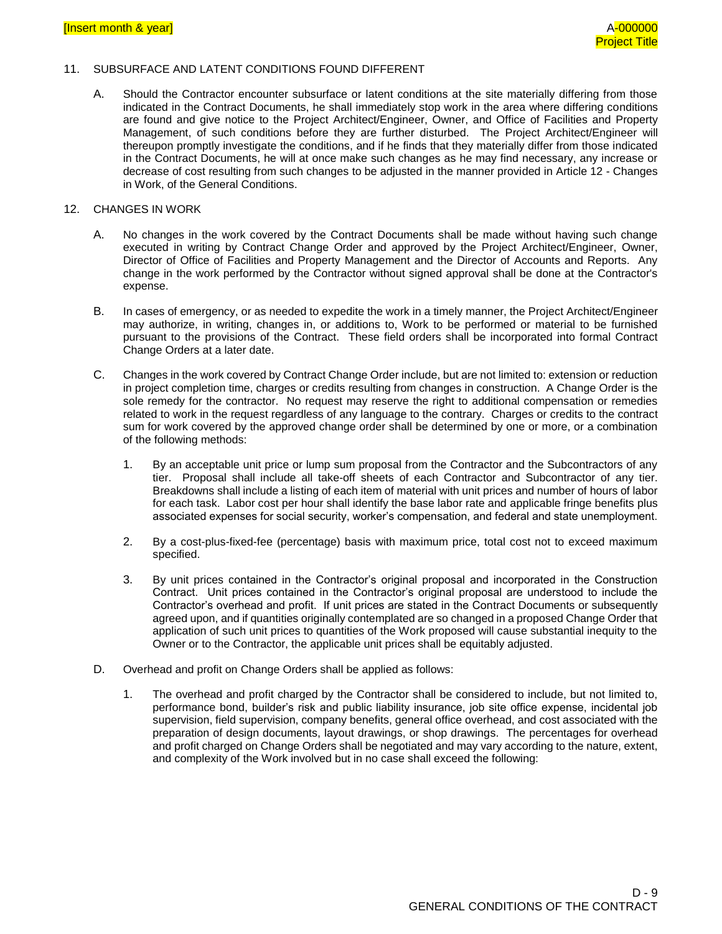#### 11. SUBSURFACE AND LATENT CONDITIONS FOUND DIFFERENT

A. Should the Contractor encounter subsurface or latent conditions at the site materially differing from those indicated in the Contract Documents, he shall immediately stop work in the area where differing conditions are found and give notice to the Project Architect/Engineer, Owner, and Office of Facilities and Property Management, of such conditions before they are further disturbed. The Project Architect/Engineer will thereupon promptly investigate the conditions, and if he finds that they materially differ from those indicated in the Contract Documents, he will at once make such changes as he may find necessary, any increase or decrease of cost resulting from such changes to be adjusted in the manner provided in Article 12 - Changes in Work, of the General Conditions.

#### 12. CHANGES IN WORK

- A. No changes in the work covered by the Contract Documents shall be made without having such change executed in writing by Contract Change Order and approved by the Project Architect/Engineer, Owner, Director of Office of Facilities and Property Management and the Director of Accounts and Reports. Any change in the work performed by the Contractor without signed approval shall be done at the Contractor's expense.
- B. In cases of emergency, or as needed to expedite the work in a timely manner, the Project Architect/Engineer may authorize, in writing, changes in, or additions to, Work to be performed or material to be furnished pursuant to the provisions of the Contract. These field orders shall be incorporated into formal Contract Change Orders at a later date.
- C. Changes in the work covered by Contract Change Order include, but are not limited to: extension or reduction in project completion time, charges or credits resulting from changes in construction. A Change Order is the sole remedy for the contractor. No request may reserve the right to additional compensation or remedies related to work in the request regardless of any language to the contrary. Charges or credits to the contract sum for work covered by the approved change order shall be determined by one or more, or a combination of the following methods:
	- 1. By an acceptable unit price or lump sum proposal from the Contractor and the Subcontractors of any tier. Proposal shall include all take-off sheets of each Contractor and Subcontractor of any tier. Breakdowns shall include a listing of each item of material with unit prices and number of hours of labor for each task. Labor cost per hour shall identify the base labor rate and applicable fringe benefits plus associated expenses for social security, worker's compensation, and federal and state unemployment.
	- 2. By a cost-plus-fixed-fee (percentage) basis with maximum price, total cost not to exceed maximum specified.
	- 3. By unit prices contained in the Contractor's original proposal and incorporated in the Construction Contract. Unit prices contained in the Contractor's original proposal are understood to include the Contractor's overhead and profit. If unit prices are stated in the Contract Documents or subsequently agreed upon, and if quantities originally contemplated are so changed in a proposed Change Order that application of such unit prices to quantities of the Work proposed will cause substantial inequity to the Owner or to the Contractor, the applicable unit prices shall be equitably adjusted.
- D. Overhead and profit on Change Orders shall be applied as follows:
	- 1. The overhead and profit charged by the Contractor shall be considered to include, but not limited to, performance bond, builder's risk and public liability insurance, job site office expense, incidental job supervision, field supervision, company benefits, general office overhead, and cost associated with the preparation of design documents, layout drawings, or shop drawings. The percentages for overhead and profit charged on Change Orders shall be negotiated and may vary according to the nature, extent, and complexity of the Work involved but in no case shall exceed the following: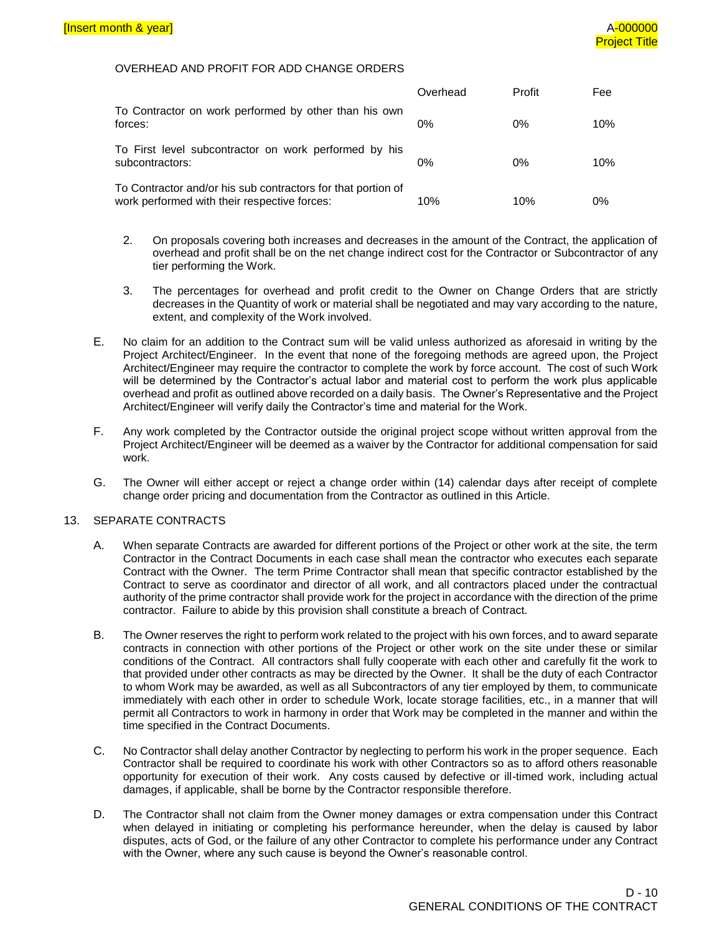#### OVERHEAD AND PROFIT FOR ADD CHANGE ORDERS

|                                                                                                              | Overhead | Profit | Fee |
|--------------------------------------------------------------------------------------------------------------|----------|--------|-----|
| To Contractor on work performed by other than his own<br>forces:                                             | $0\%$    | $0\%$  | 10% |
| To First level subcontractor on work performed by his<br>subcontractors:                                     | $0\%$    | $0\%$  | 10% |
| To Contractor and/or his sub contractors for that portion of<br>work performed with their respective forces: | 10%      | 10%    | 0%  |

- 2. On proposals covering both increases and decreases in the amount of the Contract, the application of overhead and profit shall be on the net change indirect cost for the Contractor or Subcontractor of any tier performing the Work.
- 3. The percentages for overhead and profit credit to the Owner on Change Orders that are strictly decreases in the Quantity of work or material shall be negotiated and may vary according to the nature, extent, and complexity of the Work involved.
- E. No claim for an addition to the Contract sum will be valid unless authorized as aforesaid in writing by the Project Architect/Engineer. In the event that none of the foregoing methods are agreed upon, the Project Architect/Engineer may require the contractor to complete the work by force account. The cost of such Work will be determined by the Contractor's actual labor and material cost to perform the work plus applicable overhead and profit as outlined above recorded on a daily basis. The Owner's Representative and the Project Architect/Engineer will verify daily the Contractor's time and material for the Work.
- F. Any work completed by the Contractor outside the original project scope without written approval from the Project Architect/Engineer will be deemed as a waiver by the Contractor for additional compensation for said work.
- G. The Owner will either accept or reject a change order within (14) calendar days after receipt of complete change order pricing and documentation from the Contractor as outlined in this Article.

#### 13. SEPARATE CONTRACTS

- A. When separate Contracts are awarded for different portions of the Project or other work at the site, the term Contractor in the Contract Documents in each case shall mean the contractor who executes each separate Contract with the Owner. The term Prime Contractor shall mean that specific contractor established by the Contract to serve as coordinator and director of all work, and all contractors placed under the contractual authority of the prime contractor shall provide work for the project in accordance with the direction of the prime contractor. Failure to abide by this provision shall constitute a breach of Contract.
- B. The Owner reserves the right to perform work related to the project with his own forces, and to award separate contracts in connection with other portions of the Project or other work on the site under these or similar conditions of the Contract. All contractors shall fully cooperate with each other and carefully fit the work to that provided under other contracts as may be directed by the Owner. It shall be the duty of each Contractor to whom Work may be awarded, as well as all Subcontractors of any tier employed by them, to communicate immediately with each other in order to schedule Work, locate storage facilities, etc., in a manner that will permit all Contractors to work in harmony in order that Work may be completed in the manner and within the time specified in the Contract Documents.
- C. No Contractor shall delay another Contractor by neglecting to perform his work in the proper sequence. Each Contractor shall be required to coordinate his work with other Contractors so as to afford others reasonable opportunity for execution of their work. Any costs caused by defective or ill-timed work, including actual damages, if applicable, shall be borne by the Contractor responsible therefore.
- D. The Contractor shall not claim from the Owner money damages or extra compensation under this Contract when delayed in initiating or completing his performance hereunder, when the delay is caused by labor disputes, acts of God, or the failure of any other Contractor to complete his performance under any Contract with the Owner, where any such cause is beyond the Owner's reasonable control.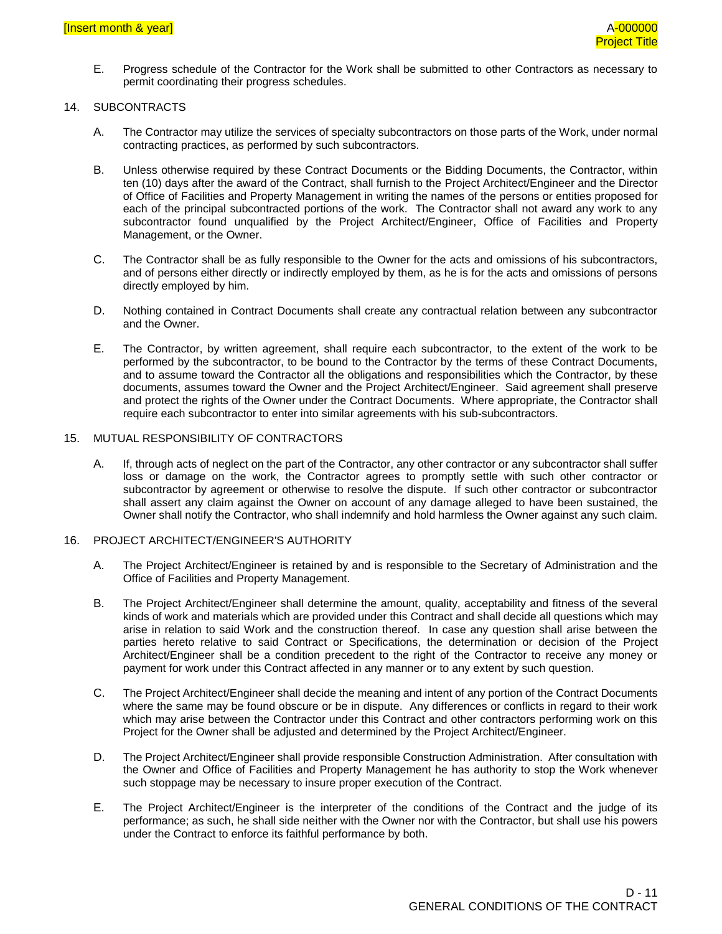E. Progress schedule of the Contractor for the Work shall be submitted to other Contractors as necessary to permit coordinating their progress schedules.

#### 14. SUBCONTRACTS

- A. The Contractor may utilize the services of specialty subcontractors on those parts of the Work, under normal contracting practices, as performed by such subcontractors.
- B. Unless otherwise required by these Contract Documents or the Bidding Documents, the Contractor, within ten (10) days after the award of the Contract, shall furnish to the Project Architect/Engineer and the Director of Office of Facilities and Property Management in writing the names of the persons or entities proposed for each of the principal subcontracted portions of the work. The Contractor shall not award any work to any subcontractor found unqualified by the Project Architect/Engineer, Office of Facilities and Property Management, or the Owner.
- C. The Contractor shall be as fully responsible to the Owner for the acts and omissions of his subcontractors, and of persons either directly or indirectly employed by them, as he is for the acts and omissions of persons directly employed by him.
- D. Nothing contained in Contract Documents shall create any contractual relation between any subcontractor and the Owner.
- E. The Contractor, by written agreement, shall require each subcontractor, to the extent of the work to be performed by the subcontractor, to be bound to the Contractor by the terms of these Contract Documents, and to assume toward the Contractor all the obligations and responsibilities which the Contractor, by these documents, assumes toward the Owner and the Project Architect/Engineer. Said agreement shall preserve and protect the rights of the Owner under the Contract Documents. Where appropriate, the Contractor shall require each subcontractor to enter into similar agreements with his sub-subcontractors.

#### 15. MUTUAL RESPONSIBILITY OF CONTRACTORS

A. If, through acts of neglect on the part of the Contractor, any other contractor or any subcontractor shall suffer loss or damage on the work, the Contractor agrees to promptly settle with such other contractor or subcontractor by agreement or otherwise to resolve the dispute. If such other contractor or subcontractor shall assert any claim against the Owner on account of any damage alleged to have been sustained, the Owner shall notify the Contractor, who shall indemnify and hold harmless the Owner against any such claim.

#### 16. PROJECT ARCHITECT/ENGINEER'S AUTHORITY

- A. The Project Architect/Engineer is retained by and is responsible to the Secretary of Administration and the Office of Facilities and Property Management.
- B. The Project Architect/Engineer shall determine the amount, quality, acceptability and fitness of the several kinds of work and materials which are provided under this Contract and shall decide all questions which may arise in relation to said Work and the construction thereof. In case any question shall arise between the parties hereto relative to said Contract or Specifications, the determination or decision of the Project Architect/Engineer shall be a condition precedent to the right of the Contractor to receive any money or payment for work under this Contract affected in any manner or to any extent by such question.
- C. The Project Architect/Engineer shall decide the meaning and intent of any portion of the Contract Documents where the same may be found obscure or be in dispute. Any differences or conflicts in regard to their work which may arise between the Contractor under this Contract and other contractors performing work on this Project for the Owner shall be adjusted and determined by the Project Architect/Engineer.
- D. The Project Architect/Engineer shall provide responsible Construction Administration. After consultation with the Owner and Office of Facilities and Property Management he has authority to stop the Work whenever such stoppage may be necessary to insure proper execution of the Contract.
- E. The Project Architect/Engineer is the interpreter of the conditions of the Contract and the judge of its performance; as such, he shall side neither with the Owner nor with the Contractor, but shall use his powers under the Contract to enforce its faithful performance by both.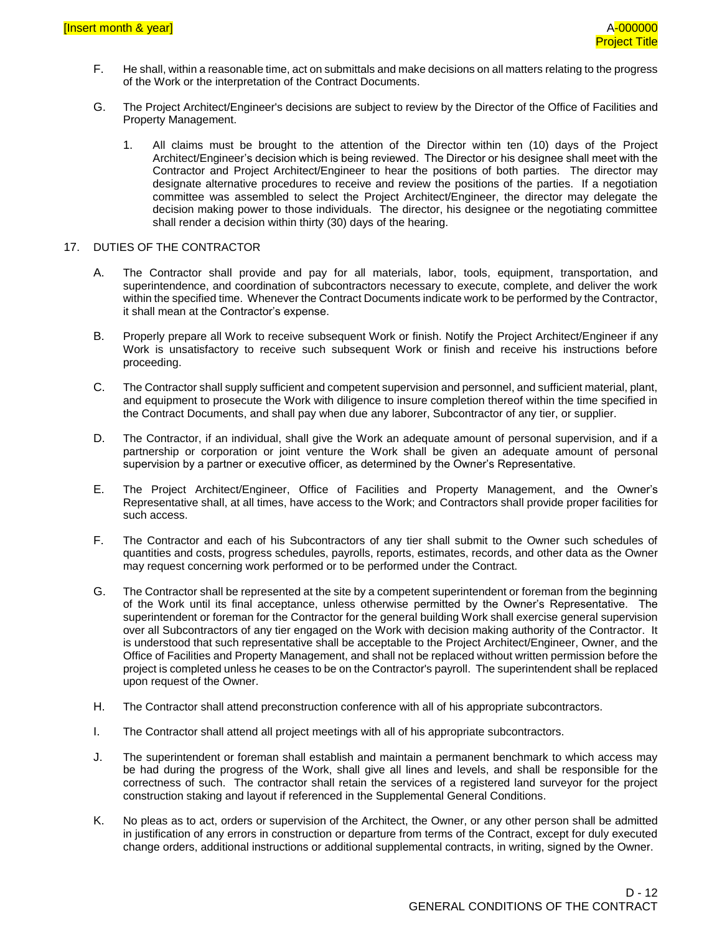- F. He shall, within a reasonable time, act on submittals and make decisions on all matters relating to the progress of the Work or the interpretation of the Contract Documents.
- G. The Project Architect/Engineer's decisions are subject to review by the Director of the Office of Facilities and Property Management.
	- 1. All claims must be brought to the attention of the Director within ten (10) days of the Project Architect/Engineer's decision which is being reviewed. The Director or his designee shall meet with the Contractor and Project Architect/Engineer to hear the positions of both parties. The director may designate alternative procedures to receive and review the positions of the parties. If a negotiation committee was assembled to select the Project Architect/Engineer, the director may delegate the decision making power to those individuals. The director, his designee or the negotiating committee shall render a decision within thirty (30) days of the hearing.

#### 17. DUTIES OF THE CONTRACTOR

- A. The Contractor shall provide and pay for all materials, labor, tools, equipment, transportation, and superintendence, and coordination of subcontractors necessary to execute, complete, and deliver the work within the specified time. Whenever the Contract Documents indicate work to be performed by the Contractor, it shall mean at the Contractor's expense.
- B. Properly prepare all Work to receive subsequent Work or finish. Notify the Project Architect/Engineer if any Work is unsatisfactory to receive such subsequent Work or finish and receive his instructions before proceeding.
- C. The Contractor shall supply sufficient and competent supervision and personnel, and sufficient material, plant, and equipment to prosecute the Work with diligence to insure completion thereof within the time specified in the Contract Documents, and shall pay when due any laborer, Subcontractor of any tier, or supplier.
- D. The Contractor, if an individual, shall give the Work an adequate amount of personal supervision, and if a partnership or corporation or joint venture the Work shall be given an adequate amount of personal supervision by a partner or executive officer, as determined by the Owner's Representative.
- E. The Project Architect/Engineer, Office of Facilities and Property Management, and the Owner's Representative shall, at all times, have access to the Work; and Contractors shall provide proper facilities for such access.
- F. The Contractor and each of his Subcontractors of any tier shall submit to the Owner such schedules of quantities and costs, progress schedules, payrolls, reports, estimates, records, and other data as the Owner may request concerning work performed or to be performed under the Contract.
- G. The Contractor shall be represented at the site by a competent superintendent or foreman from the beginning of the Work until its final acceptance, unless otherwise permitted by the Owner's Representative. The superintendent or foreman for the Contractor for the general building Work shall exercise general supervision over all Subcontractors of any tier engaged on the Work with decision making authority of the Contractor. It is understood that such representative shall be acceptable to the Project Architect/Engineer, Owner, and the Office of Facilities and Property Management, and shall not be replaced without written permission before the project is completed unless he ceases to be on the Contractor's payroll. The superintendent shall be replaced upon request of the Owner.
- H. The Contractor shall attend preconstruction conference with all of his appropriate subcontractors.
- I. The Contractor shall attend all project meetings with all of his appropriate subcontractors.
- J. The superintendent or foreman shall establish and maintain a permanent benchmark to which access may be had during the progress of the Work, shall give all lines and levels, and shall be responsible for the correctness of such. The contractor shall retain the services of a registered land surveyor for the project construction staking and layout if referenced in the Supplemental General Conditions.
- K. No pleas as to act, orders or supervision of the Architect, the Owner, or any other person shall be admitted in justification of any errors in construction or departure from terms of the Contract, except for duly executed change orders, additional instructions or additional supplemental contracts, in writing, signed by the Owner.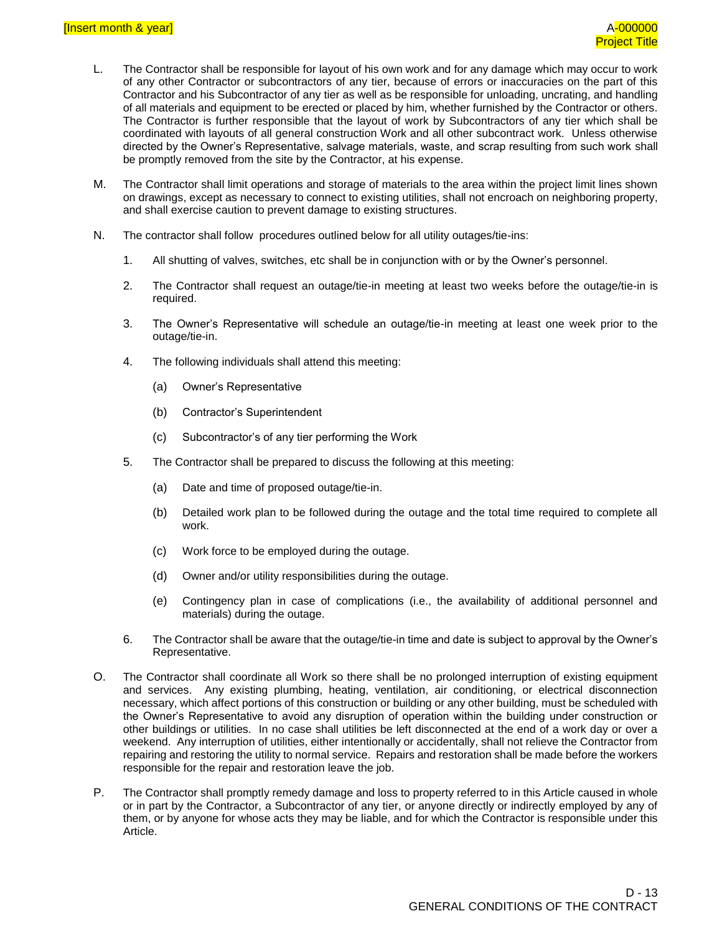- L. The Contractor shall be responsible for layout of his own work and for any damage which may occur to work of any other Contractor or subcontractors of any tier, because of errors or inaccuracies on the part of this Contractor and his Subcontractor of any tier as well as be responsible for unloading, uncrating, and handling of all materials and equipment to be erected or placed by him, whether furnished by the Contractor or others. The Contractor is further responsible that the layout of work by Subcontractors of any tier which shall be coordinated with layouts of all general construction Work and all other subcontract work. Unless otherwise directed by the Owner's Representative, salvage materials, waste, and scrap resulting from such work shall be promptly removed from the site by the Contractor, at his expense.
- M. The Contractor shall limit operations and storage of materials to the area within the project limit lines shown on drawings, except as necessary to connect to existing utilities, shall not encroach on neighboring property, and shall exercise caution to prevent damage to existing structures.
- N. The contractor shall follow procedures outlined below for all utility outages/tie-ins:
	- 1. All shutting of valves, switches, etc shall be in conjunction with or by the Owner's personnel.
	- 2. The Contractor shall request an outage/tie-in meeting at least two weeks before the outage/tie-in is required.
	- 3. The Owner's Representative will schedule an outage/tie-in meeting at least one week prior to the outage/tie-in.
	- 4. The following individuals shall attend this meeting:
		- (a) Owner's Representative
		- (b) Contractor's Superintendent
		- (c) Subcontractor's of any tier performing the Work
	- 5. The Contractor shall be prepared to discuss the following at this meeting:
		- (a) Date and time of proposed outage/tie-in.
		- (b) Detailed work plan to be followed during the outage and the total time required to complete all work.
		- (c) Work force to be employed during the outage.
		- (d) Owner and/or utility responsibilities during the outage.
		- (e) Contingency plan in case of complications (i.e., the availability of additional personnel and materials) during the outage.
	- 6. The Contractor shall be aware that the outage/tie-in time and date is subject to approval by the Owner's Representative.
- O. The Contractor shall coordinate all Work so there shall be no prolonged interruption of existing equipment and services. Any existing plumbing, heating, ventilation, air conditioning, or electrical disconnection necessary, which affect portions of this construction or building or any other building, must be scheduled with the Owner's Representative to avoid any disruption of operation within the building under construction or other buildings or utilities. In no case shall utilities be left disconnected at the end of a work day or over a weekend. Any interruption of utilities, either intentionally or accidentally, shall not relieve the Contractor from repairing and restoring the utility to normal service. Repairs and restoration shall be made before the workers responsible for the repair and restoration leave the job.
- P. The Contractor shall promptly remedy damage and loss to property referred to in this Article caused in whole or in part by the Contractor, a Subcontractor of any tier, or anyone directly or indirectly employed by any of them, or by anyone for whose acts they may be liable, and for which the Contractor is responsible under this Article.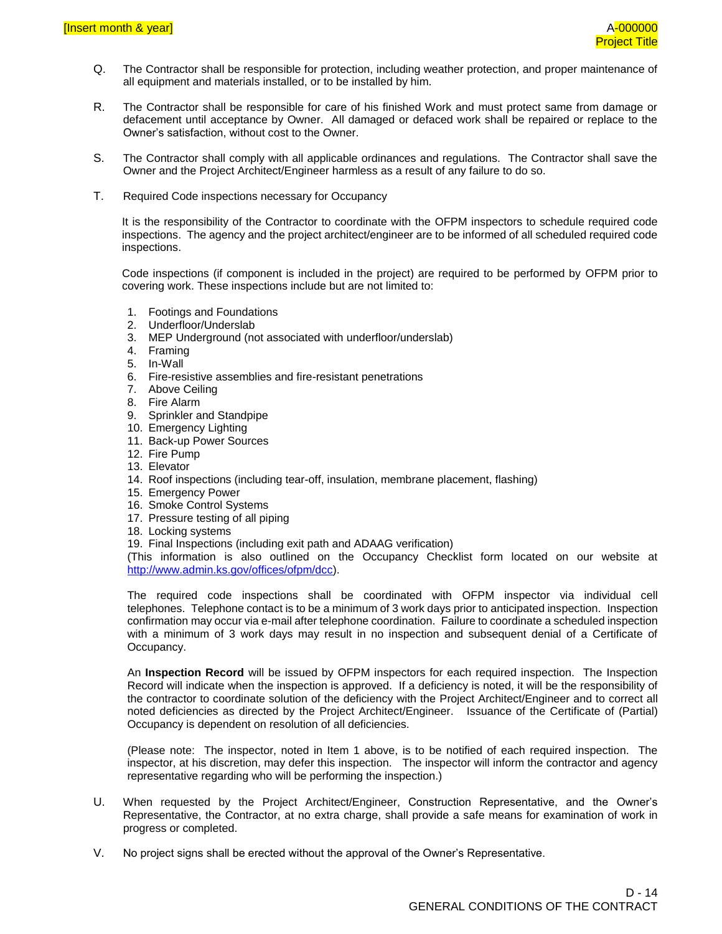- Q. The Contractor shall be responsible for protection, including weather protection, and proper maintenance of all equipment and materials installed, or to be installed by him.
- R. The Contractor shall be responsible for care of his finished Work and must protect same from damage or defacement until acceptance by Owner. All damaged or defaced work shall be repaired or replace to the Owner's satisfaction, without cost to the Owner.
- S. The Contractor shall comply with all applicable ordinances and regulations. The Contractor shall save the Owner and the Project Architect/Engineer harmless as a result of any failure to do so.
- T. Required Code inspections necessary for Occupancy

It is the responsibility of the Contractor to coordinate with the OFPM inspectors to schedule required code inspections. The agency and the project architect/engineer are to be informed of all scheduled required code inspections.

Code inspections (if component is included in the project) are required to be performed by OFPM prior to covering work. These inspections include but are not limited to:

- 1. Footings and Foundations
- 2. Underfloor/Underslab
- 3. MEP Underground (not associated with underfloor/underslab)
- 4. Framing
- 5. In-Wall
- 6. Fire-resistive assemblies and fire-resistant penetrations
- 7. Above Ceiling
- 8. Fire Alarm
- 9. Sprinkler and Standpipe
- 10. Emergency Lighting
- 11. Back-up Power Sources
- 12. Fire Pump
- 13. Elevator
- 14. Roof inspections (including tear-off, insulation, membrane placement, flashing)
- 15. Emergency Power
- 16. Smoke Control Systems
- 17. Pressure testing of all piping
- 18. Locking systems
- 19. Final Inspections (including exit path and ADAAG verification)

(This information is also outlined on the Occupancy Checklist form located on our website at [http://www.admin.ks.gov/offices/ofpm/dcc\)](http://www.admin.ks.gov/offices/ofpm/dcc).

The required code inspections shall be coordinated with OFPM inspector via individual cell telephones. Telephone contact is to be a minimum of 3 work days prior to anticipated inspection. Inspection confirmation may occur via e-mail after telephone coordination. Failure to coordinate a scheduled inspection with a minimum of 3 work days may result in no inspection and subsequent denial of a Certificate of Occupancy.

An **Inspection Record** will be issued by OFPM inspectors for each required inspection. The Inspection Record will indicate when the inspection is approved. If a deficiency is noted, it will be the responsibility of the contractor to coordinate solution of the deficiency with the Project Architect/Engineer and to correct all noted deficiencies as directed by the Project Architect/Engineer. Issuance of the Certificate of (Partial) Occupancy is dependent on resolution of all deficiencies.

(Please note: The inspector, noted in Item 1 above, is to be notified of each required inspection. The inspector, at his discretion, may defer this inspection. The inspector will inform the contractor and agency representative regarding who will be performing the inspection.)

- U. When requested by the Project Architect/Engineer, Construction Representative, and the Owner's Representative, the Contractor, at no extra charge, shall provide a safe means for examination of work in progress or completed.
- V. No project signs shall be erected without the approval of the Owner's Representative.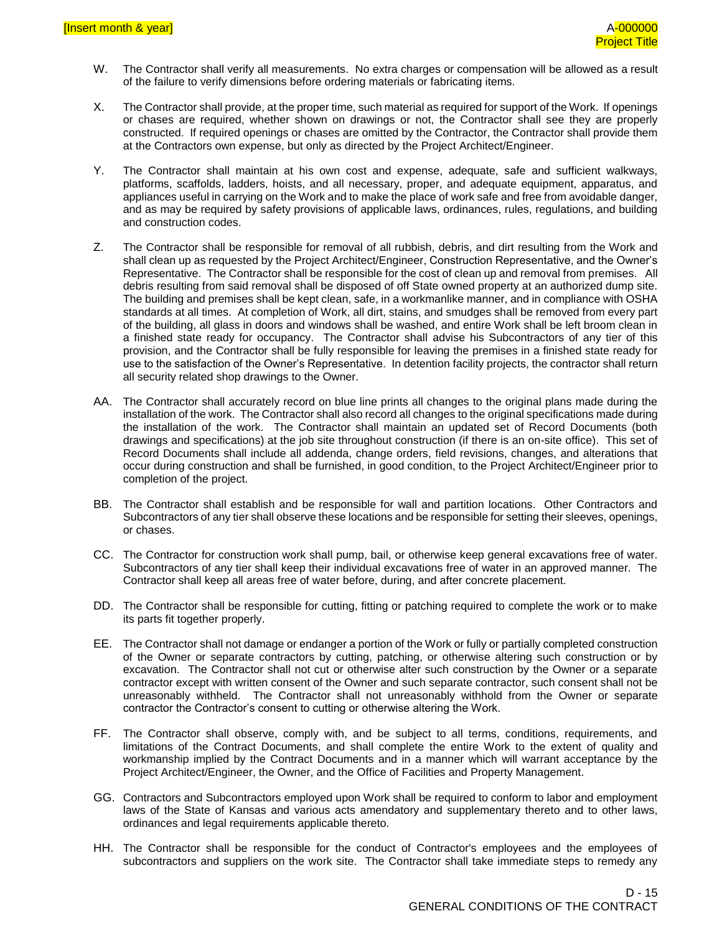- W. The Contractor shall verify all measurements. No extra charges or compensation will be allowed as a result of the failure to verify dimensions before ordering materials or fabricating items.
- X. The Contractor shall provide, at the proper time, such material as required for support of the Work. If openings or chases are required, whether shown on drawings or not, the Contractor shall see they are properly constructed. If required openings or chases are omitted by the Contractor, the Contractor shall provide them at the Contractors own expense, but only as directed by the Project Architect/Engineer.
- Y. The Contractor shall maintain at his own cost and expense, adequate, safe and sufficient walkways, platforms, scaffolds, ladders, hoists, and all necessary, proper, and adequate equipment, apparatus, and appliances useful in carrying on the Work and to make the place of work safe and free from avoidable danger, and as may be required by safety provisions of applicable laws, ordinances, rules, regulations, and building and construction codes.
- Z. The Contractor shall be responsible for removal of all rubbish, debris, and dirt resulting from the Work and shall clean up as requested by the Project Architect/Engineer, Construction Representative, and the Owner's Representative. The Contractor shall be responsible for the cost of clean up and removal from premises. All debris resulting from said removal shall be disposed of off State owned property at an authorized dump site. The building and premises shall be kept clean, safe, in a workmanlike manner, and in compliance with OSHA standards at all times. At completion of Work, all dirt, stains, and smudges shall be removed from every part of the building, all glass in doors and windows shall be washed, and entire Work shall be left broom clean in a finished state ready for occupancy. The Contractor shall advise his Subcontractors of any tier of this provision, and the Contractor shall be fully responsible for leaving the premises in a finished state ready for use to the satisfaction of the Owner's Representative. In detention facility projects, the contractor shall return all security related shop drawings to the Owner.
- AA. The Contractor shall accurately record on blue line prints all changes to the original plans made during the installation of the work. The Contractor shall also record all changes to the original specifications made during the installation of the work. The Contractor shall maintain an updated set of Record Documents (both drawings and specifications) at the job site throughout construction (if there is an on-site office). This set of Record Documents shall include all addenda, change orders, field revisions, changes, and alterations that occur during construction and shall be furnished, in good condition, to the Project Architect/Engineer prior to completion of the project.
- BB. The Contractor shall establish and be responsible for wall and partition locations. Other Contractors and Subcontractors of any tier shall observe these locations and be responsible for setting their sleeves, openings, or chases.
- CC. The Contractor for construction work shall pump, bail, or otherwise keep general excavations free of water. Subcontractors of any tier shall keep their individual excavations free of water in an approved manner. The Contractor shall keep all areas free of water before, during, and after concrete placement.
- DD. The Contractor shall be responsible for cutting, fitting or patching required to complete the work or to make its parts fit together properly.
- EE. The Contractor shall not damage or endanger a portion of the Work or fully or partially completed construction of the Owner or separate contractors by cutting, patching, or otherwise altering such construction or by excavation. The Contractor shall not cut or otherwise alter such construction by the Owner or a separate contractor except with written consent of the Owner and such separate contractor, such consent shall not be unreasonably withheld. The Contractor shall not unreasonably withhold from the Owner or separate contractor the Contractor's consent to cutting or otherwise altering the Work.
- FF. The Contractor shall observe, comply with, and be subject to all terms, conditions, requirements, and limitations of the Contract Documents, and shall complete the entire Work to the extent of quality and workmanship implied by the Contract Documents and in a manner which will warrant acceptance by the Project Architect/Engineer, the Owner, and the Office of Facilities and Property Management.
- GG. Contractors and Subcontractors employed upon Work shall be required to conform to labor and employment laws of the State of Kansas and various acts amendatory and supplementary thereto and to other laws, ordinances and legal requirements applicable thereto.
- HH. The Contractor shall be responsible for the conduct of Contractor's employees and the employees of subcontractors and suppliers on the work site. The Contractor shall take immediate steps to remedy any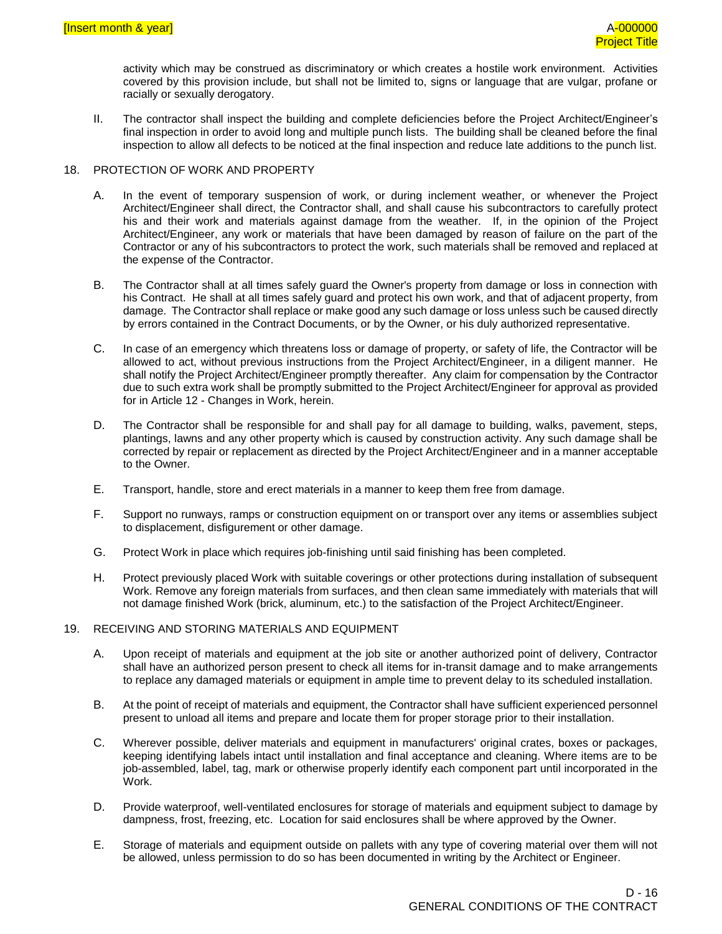activity which may be construed as discriminatory or which creates a hostile work environment. Activities covered by this provision include, but shall not be limited to, signs or language that are vulgar, profane or racially or sexually derogatory.

II. The contractor shall inspect the building and complete deficiencies before the Project Architect/Engineer's final inspection in order to avoid long and multiple punch lists. The building shall be cleaned before the final inspection to allow all defects to be noticed at the final inspection and reduce late additions to the punch list.

#### 18. PROTECTION OF WORK AND PROPERTY

- A. In the event of temporary suspension of work, or during inclement weather, or whenever the Project Architect/Engineer shall direct, the Contractor shall, and shall cause his subcontractors to carefully protect his and their work and materials against damage from the weather. If, in the opinion of the Project Architect/Engineer, any work or materials that have been damaged by reason of failure on the part of the Contractor or any of his subcontractors to protect the work, such materials shall be removed and replaced at the expense of the Contractor.
- B. The Contractor shall at all times safely guard the Owner's property from damage or loss in connection with his Contract. He shall at all times safely guard and protect his own work, and that of adjacent property, from damage. The Contractor shall replace or make good any such damage or loss unless such be caused directly by errors contained in the Contract Documents, or by the Owner, or his duly authorized representative.
- C. In case of an emergency which threatens loss or damage of property, or safety of life, the Contractor will be allowed to act, without previous instructions from the Project Architect/Engineer, in a diligent manner. He shall notify the Project Architect/Engineer promptly thereafter. Any claim for compensation by the Contractor due to such extra work shall be promptly submitted to the Project Architect/Engineer for approval as provided for in Article 12 - Changes in Work, herein.
- D. The Contractor shall be responsible for and shall pay for all damage to building, walks, pavement, steps, plantings, lawns and any other property which is caused by construction activity. Any such damage shall be corrected by repair or replacement as directed by the Project Architect/Engineer and in a manner acceptable to the Owner.
- E. Transport, handle, store and erect materials in a manner to keep them free from damage.
- F. Support no runways, ramps or construction equipment on or transport over any items or assemblies subject to displacement, disfigurement or other damage.
- G. Protect Work in place which requires job-finishing until said finishing has been completed.
- H. Protect previously placed Work with suitable coverings or other protections during installation of subsequent Work. Remove any foreign materials from surfaces, and then clean same immediately with materials that will not damage finished Work (brick, aluminum, etc.) to the satisfaction of the Project Architect/Engineer.

#### 19. RECEIVING AND STORING MATERIALS AND EQUIPMENT

- A. Upon receipt of materials and equipment at the job site or another authorized point of delivery, Contractor shall have an authorized person present to check all items for in-transit damage and to make arrangements to replace any damaged materials or equipment in ample time to prevent delay to its scheduled installation.
- B. At the point of receipt of materials and equipment, the Contractor shall have sufficient experienced personnel present to unload all items and prepare and locate them for proper storage prior to their installation.
- C. Wherever possible, deliver materials and equipment in manufacturers' original crates, boxes or packages, keeping identifying labels intact until installation and final acceptance and cleaning. Where items are to be job-assembled, label, tag, mark or otherwise properly identify each component part until incorporated in the Work.
- D. Provide waterproof, well-ventilated enclosures for storage of materials and equipment subject to damage by dampness, frost, freezing, etc. Location for said enclosures shall be where approved by the Owner.
- E. Storage of materials and equipment outside on pallets with any type of covering material over them will not be allowed, unless permission to do so has been documented in writing by the Architect or Engineer.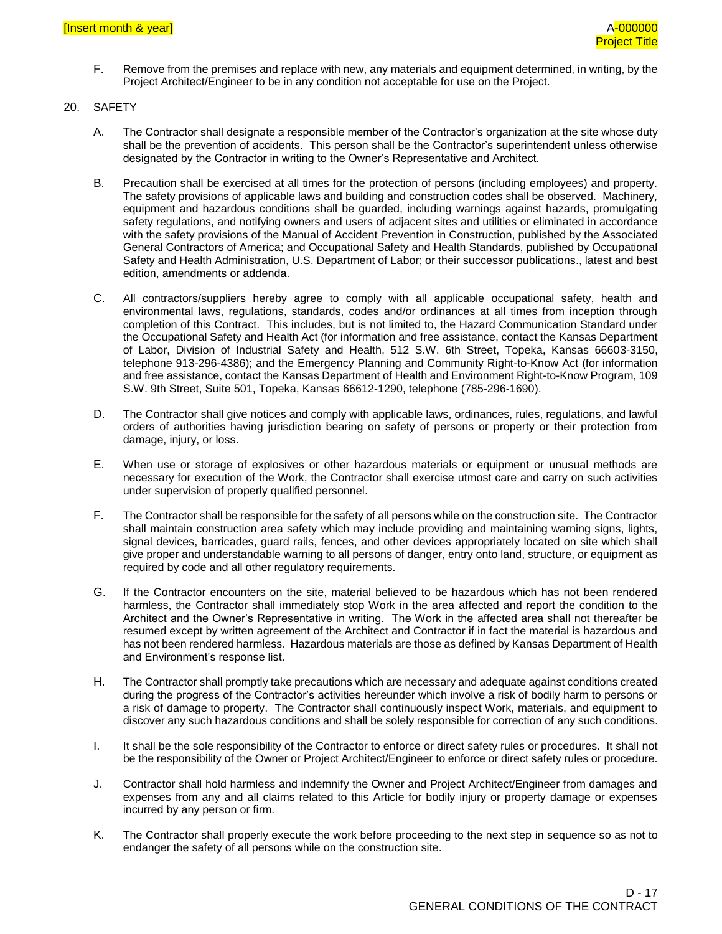- F. Remove from the premises and replace with new, any materials and equipment determined, in writing, by the Project Architect/Engineer to be in any condition not acceptable for use on the Project.
- 20. SAFETY
	- A. The Contractor shall designate a responsible member of the Contractor's organization at the site whose duty shall be the prevention of accidents. This person shall be the Contractor's superintendent unless otherwise designated by the Contractor in writing to the Owner's Representative and Architect.
	- B. Precaution shall be exercised at all times for the protection of persons (including employees) and property. The safety provisions of applicable laws and building and construction codes shall be observed. Machinery, equipment and hazardous conditions shall be guarded, including warnings against hazards, promulgating safety regulations, and notifying owners and users of adjacent sites and utilities or eliminated in accordance with the safety provisions of the Manual of Accident Prevention in Construction, published by the Associated General Contractors of America; and Occupational Safety and Health Standards, published by Occupational Safety and Health Administration, U.S. Department of Labor; or their successor publications., latest and best edition, amendments or addenda.
	- C. All contractors/suppliers hereby agree to comply with all applicable occupational safety, health and environmental laws, regulations, standards, codes and/or ordinances at all times from inception through completion of this Contract. This includes, but is not limited to, the Hazard Communication Standard under the Occupational Safety and Health Act (for information and free assistance, contact the Kansas Department of Labor, Division of Industrial Safety and Health, 512 S.W. 6th Street, Topeka, Kansas 66603-3150, telephone 913-296-4386); and the Emergency Planning and Community Right-to-Know Act (for information and free assistance, contact the Kansas Department of Health and Environment Right-to-Know Program, 109 S.W. 9th Street, Suite 501, Topeka, Kansas 66612-1290, telephone (785-296-1690).
	- D. The Contractor shall give notices and comply with applicable laws, ordinances, rules, regulations, and lawful orders of authorities having jurisdiction bearing on safety of persons or property or their protection from damage, injury, or loss.
	- E. When use or storage of explosives or other hazardous materials or equipment or unusual methods are necessary for execution of the Work, the Contractor shall exercise utmost care and carry on such activities under supervision of properly qualified personnel.
	- F. The Contractor shall be responsible for the safety of all persons while on the construction site. The Contractor shall maintain construction area safety which may include providing and maintaining warning signs, lights, signal devices, barricades, guard rails, fences, and other devices appropriately located on site which shall give proper and understandable warning to all persons of danger, entry onto land, structure, or equipment as required by code and all other regulatory requirements.
	- G. If the Contractor encounters on the site, material believed to be hazardous which has not been rendered harmless, the Contractor shall immediately stop Work in the area affected and report the condition to the Architect and the Owner's Representative in writing. The Work in the affected area shall not thereafter be resumed except by written agreement of the Architect and Contractor if in fact the material is hazardous and has not been rendered harmless. Hazardous materials are those as defined by Kansas Department of Health and Environment's response list.
	- H. The Contractor shall promptly take precautions which are necessary and adequate against conditions created during the progress of the Contractor's activities hereunder which involve a risk of bodily harm to persons or a risk of damage to property. The Contractor shall continuously inspect Work, materials, and equipment to discover any such hazardous conditions and shall be solely responsible for correction of any such conditions.
	- I. It shall be the sole responsibility of the Contractor to enforce or direct safety rules or procedures. It shall not be the responsibility of the Owner or Project Architect/Engineer to enforce or direct safety rules or procedure.
	- J. Contractor shall hold harmless and indemnify the Owner and Project Architect/Engineer from damages and expenses from any and all claims related to this Article for bodily injury or property damage or expenses incurred by any person or firm.
	- K. The Contractor shall properly execute the work before proceeding to the next step in sequence so as not to endanger the safety of all persons while on the construction site.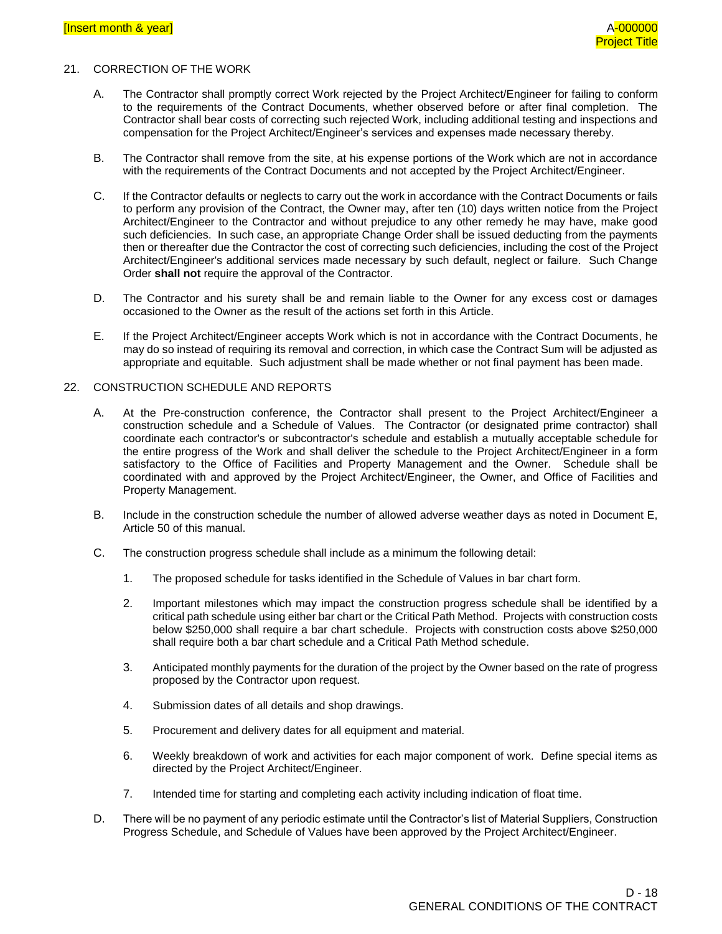#### 21. CORRECTION OF THE WORK

- A. The Contractor shall promptly correct Work rejected by the Project Architect/Engineer for failing to conform to the requirements of the Contract Documents, whether observed before or after final completion. The Contractor shall bear costs of correcting such rejected Work, including additional testing and inspections and compensation for the Project Architect/Engineer's services and expenses made necessary thereby.
- B. The Contractor shall remove from the site, at his expense portions of the Work which are not in accordance with the requirements of the Contract Documents and not accepted by the Project Architect/Engineer.
- C. If the Contractor defaults or neglects to carry out the work in accordance with the Contract Documents or fails to perform any provision of the Contract, the Owner may, after ten (10) days written notice from the Project Architect/Engineer to the Contractor and without prejudice to any other remedy he may have, make good such deficiencies. In such case, an appropriate Change Order shall be issued deducting from the payments then or thereafter due the Contractor the cost of correcting such deficiencies, including the cost of the Project Architect/Engineer's additional services made necessary by such default, neglect or failure. Such Change Order **shall not** require the approval of the Contractor.
- D. The Contractor and his surety shall be and remain liable to the Owner for any excess cost or damages occasioned to the Owner as the result of the actions set forth in this Article.
- E. If the Project Architect/Engineer accepts Work which is not in accordance with the Contract Documents, he may do so instead of requiring its removal and correction, in which case the Contract Sum will be adjusted as appropriate and equitable. Such adjustment shall be made whether or not final payment has been made.

#### 22. CONSTRUCTION SCHEDULE AND REPORTS

- A. At the Pre-construction conference, the Contractor shall present to the Project Architect/Engineer a construction schedule and a Schedule of Values. The Contractor (or designated prime contractor) shall coordinate each contractor's or subcontractor's schedule and establish a mutually acceptable schedule for the entire progress of the Work and shall deliver the schedule to the Project Architect/Engineer in a form satisfactory to the Office of Facilities and Property Management and the Owner. Schedule shall be coordinated with and approved by the Project Architect/Engineer, the Owner, and Office of Facilities and Property Management.
- B. Include in the construction schedule the number of allowed adverse weather days as noted in Document E, Article 50 of this manual.
- C. The construction progress schedule shall include as a minimum the following detail:
	- 1. The proposed schedule for tasks identified in the Schedule of Values in bar chart form.
	- 2. Important milestones which may impact the construction progress schedule shall be identified by a critical path schedule using either bar chart or the Critical Path Method. Projects with construction costs below \$250,000 shall require a bar chart schedule. Projects with construction costs above \$250,000 shall require both a bar chart schedule and a Critical Path Method schedule.
	- 3. Anticipated monthly payments for the duration of the project by the Owner based on the rate of progress proposed by the Contractor upon request.
	- 4. Submission dates of all details and shop drawings.
	- 5. Procurement and delivery dates for all equipment and material.
	- 6. Weekly breakdown of work and activities for each major component of work. Define special items as directed by the Project Architect/Engineer.
	- 7. Intended time for starting and completing each activity including indication of float time.
- D. There will be no payment of any periodic estimate until the Contractor's list of Material Suppliers, Construction Progress Schedule, and Schedule of Values have been approved by the Project Architect/Engineer.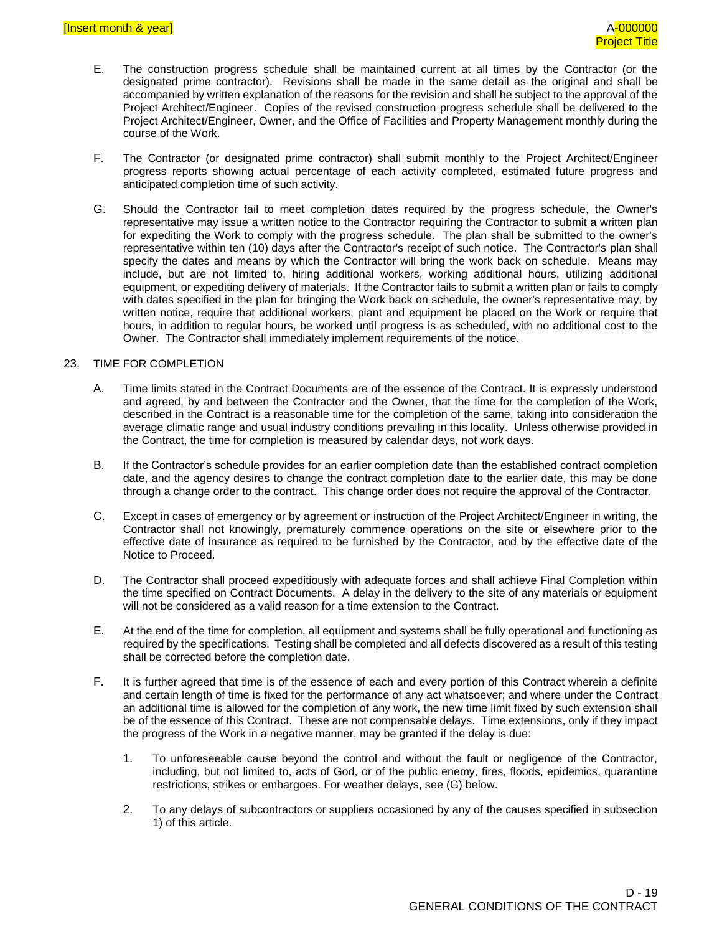- E. The construction progress schedule shall be maintained current at all times by the Contractor (or the designated prime contractor). Revisions shall be made in the same detail as the original and shall be accompanied by written explanation of the reasons for the revision and shall be subject to the approval of the Project Architect/Engineer. Copies of the revised construction progress schedule shall be delivered to the Project Architect/Engineer, Owner, and the Office of Facilities and Property Management monthly during the course of the Work.
- F. The Contractor (or designated prime contractor) shall submit monthly to the Project Architect/Engineer progress reports showing actual percentage of each activity completed, estimated future progress and anticipated completion time of such activity.
- G. Should the Contractor fail to meet completion dates required by the progress schedule, the Owner's representative may issue a written notice to the Contractor requiring the Contractor to submit a written plan for expediting the Work to comply with the progress schedule. The plan shall be submitted to the owner's representative within ten (10) days after the Contractor's receipt of such notice. The Contractor's plan shall specify the dates and means by which the Contractor will bring the work back on schedule. Means may include, but are not limited to, hiring additional workers, working additional hours, utilizing additional equipment, or expediting delivery of materials. If the Contractor fails to submit a written plan or fails to comply with dates specified in the plan for bringing the Work back on schedule, the owner's representative may, by written notice, require that additional workers, plant and equipment be placed on the Work or require that hours, in addition to regular hours, be worked until progress is as scheduled, with no additional cost to the Owner. The Contractor shall immediately implement requirements of the notice.

#### 23. TIME FOR COMPLETION

- A. Time limits stated in the Contract Documents are of the essence of the Contract. It is expressly understood and agreed, by and between the Contractor and the Owner, that the time for the completion of the Work, described in the Contract is a reasonable time for the completion of the same, taking into consideration the average climatic range and usual industry conditions prevailing in this locality. Unless otherwise provided in the Contract, the time for completion is measured by calendar days, not work days.
- B. If the Contractor's schedule provides for an earlier completion date than the established contract completion date, and the agency desires to change the contract completion date to the earlier date, this may be done through a change order to the contract. This change order does not require the approval of the Contractor.
- C. Except in cases of emergency or by agreement or instruction of the Project Architect/Engineer in writing, the Contractor shall not knowingly, prematurely commence operations on the site or elsewhere prior to the effective date of insurance as required to be furnished by the Contractor, and by the effective date of the Notice to Proceed.
- D. The Contractor shall proceed expeditiously with adequate forces and shall achieve Final Completion within the time specified on Contract Documents. A delay in the delivery to the site of any materials or equipment will not be considered as a valid reason for a time extension to the Contract.
- E. At the end of the time for completion, all equipment and systems shall be fully operational and functioning as required by the specifications. Testing shall be completed and all defects discovered as a result of this testing shall be corrected before the completion date.
- F. It is further agreed that time is of the essence of each and every portion of this Contract wherein a definite and certain length of time is fixed for the performance of any act whatsoever; and where under the Contract an additional time is allowed for the completion of any work, the new time limit fixed by such extension shall be of the essence of this Contract. These are not compensable delays. Time extensions, only if they impact the progress of the Work in a negative manner, may be granted if the delay is due:
	- 1. To unforeseeable cause beyond the control and without the fault or negligence of the Contractor, including, but not limited to, acts of God, or of the public enemy, fires, floods, epidemics, quarantine restrictions, strikes or embargoes. For weather delays, see (G) below.
	- 2. To any delays of subcontractors or suppliers occasioned by any of the causes specified in subsection 1) of this article.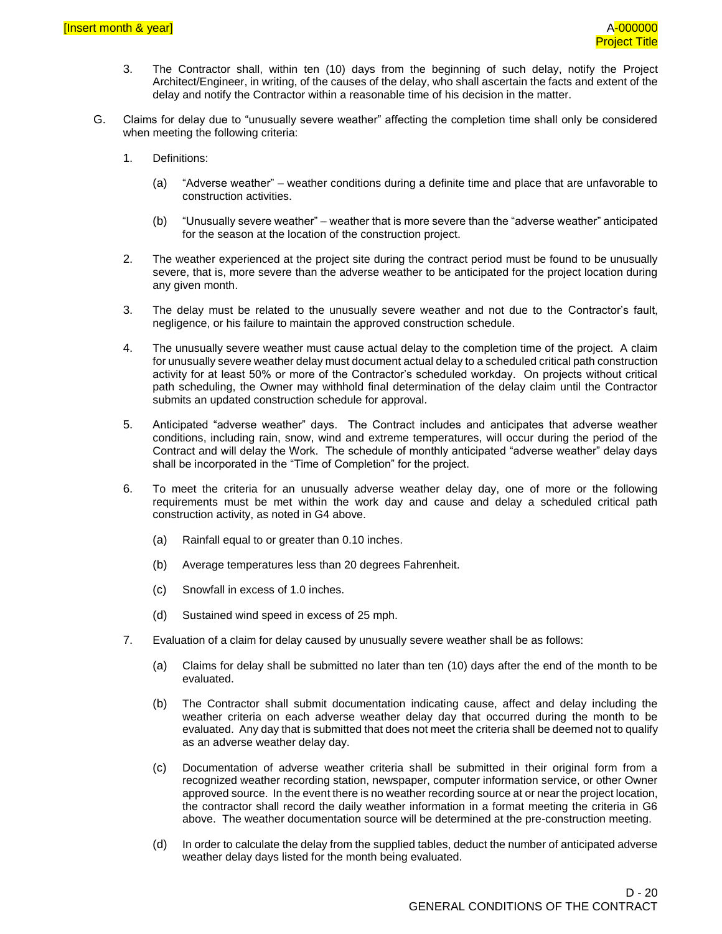- 3. The Contractor shall, within ten (10) days from the beginning of such delay, notify the Project Architect/Engineer, in writing, of the causes of the delay, who shall ascertain the facts and extent of the delay and notify the Contractor within a reasonable time of his decision in the matter.
- G. Claims for delay due to "unusually severe weather" affecting the completion time shall only be considered when meeting the following criteria:
	- 1. Definitions:
		- (a) "Adverse weather" weather conditions during a definite time and place that are unfavorable to construction activities.
		- (b) "Unusually severe weather" weather that is more severe than the "adverse weather" anticipated for the season at the location of the construction project.
	- 2. The weather experienced at the project site during the contract period must be found to be unusually severe, that is, more severe than the adverse weather to be anticipated for the project location during any given month.
	- 3. The delay must be related to the unusually severe weather and not due to the Contractor's fault, negligence, or his failure to maintain the approved construction schedule.
	- 4. The unusually severe weather must cause actual delay to the completion time of the project. A claim for unusually severe weather delay must document actual delay to a scheduled critical path construction activity for at least 50% or more of the Contractor's scheduled workday. On projects without critical path scheduling, the Owner may withhold final determination of the delay claim until the Contractor submits an updated construction schedule for approval.
	- 5. Anticipated "adverse weather" days. The Contract includes and anticipates that adverse weather conditions, including rain, snow, wind and extreme temperatures, will occur during the period of the Contract and will delay the Work. The schedule of monthly anticipated "adverse weather" delay days shall be incorporated in the "Time of Completion" for the project.
	- 6. To meet the criteria for an unusually adverse weather delay day, one of more or the following requirements must be met within the work day and cause and delay a scheduled critical path construction activity, as noted in G4 above.
		- (a) Rainfall equal to or greater than 0.10 inches.
		- (b) Average temperatures less than 20 degrees Fahrenheit.
		- (c) Snowfall in excess of 1.0 inches.
		- (d) Sustained wind speed in excess of 25 mph.
	- 7. Evaluation of a claim for delay caused by unusually severe weather shall be as follows:
		- (a) Claims for delay shall be submitted no later than ten (10) days after the end of the month to be evaluated.
		- (b) The Contractor shall submit documentation indicating cause, affect and delay including the weather criteria on each adverse weather delay day that occurred during the month to be evaluated. Any day that is submitted that does not meet the criteria shall be deemed not to qualify as an adverse weather delay day.
		- (c) Documentation of adverse weather criteria shall be submitted in their original form from a recognized weather recording station, newspaper, computer information service, or other Owner approved source. In the event there is no weather recording source at or near the project location, the contractor shall record the daily weather information in a format meeting the criteria in G6 above. The weather documentation source will be determined at the pre-construction meeting.
		- (d) In order to calculate the delay from the supplied tables, deduct the number of anticipated adverse weather delay days listed for the month being evaluated.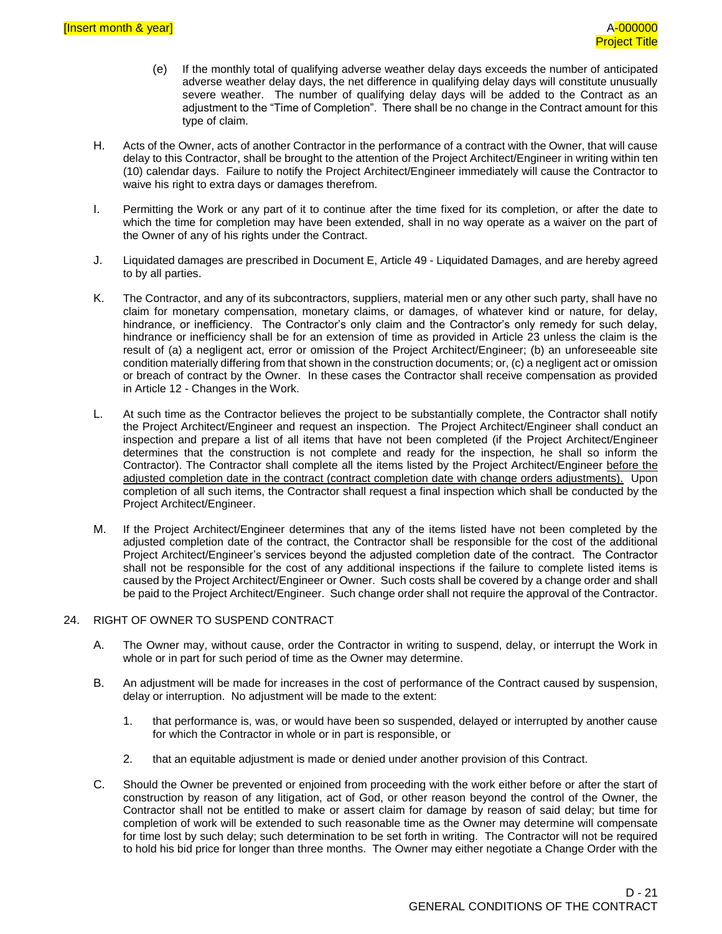- (e) If the monthly total of qualifying adverse weather delay days exceeds the number of anticipated adverse weather delay days, the net difference in qualifying delay days will constitute unusually severe weather. The number of qualifying delay days will be added to the Contract as an adjustment to the "Time of Completion". There shall be no change in the Contract amount for this type of claim.
- H. Acts of the Owner, acts of another Contractor in the performance of a contract with the Owner, that will cause delay to this Contractor, shall be brought to the attention of the Project Architect/Engineer in writing within ten (10) calendar days. Failure to notify the Project Architect/Engineer immediately will cause the Contractor to waive his right to extra days or damages therefrom.
- I. Permitting the Work or any part of it to continue after the time fixed for its completion, or after the date to which the time for completion may have been extended, shall in no way operate as a waiver on the part of the Owner of any of his rights under the Contract.
- J. Liquidated damages are prescribed in Document E, Article 49 Liquidated Damages, and are hereby agreed to by all parties.
- K. The Contractor, and any of its subcontractors, suppliers, material men or any other such party, shall have no claim for monetary compensation, monetary claims, or damages, of whatever kind or nature, for delay, hindrance, or inefficiency. The Contractor's only claim and the Contractor's only remedy for such delay, hindrance or inefficiency shall be for an extension of time as provided in Article 23 unless the claim is the result of (a) a negligent act, error or omission of the Project Architect/Engineer; (b) an unforeseeable site condition materially differing from that shown in the construction documents; or, (c) a negligent act or omission or breach of contract by the Owner. In these cases the Contractor shall receive compensation as provided in Article 12 - Changes in the Work.
- L. At such time as the Contractor believes the project to be substantially complete, the Contractor shall notify the Project Architect/Engineer and request an inspection. The Project Architect/Engineer shall conduct an inspection and prepare a list of all items that have not been completed (if the Project Architect/Engineer determines that the construction is not complete and ready for the inspection, he shall so inform the Contractor). The Contractor shall complete all the items listed by the Project Architect/Engineer before the adjusted completion date in the contract (contract completion date with change orders adjustments). Upon completion of all such items, the Contractor shall request a final inspection which shall be conducted by the Project Architect/Engineer.
- M. If the Project Architect/Engineer determines that any of the items listed have not been completed by the adjusted completion date of the contract, the Contractor shall be responsible for the cost of the additional Project Architect/Engineer's services beyond the adjusted completion date of the contract. The Contractor shall not be responsible for the cost of any additional inspections if the failure to complete listed items is caused by the Project Architect/Engineer or Owner. Such costs shall be covered by a change order and shall be paid to the Project Architect/Engineer. Such change order shall not require the approval of the Contractor.

#### 24. RIGHT OF OWNER TO SUSPEND CONTRACT

- A. The Owner may, without cause, order the Contractor in writing to suspend, delay, or interrupt the Work in whole or in part for such period of time as the Owner may determine.
- B. An adjustment will be made for increases in the cost of performance of the Contract caused by suspension, delay or interruption. No adjustment will be made to the extent:
	- 1. that performance is, was, or would have been so suspended, delayed or interrupted by another cause for which the Contractor in whole or in part is responsible, or
	- 2. that an equitable adjustment is made or denied under another provision of this Contract.
- C. Should the Owner be prevented or enjoined from proceeding with the work either before or after the start of construction by reason of any litigation, act of God, or other reason beyond the control of the Owner, the Contractor shall not be entitled to make or assert claim for damage by reason of said delay; but time for completion of work will be extended to such reasonable time as the Owner may determine will compensate for time lost by such delay; such determination to be set forth in writing. The Contractor will not be required to hold his bid price for longer than three months. The Owner may either negotiate a Change Order with the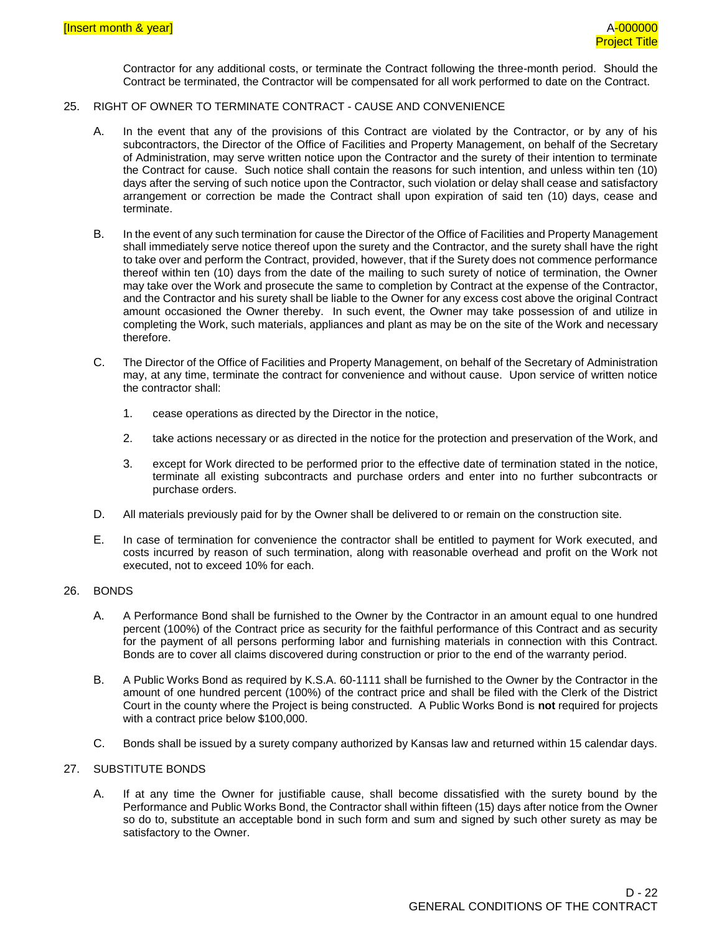Contractor for any additional costs, or terminate the Contract following the three-month period. Should the Contract be terminated, the Contractor will be compensated for all work performed to date on the Contract.

#### 25. RIGHT OF OWNER TO TERMINATE CONTRACT - CAUSE AND CONVENIENCE

- A. In the event that any of the provisions of this Contract are violated by the Contractor, or by any of his subcontractors, the Director of the Office of Facilities and Property Management, on behalf of the Secretary of Administration, may serve written notice upon the Contractor and the surety of their intention to terminate the Contract for cause. Such notice shall contain the reasons for such intention, and unless within ten (10) days after the serving of such notice upon the Contractor, such violation or delay shall cease and satisfactory arrangement or correction be made the Contract shall upon expiration of said ten (10) days, cease and terminate.
- B. In the event of any such termination for cause the Director of the Office of Facilities and Property Management shall immediately serve notice thereof upon the surety and the Contractor, and the surety shall have the right to take over and perform the Contract, provided, however, that if the Surety does not commence performance thereof within ten (10) days from the date of the mailing to such surety of notice of termination, the Owner may take over the Work and prosecute the same to completion by Contract at the expense of the Contractor, and the Contractor and his surety shall be liable to the Owner for any excess cost above the original Contract amount occasioned the Owner thereby. In such event, the Owner may take possession of and utilize in completing the Work, such materials, appliances and plant as may be on the site of the Work and necessary therefore.
- C. The Director of the Office of Facilities and Property Management, on behalf of the Secretary of Administration may, at any time, terminate the contract for convenience and without cause. Upon service of written notice the contractor shall:
	- 1. cease operations as directed by the Director in the notice,
	- 2. take actions necessary or as directed in the notice for the protection and preservation of the Work, and
	- 3. except for Work directed to be performed prior to the effective date of termination stated in the notice, terminate all existing subcontracts and purchase orders and enter into no further subcontracts or purchase orders.
- D. All materials previously paid for by the Owner shall be delivered to or remain on the construction site.
- E. In case of termination for convenience the contractor shall be entitled to payment for Work executed, and costs incurred by reason of such termination, along with reasonable overhead and profit on the Work not executed, not to exceed 10% for each.

#### 26. BONDS

- A. A Performance Bond shall be furnished to the Owner by the Contractor in an amount equal to one hundred percent (100%) of the Contract price as security for the faithful performance of this Contract and as security for the payment of all persons performing labor and furnishing materials in connection with this Contract. Bonds are to cover all claims discovered during construction or prior to the end of the warranty period.
- B. A Public Works Bond as required by K.S.A. 60-1111 shall be furnished to the Owner by the Contractor in the amount of one hundred percent (100%) of the contract price and shall be filed with the Clerk of the District Court in the county where the Project is being constructed. A Public Works Bond is **not** required for projects with a contract price below \$100,000.
- C. Bonds shall be issued by a surety company authorized by Kansas law and returned within 15 calendar days.

#### 27. SUBSTITUTE BONDS

A. If at any time the Owner for justifiable cause, shall become dissatisfied with the surety bound by the Performance and Public Works Bond, the Contractor shall within fifteen (15) days after notice from the Owner so do to, substitute an acceptable bond in such form and sum and signed by such other surety as may be satisfactory to the Owner.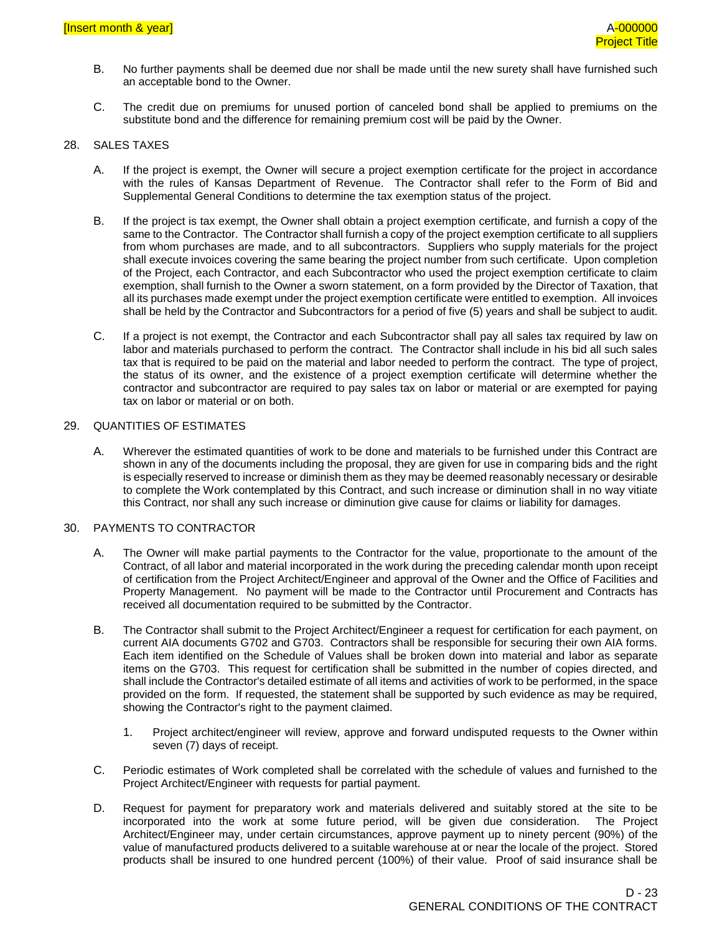- B. No further payments shall be deemed due nor shall be made until the new surety shall have furnished such an acceptable bond to the Owner.
- C. The credit due on premiums for unused portion of canceled bond shall be applied to premiums on the substitute bond and the difference for remaining premium cost will be paid by the Owner.

#### 28. SALES TAXES

- A. If the project is exempt, the Owner will secure a project exemption certificate for the project in accordance with the rules of Kansas Department of Revenue. The Contractor shall refer to the Form of Bid and Supplemental General Conditions to determine the tax exemption status of the project.
- B. If the project is tax exempt, the Owner shall obtain a project exemption certificate, and furnish a copy of the same to the Contractor. The Contractor shall furnish a copy of the project exemption certificate to all suppliers from whom purchases are made, and to all subcontractors. Suppliers who supply materials for the project shall execute invoices covering the same bearing the project number from such certificate. Upon completion of the Project, each Contractor, and each Subcontractor who used the project exemption certificate to claim exemption, shall furnish to the Owner a sworn statement, on a form provided by the Director of Taxation, that all its purchases made exempt under the project exemption certificate were entitled to exemption. All invoices shall be held by the Contractor and Subcontractors for a period of five (5) years and shall be subject to audit.
- C. If a project is not exempt, the Contractor and each Subcontractor shall pay all sales tax required by law on labor and materials purchased to perform the contract. The Contractor shall include in his bid all such sales tax that is required to be paid on the material and labor needed to perform the contract. The type of project, the status of its owner, and the existence of a project exemption certificate will determine whether the contractor and subcontractor are required to pay sales tax on labor or material or are exempted for paying tax on labor or material or on both.

#### 29. QUANTITIES OF ESTIMATES

A. Wherever the estimated quantities of work to be done and materials to be furnished under this Contract are shown in any of the documents including the proposal, they are given for use in comparing bids and the right is especially reserved to increase or diminish them as they may be deemed reasonably necessary or desirable to complete the Work contemplated by this Contract, and such increase or diminution shall in no way vitiate this Contract, nor shall any such increase or diminution give cause for claims or liability for damages.

#### 30. PAYMENTS TO CONTRACTOR

- A. The Owner will make partial payments to the Contractor for the value, proportionate to the amount of the Contract, of all labor and material incorporated in the work during the preceding calendar month upon receipt of certification from the Project Architect/Engineer and approval of the Owner and the Office of Facilities and Property Management. No payment will be made to the Contractor until Procurement and Contracts has received all documentation required to be submitted by the Contractor.
- B. The Contractor shall submit to the Project Architect/Engineer a request for certification for each payment, on current AIA documents G702 and G703. Contractors shall be responsible for securing their own AIA forms. Each item identified on the Schedule of Values shall be broken down into material and labor as separate items on the G703. This request for certification shall be submitted in the number of copies directed, and shall include the Contractor's detailed estimate of all items and activities of work to be performed, in the space provided on the form. If requested, the statement shall be supported by such evidence as may be required, showing the Contractor's right to the payment claimed.
	- 1. Project architect/engineer will review, approve and forward undisputed requests to the Owner within seven (7) days of receipt.
- C. Periodic estimates of Work completed shall be correlated with the schedule of values and furnished to the Project Architect/Engineer with requests for partial payment.
- D. Request for payment for preparatory work and materials delivered and suitably stored at the site to be incorporated into the work at some future period, will be given due consideration. The Project Architect/Engineer may, under certain circumstances, approve payment up to ninety percent (90%) of the value of manufactured products delivered to a suitable warehouse at or near the locale of the project. Stored products shall be insured to one hundred percent (100%) of their value. Proof of said insurance shall be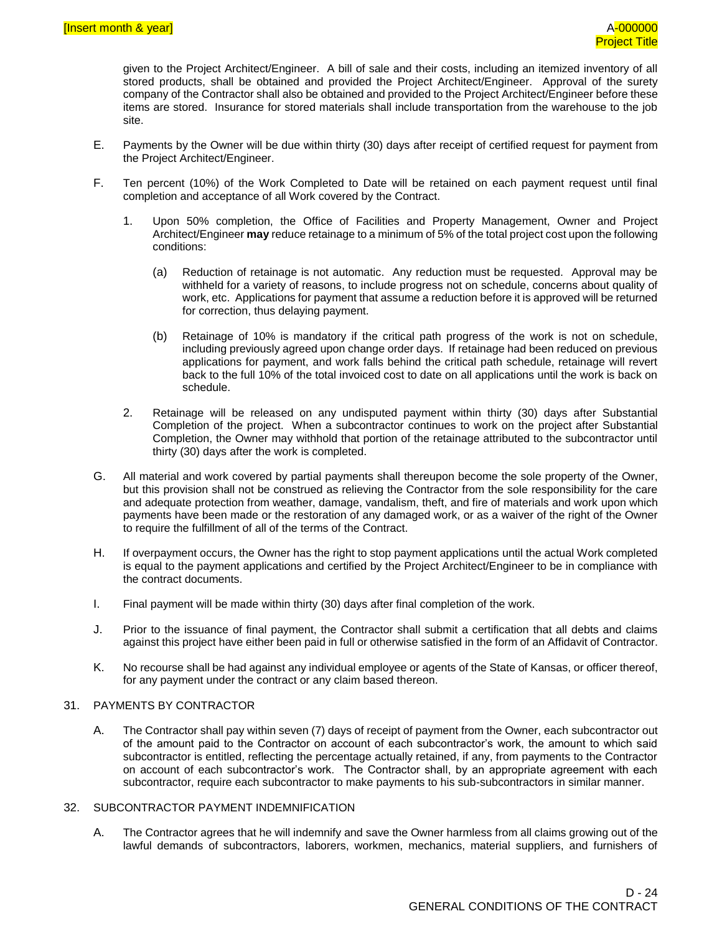given to the Project Architect/Engineer. A bill of sale and their costs, including an itemized inventory of all stored products, shall be obtained and provided the Project Architect/Engineer. Approval of the surety company of the Contractor shall also be obtained and provided to the Project Architect/Engineer before these items are stored. Insurance for stored materials shall include transportation from the warehouse to the job site.

- E. Payments by the Owner will be due within thirty (30) days after receipt of certified request for payment from the Project Architect/Engineer.
- F. Ten percent (10%) of the Work Completed to Date will be retained on each payment request until final completion and acceptance of all Work covered by the Contract.
	- 1. Upon 50% completion, the Office of Facilities and Property Management, Owner and Project Architect/Engineer **may** reduce retainage to a minimum of 5% of the total project cost upon the following conditions:
		- (a) Reduction of retainage is not automatic. Any reduction must be requested. Approval may be withheld for a variety of reasons, to include progress not on schedule, concerns about quality of work, etc. Applications for payment that assume a reduction before it is approved will be returned for correction, thus delaying payment.
		- (b) Retainage of 10% is mandatory if the critical path progress of the work is not on schedule, including previously agreed upon change order days. If retainage had been reduced on previous applications for payment, and work falls behind the critical path schedule, retainage will revert back to the full 10% of the total invoiced cost to date on all applications until the work is back on schedule.
	- 2. Retainage will be released on any undisputed payment within thirty (30) days after Substantial Completion of the project. When a subcontractor continues to work on the project after Substantial Completion, the Owner may withhold that portion of the retainage attributed to the subcontractor until thirty (30) days after the work is completed.
- G. All material and work covered by partial payments shall thereupon become the sole property of the Owner, but this provision shall not be construed as relieving the Contractor from the sole responsibility for the care and adequate protection from weather, damage, vandalism, theft, and fire of materials and work upon which payments have been made or the restoration of any damaged work, or as a waiver of the right of the Owner to require the fulfillment of all of the terms of the Contract.
- H. If overpayment occurs, the Owner has the right to stop payment applications until the actual Work completed is equal to the payment applications and certified by the Project Architect/Engineer to be in compliance with the contract documents.
- I. Final payment will be made within thirty (30) days after final completion of the work.
- J. Prior to the issuance of final payment, the Contractor shall submit a certification that all debts and claims against this project have either been paid in full or otherwise satisfied in the form of an Affidavit of Contractor.
- K. No recourse shall be had against any individual employee or agents of the State of Kansas, or officer thereof, for any payment under the contract or any claim based thereon.

#### 31. PAYMENTS BY CONTRACTOR

A. The Contractor shall pay within seven (7) days of receipt of payment from the Owner, each subcontractor out of the amount paid to the Contractor on account of each subcontractor's work, the amount to which said subcontractor is entitled, reflecting the percentage actually retained, if any, from payments to the Contractor on account of each subcontractor's work. The Contractor shall, by an appropriate agreement with each subcontractor, require each subcontractor to make payments to his sub-subcontractors in similar manner.

#### 32. SUBCONTRACTOR PAYMENT INDEMNIFICATION

A. The Contractor agrees that he will indemnify and save the Owner harmless from all claims growing out of the lawful demands of subcontractors, laborers, workmen, mechanics, material suppliers, and furnishers of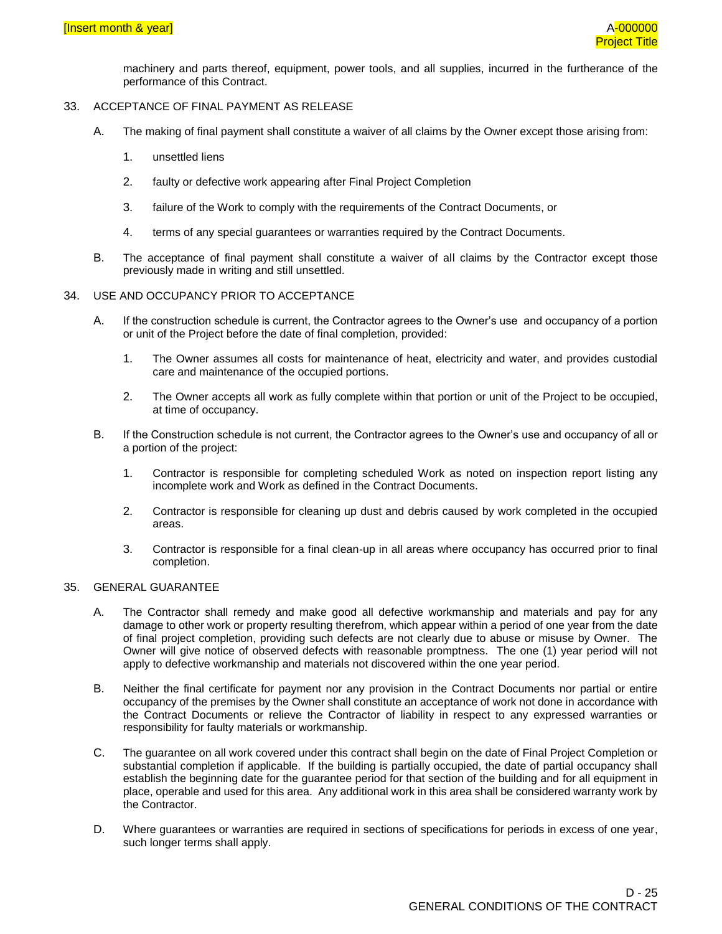machinery and parts thereof, equipment, power tools, and all supplies, incurred in the furtherance of the performance of this Contract.

#### 33. ACCEPTANCE OF FINAL PAYMENT AS RELEASE

- A. The making of final payment shall constitute a waiver of all claims by the Owner except those arising from:
	- 1. unsettled liens
	- 2. faulty or defective work appearing after Final Project Completion
	- 3. failure of the Work to comply with the requirements of the Contract Documents, or
	- 4. terms of any special guarantees or warranties required by the Contract Documents.
- B. The acceptance of final payment shall constitute a waiver of all claims by the Contractor except those previously made in writing and still unsettled.

#### 34. USE AND OCCUPANCY PRIOR TO ACCEPTANCE

- A. If the construction schedule is current, the Contractor agrees to the Owner's use and occupancy of a portion or unit of the Project before the date of final completion, provided:
	- 1. The Owner assumes all costs for maintenance of heat, electricity and water, and provides custodial care and maintenance of the occupied portions.
	- 2. The Owner accepts all work as fully complete within that portion or unit of the Project to be occupied, at time of occupancy.
- B. If the Construction schedule is not current, the Contractor agrees to the Owner's use and occupancy of all or a portion of the project:
	- 1. Contractor is responsible for completing scheduled Work as noted on inspection report listing any incomplete work and Work as defined in the Contract Documents.
	- 2. Contractor is responsible for cleaning up dust and debris caused by work completed in the occupied areas.
	- 3. Contractor is responsible for a final clean-up in all areas where occupancy has occurred prior to final completion.

#### 35. GENERAL GUARANTEE

- A. The Contractor shall remedy and make good all defective workmanship and materials and pay for any damage to other work or property resulting therefrom, which appear within a period of one year from the date of final project completion, providing such defects are not clearly due to abuse or misuse by Owner. The Owner will give notice of observed defects with reasonable promptness. The one (1) year period will not apply to defective workmanship and materials not discovered within the one year period.
- B. Neither the final certificate for payment nor any provision in the Contract Documents nor partial or entire occupancy of the premises by the Owner shall constitute an acceptance of work not done in accordance with the Contract Documents or relieve the Contractor of liability in respect to any expressed warranties or responsibility for faulty materials or workmanship.
- C. The guarantee on all work covered under this contract shall begin on the date of Final Project Completion or substantial completion if applicable. If the building is partially occupied, the date of partial occupancy shall establish the beginning date for the guarantee period for that section of the building and for all equipment in place, operable and used for this area. Any additional work in this area shall be considered warranty work by the Contractor.
- D. Where guarantees or warranties are required in sections of specifications for periods in excess of one year, such longer terms shall apply.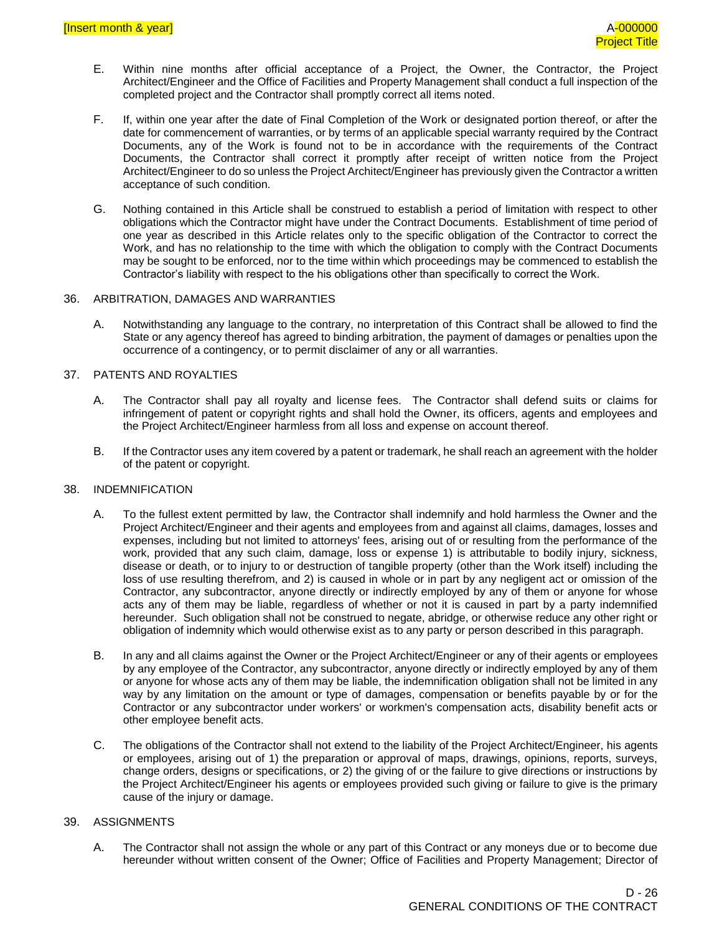- E. Within nine months after official acceptance of a Project, the Owner, the Contractor, the Project Architect/Engineer and the Office of Facilities and Property Management shall conduct a full inspection of the completed project and the Contractor shall promptly correct all items noted.
- F. If, within one year after the date of Final Completion of the Work or designated portion thereof, or after the date for commencement of warranties, or by terms of an applicable special warranty required by the Contract Documents, any of the Work is found not to be in accordance with the requirements of the Contract Documents, the Contractor shall correct it promptly after receipt of written notice from the Project Architect/Engineer to do so unless the Project Architect/Engineer has previously given the Contractor a written acceptance of such condition.
- G. Nothing contained in this Article shall be construed to establish a period of limitation with respect to other obligations which the Contractor might have under the Contract Documents. Establishment of time period of one year as described in this Article relates only to the specific obligation of the Contractor to correct the Work, and has no relationship to the time with which the obligation to comply with the Contract Documents may be sought to be enforced, nor to the time within which proceedings may be commenced to establish the Contractor's liability with respect to the his obligations other than specifically to correct the Work.

#### 36. ARBITRATION, DAMAGES AND WARRANTIES

A. Notwithstanding any language to the contrary, no interpretation of this Contract shall be allowed to find the State or any agency thereof has agreed to binding arbitration, the payment of damages or penalties upon the occurrence of a contingency, or to permit disclaimer of any or all warranties.

#### 37. PATENTS AND ROYALTIES

- A. The Contractor shall pay all royalty and license fees. The Contractor shall defend suits or claims for infringement of patent or copyright rights and shall hold the Owner, its officers, agents and employees and the Project Architect/Engineer harmless from all loss and expense on account thereof.
- B. If the Contractor uses any item covered by a patent or trademark, he shall reach an agreement with the holder of the patent or copyright.

#### 38. INDEMNIFICATION

- A. To the fullest extent permitted by law, the Contractor shall indemnify and hold harmless the Owner and the Project Architect/Engineer and their agents and employees from and against all claims, damages, losses and expenses, including but not limited to attorneys' fees, arising out of or resulting from the performance of the work, provided that any such claim, damage, loss or expense 1) is attributable to bodily injury, sickness, disease or death, or to injury to or destruction of tangible property (other than the Work itself) including the loss of use resulting therefrom, and 2) is caused in whole or in part by any negligent act or omission of the Contractor, any subcontractor, anyone directly or indirectly employed by any of them or anyone for whose acts any of them may be liable, regardless of whether or not it is caused in part by a party indemnified hereunder. Such obligation shall not be construed to negate, abridge, or otherwise reduce any other right or obligation of indemnity which would otherwise exist as to any party or person described in this paragraph.
- B. In any and all claims against the Owner or the Project Architect/Engineer or any of their agents or employees by any employee of the Contractor, any subcontractor, anyone directly or indirectly employed by any of them or anyone for whose acts any of them may be liable, the indemnification obligation shall not be limited in any way by any limitation on the amount or type of damages, compensation or benefits payable by or for the Contractor or any subcontractor under workers' or workmen's compensation acts, disability benefit acts or other employee benefit acts.
- C. The obligations of the Contractor shall not extend to the liability of the Project Architect/Engineer, his agents or employees, arising out of 1) the preparation or approval of maps, drawings, opinions, reports, surveys, change orders, designs or specifications, or 2) the giving of or the failure to give directions or instructions by the Project Architect/Engineer his agents or employees provided such giving or failure to give is the primary cause of the injury or damage.

#### 39. ASSIGNMENTS

A. The Contractor shall not assign the whole or any part of this Contract or any moneys due or to become due hereunder without written consent of the Owner; Office of Facilities and Property Management; Director of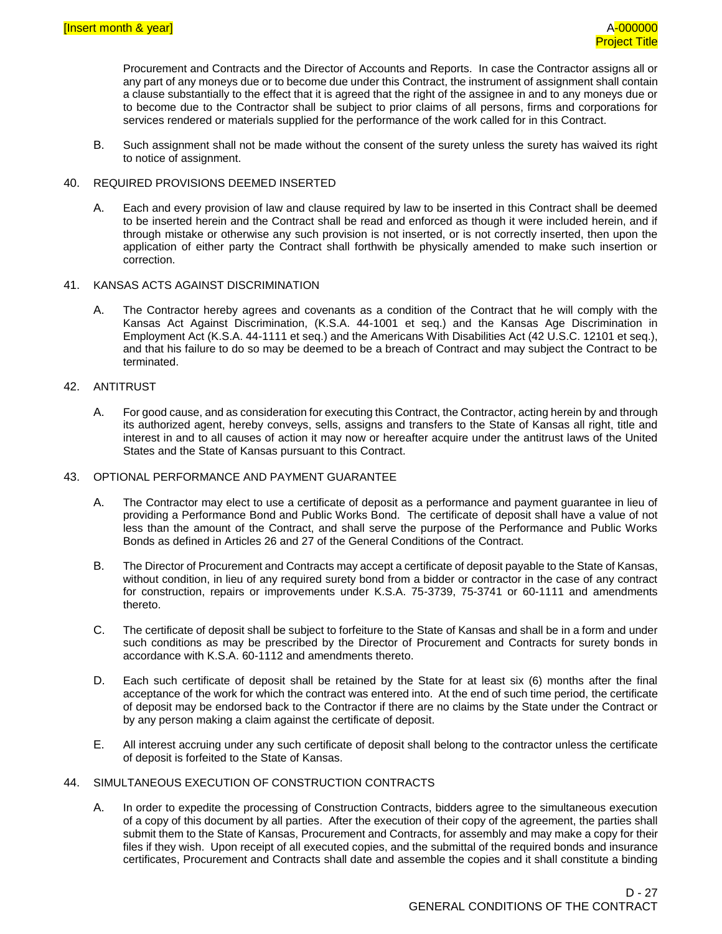Procurement and Contracts and the Director of Accounts and Reports. In case the Contractor assigns all or any part of any moneys due or to become due under this Contract, the instrument of assignment shall contain a clause substantially to the effect that it is agreed that the right of the assignee in and to any moneys due or to become due to the Contractor shall be subject to prior claims of all persons, firms and corporations for services rendered or materials supplied for the performance of the work called for in this Contract.

B. Such assignment shall not be made without the consent of the surety unless the surety has waived its right to notice of assignment.

#### 40. REQUIRED PROVISIONS DEEMED INSERTED

A. Each and every provision of law and clause required by law to be inserted in this Contract shall be deemed to be inserted herein and the Contract shall be read and enforced as though it were included herein, and if through mistake or otherwise any such provision is not inserted, or is not correctly inserted, then upon the application of either party the Contract shall forthwith be physically amended to make such insertion or correction.

#### 41. KANSAS ACTS AGAINST DISCRIMINATION

A. The Contractor hereby agrees and covenants as a condition of the Contract that he will comply with the Kansas Act Against Discrimination, (K.S.A. 44-1001 et seq.) and the Kansas Age Discrimination in Employment Act (K.S.A. 44-1111 et seq.) and the Americans With Disabilities Act (42 U.S.C. 12101 et seq.), and that his failure to do so may be deemed to be a breach of Contract and may subject the Contract to be terminated.

#### 42. ANTITRUST

A. For good cause, and as consideration for executing this Contract, the Contractor, acting herein by and through its authorized agent, hereby conveys, sells, assigns and transfers to the State of Kansas all right, title and interest in and to all causes of action it may now or hereafter acquire under the antitrust laws of the United States and the State of Kansas pursuant to this Contract.

#### 43. OPTIONAL PERFORMANCE AND PAYMENT GUARANTEE

- A. The Contractor may elect to use a certificate of deposit as a performance and payment guarantee in lieu of providing a Performance Bond and Public Works Bond. The certificate of deposit shall have a value of not less than the amount of the Contract, and shall serve the purpose of the Performance and Public Works Bonds as defined in Articles 26 and 27 of the General Conditions of the Contract.
- B. The Director of Procurement and Contracts may accept a certificate of deposit payable to the State of Kansas, without condition, in lieu of any required surety bond from a bidder or contractor in the case of any contract for construction, repairs or improvements under K.S.A. 75-3739, 75-3741 or 60-1111 and amendments thereto.
- C. The certificate of deposit shall be subject to forfeiture to the State of Kansas and shall be in a form and under such conditions as may be prescribed by the Director of Procurement and Contracts for surety bonds in accordance with K.S.A. 60-1112 and amendments thereto.
- D. Each such certificate of deposit shall be retained by the State for at least six (6) months after the final acceptance of the work for which the contract was entered into. At the end of such time period, the certificate of deposit may be endorsed back to the Contractor if there are no claims by the State under the Contract or by any person making a claim against the certificate of deposit.
- E. All interest accruing under any such certificate of deposit shall belong to the contractor unless the certificate of deposit is forfeited to the State of Kansas.

#### 44. SIMULTANEOUS EXECUTION OF CONSTRUCTION CONTRACTS

A. In order to expedite the processing of Construction Contracts, bidders agree to the simultaneous execution of a copy of this document by all parties. After the execution of their copy of the agreement, the parties shall submit them to the State of Kansas, Procurement and Contracts, for assembly and may make a copy for their files if they wish. Upon receipt of all executed copies, and the submittal of the required bonds and insurance certificates, Procurement and Contracts shall date and assemble the copies and it shall constitute a binding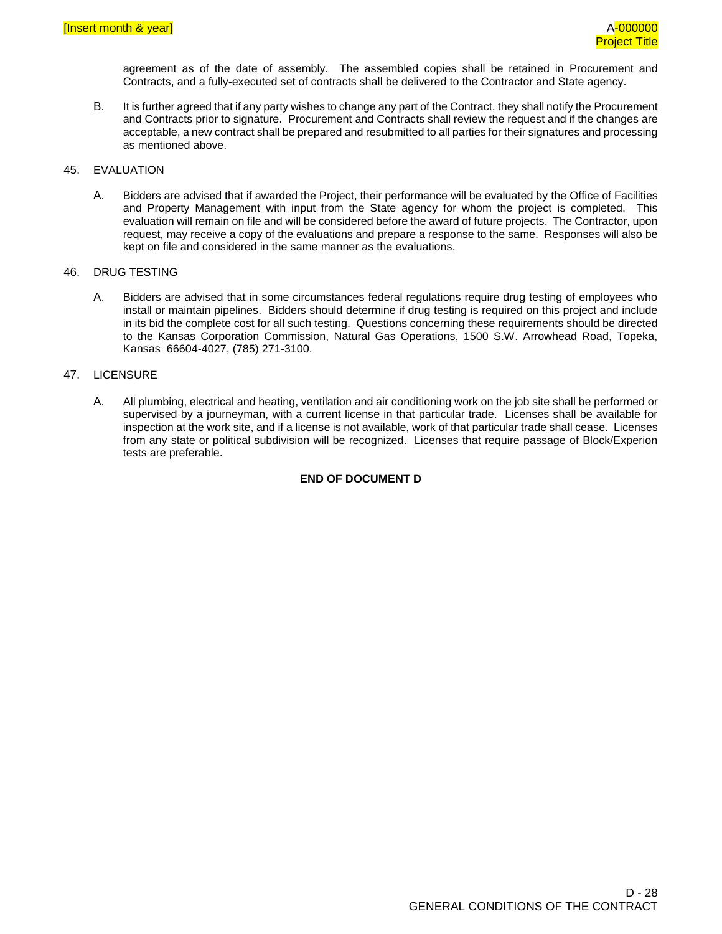agreement as of the date of assembly. The assembled copies shall be retained in Procurement and Contracts, and a fully-executed set of contracts shall be delivered to the Contractor and State agency.

B. It is further agreed that if any party wishes to change any part of the Contract, they shall notify the Procurement and Contracts prior to signature. Procurement and Contracts shall review the request and if the changes are acceptable, a new contract shall be prepared and resubmitted to all parties for their signatures and processing as mentioned above.

#### 45. EVALUATION

A. Bidders are advised that if awarded the Project, their performance will be evaluated by the Office of Facilities and Property Management with input from the State agency for whom the project is completed. This evaluation will remain on file and will be considered before the award of future projects. The Contractor, upon request, may receive a copy of the evaluations and prepare a response to the same. Responses will also be kept on file and considered in the same manner as the evaluations.

#### 46. DRUG TESTING

A. Bidders are advised that in some circumstances federal regulations require drug testing of employees who install or maintain pipelines. Bidders should determine if drug testing is required on this project and include in its bid the complete cost for all such testing. Questions concerning these requirements should be directed to the Kansas Corporation Commission, Natural Gas Operations, 1500 S.W. Arrowhead Road, Topeka, Kansas 66604-4027, (785) 271-3100.

#### 47. LICENSURE

A. All plumbing, electrical and heating, ventilation and air conditioning work on the job site shall be performed or supervised by a journeyman, with a current license in that particular trade. Licenses shall be available for inspection at the work site, and if a license is not available, work of that particular trade shall cease. Licenses from any state or political subdivision will be recognized. Licenses that require passage of Block/Experion tests are preferable.

#### **END OF DOCUMENT D**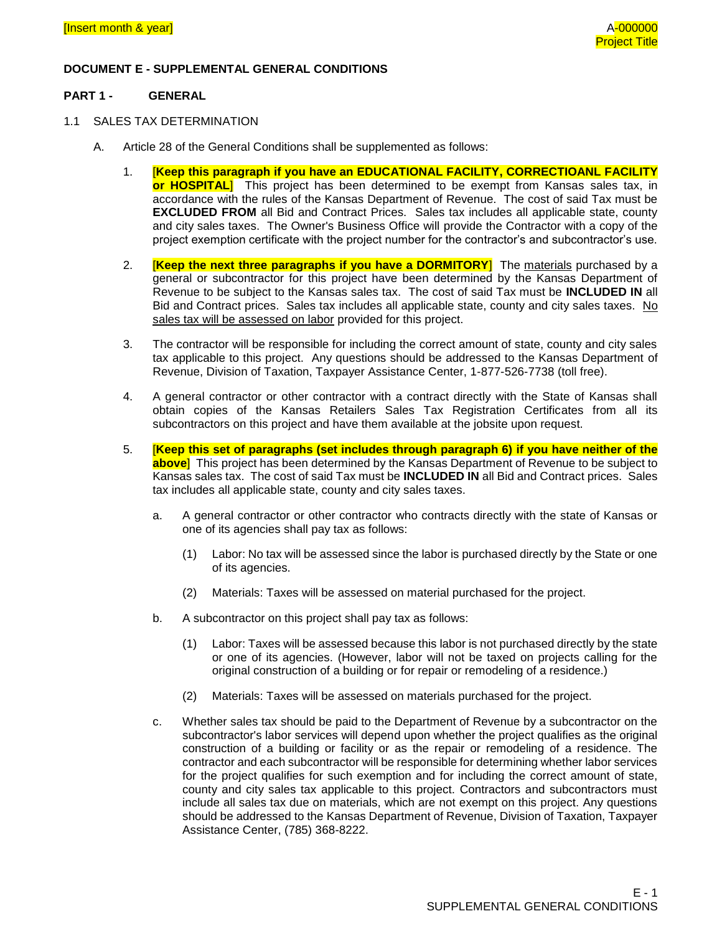# **DOCUMENT E - SUPPLEMENTAL GENERAL CONDITIONS**

#### **PART 1 - GENERAL**

- 1.1 SALES TAX DETERMINATION
	- A. Article 28 of the General Conditions shall be supplemented as follows:
		- 1. [**Keep this paragraph if you have an EDUCATIONAL FACILITY, CORRECTIOANL FACILITY or HOSPITAL**] This project has been determined to be exempt from Kansas sales tax, in accordance with the rules of the Kansas Department of Revenue. The cost of said Tax must be **EXCLUDED FROM** all Bid and Contract Prices. Sales tax includes all applicable state, county and city sales taxes. The Owner's Business Office will provide the Contractor with a copy of the project exemption certificate with the project number for the contractor's and subcontractor's use.
		- 2. [**Keep the next three paragraphs if you have a DORMITORY**] The materials purchased by a general or subcontractor for this project have been determined by the Kansas Department of Revenue to be subject to the Kansas sales tax. The cost of said Tax must be **INCLUDED IN** all Bid and Contract prices. Sales tax includes all applicable state, county and city sales taxes. No sales tax will be assessed on labor provided for this project.
		- 3. The contractor will be responsible for including the correct amount of state, county and city sales tax applicable to this project. Any questions should be addressed to the Kansas Department of Revenue, Division of Taxation, Taxpayer Assistance Center, 1-877-526-7738 (toll free).
		- 4. A general contractor or other contractor with a contract directly with the State of Kansas shall obtain copies of the Kansas Retailers Sales Tax Registration Certificates from all its subcontractors on this project and have them available at the jobsite upon request.
		- 5. [**Keep this set of paragraphs (set includes through paragraph 6) if you have neither of the above**] This project has been determined by the Kansas Department of Revenue to be subject to Kansas sales tax. The cost of said Tax must be **INCLUDED IN** all Bid and Contract prices. Sales tax includes all applicable state, county and city sales taxes.
			- a. A general contractor or other contractor who contracts directly with the state of Kansas or one of its agencies shall pay tax as follows:
				- (1) Labor: No tax will be assessed since the labor is purchased directly by the State or one of its agencies.
				- (2) Materials: Taxes will be assessed on material purchased for the project.
			- b. A subcontractor on this project shall pay tax as follows:
				- (1) Labor: Taxes will be assessed because this labor is not purchased directly by the state or one of its agencies. (However, labor will not be taxed on projects calling for the original construction of a building or for repair or remodeling of a residence.)
				- (2) Materials: Taxes will be assessed on materials purchased for the project.
			- c. Whether sales tax should be paid to the Department of Revenue by a subcontractor on the subcontractor's labor services will depend upon whether the project qualifies as the original construction of a building or facility or as the repair or remodeling of a residence. The contractor and each subcontractor will be responsible for determining whether labor services for the project qualifies for such exemption and for including the correct amount of state, county and city sales tax applicable to this project. Contractors and subcontractors must include all sales tax due on materials, which are not exempt on this project. Any questions should be addressed to the Kansas Department of Revenue, Division of Taxation, Taxpayer Assistance Center, (785) 368-8222.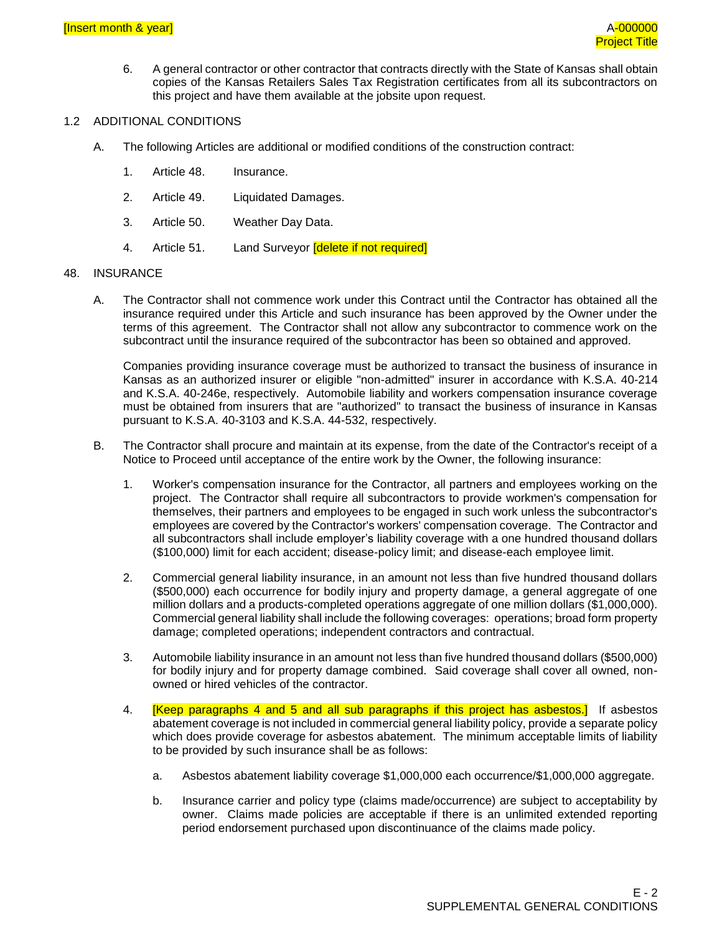6. A general contractor or other contractor that contracts directly with the State of Kansas shall obtain copies of the Kansas Retailers Sales Tax Registration certificates from all its subcontractors on this project and have them available at the jobsite upon request.

#### 1.2 ADDITIONAL CONDITIONS

- A. The following Articles are additional or modified conditions of the construction contract:
	- 1. Article 48. Insurance.
	- 2. Article 49. Liquidated Damages.
	- 3. Article 50. Weather Day Data.
	- 4. Article 51. Land Surveyor *delete if not required*

#### 48. INSURANCE

A. The Contractor shall not commence work under this Contract until the Contractor has obtained all the insurance required under this Article and such insurance has been approved by the Owner under the terms of this agreement. The Contractor shall not allow any subcontractor to commence work on the subcontract until the insurance required of the subcontractor has been so obtained and approved.

Companies providing insurance coverage must be authorized to transact the business of insurance in Kansas as an authorized insurer or eligible "non-admitted" insurer in accordance with K.S.A. 40-214 and K.S.A. 40-246e, respectively. Automobile liability and workers compensation insurance coverage must be obtained from insurers that are "authorized" to transact the business of insurance in Kansas pursuant to K.S.A. 40-3103 and K.S.A. 44-532, respectively.

- B. The Contractor shall procure and maintain at its expense, from the date of the Contractor's receipt of a Notice to Proceed until acceptance of the entire work by the Owner, the following insurance:
	- 1. Worker's compensation insurance for the Contractor, all partners and employees working on the project. The Contractor shall require all subcontractors to provide workmen's compensation for themselves, their partners and employees to be engaged in such work unless the subcontractor's employees are covered by the Contractor's workers' compensation coverage. The Contractor and all subcontractors shall include employer's liability coverage with a one hundred thousand dollars (\$100,000) limit for each accident; disease-policy limit; and disease-each employee limit.
	- 2. Commercial general liability insurance, in an amount not less than five hundred thousand dollars (\$500,000) each occurrence for bodily injury and property damage, a general aggregate of one million dollars and a products-completed operations aggregate of one million dollars (\$1,000,000). Commercial general liability shall include the following coverages: operations; broad form property damage; completed operations; independent contractors and contractual.
	- 3. Automobile liability insurance in an amount not less than five hundred thousand dollars (\$500,000) for bodily injury and for property damage combined. Said coverage shall cover all owned, nonowned or hired vehicles of the contractor.
	- 4. **[Keep paragraphs 4 and 5 and all sub paragraphs if this project has asbestos.]** If asbestos abatement coverage is not included in commercial general liability policy, provide a separate policy which does provide coverage for asbestos abatement. The minimum acceptable limits of liability to be provided by such insurance shall be as follows:
		- a. Asbestos abatement liability coverage \$1,000,000 each occurrence/\$1,000,000 aggregate.
		- b. Insurance carrier and policy type (claims made/occurrence) are subject to acceptability by owner. Claims made policies are acceptable if there is an unlimited extended reporting period endorsement purchased upon discontinuance of the claims made policy.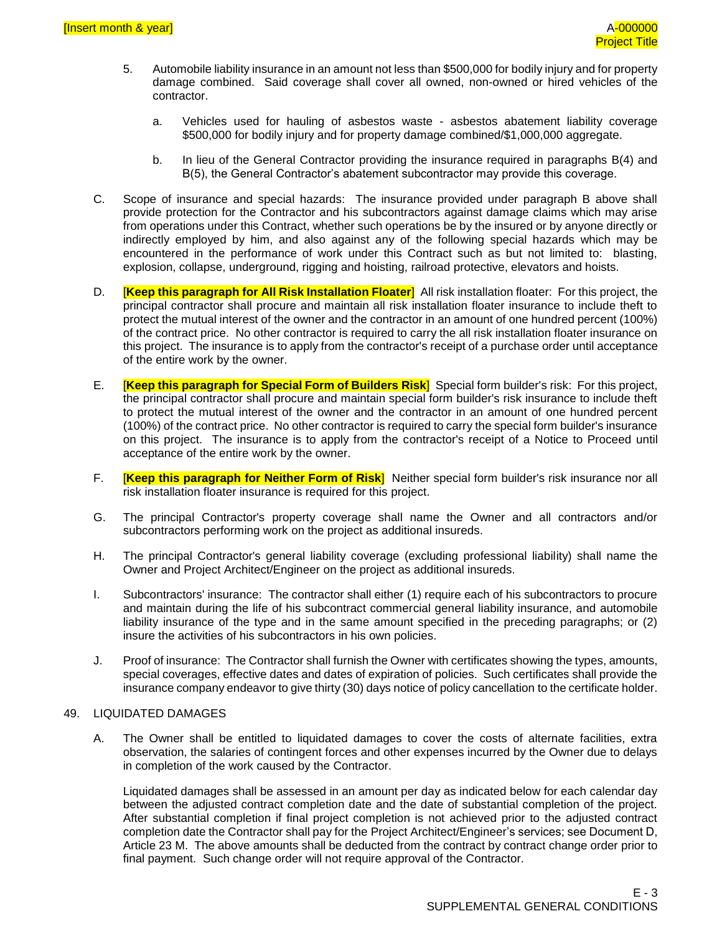- 5. Automobile liability insurance in an amount not less than \$500,000 for bodily injury and for property damage combined. Said coverage shall cover all owned, non-owned or hired vehicles of the contractor.
	- a. Vehicles used for hauling of asbestos waste asbestos abatement liability coverage \$500,000 for bodily injury and for property damage combined/\$1,000,000 aggregate.
	- b. In lieu of the General Contractor providing the insurance required in paragraphs B(4) and B(5), the General Contractor's abatement subcontractor may provide this coverage.
- C. Scope of insurance and special hazards: The insurance provided under paragraph B above shall provide protection for the Contractor and his subcontractors against damage claims which may arise from operations under this Contract, whether such operations be by the insured or by anyone directly or indirectly employed by him, and also against any of the following special hazards which may be encountered in the performance of work under this Contract such as but not limited to: blasting, explosion, collapse, underground, rigging and hoisting, railroad protective, elevators and hoists.
- D. [**Keep this paragraph for All Risk Installation Floater**] All risk installation floater: For this project, the principal contractor shall procure and maintain all risk installation floater insurance to include theft to protect the mutual interest of the owner and the contractor in an amount of one hundred percent (100%) of the contract price. No other contractor is required to carry the all risk installation floater insurance on this project. The insurance is to apply from the contractor's receipt of a purchase order until acceptance of the entire work by the owner.
- E. [**Keep this paragraph for Special Form of Builders Risk**] Special form builder's risk: For this project, the principal contractor shall procure and maintain special form builder's risk insurance to include theft to protect the mutual interest of the owner and the contractor in an amount of one hundred percent (100%) of the contract price. No other contractor is required to carry the special form builder's insurance on this project. The insurance is to apply from the contractor's receipt of a Notice to Proceed until acceptance of the entire work by the owner.
- F. [**Keep this paragraph for Neither Form of Risk**] Neither special form builder's risk insurance nor all risk installation floater insurance is required for this project.
- G. The principal Contractor's property coverage shall name the Owner and all contractors and/or subcontractors performing work on the project as additional insureds.
- H. The principal Contractor's general liability coverage (excluding professional liability) shall name the Owner and Project Architect/Engineer on the project as additional insureds.
- I. Subcontractors' insurance: The contractor shall either (1) require each of his subcontractors to procure and maintain during the life of his subcontract commercial general liability insurance, and automobile liability insurance of the type and in the same amount specified in the preceding paragraphs; or (2) insure the activities of his subcontractors in his own policies.
- J. Proof of insurance: The Contractor shall furnish the Owner with certificates showing the types, amounts, special coverages, effective dates and dates of expiration of policies. Such certificates shall provide the insurance company endeavor to give thirty (30) days notice of policy cancellation to the certificate holder.

#### 49. LIQUIDATED DAMAGES

A. The Owner shall be entitled to liquidated damages to cover the costs of alternate facilities, extra observation, the salaries of contingent forces and other expenses incurred by the Owner due to delays in completion of the work caused by the Contractor.

Liquidated damages shall be assessed in an amount per day as indicated below for each calendar day between the adjusted contract completion date and the date of substantial completion of the project. After substantial completion if final project completion is not achieved prior to the adjusted contract completion date the Contractor shall pay for the Project Architect/Engineer's services; see Document D, Article 23 M. The above amounts shall be deducted from the contract by contract change order prior to final payment. Such change order will not require approval of the Contractor.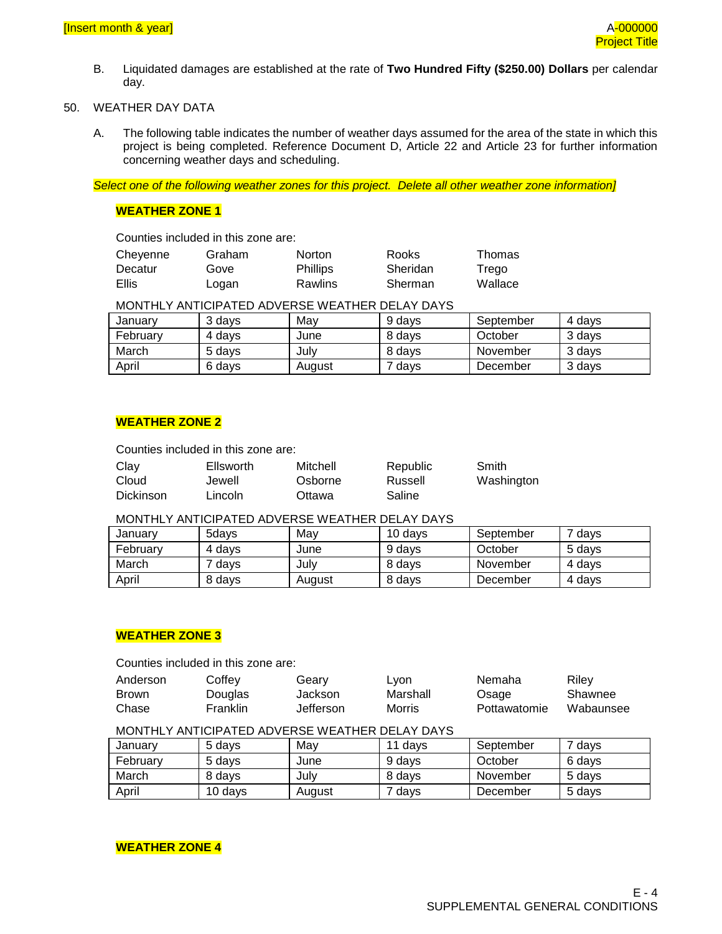B. Liquidated damages are established at the rate of **Two Hundred Fifty (\$250.00) Dollars** per calendar day.

# 50. WEATHER DAY DATA

A. The following table indicates the number of weather days assumed for the area of the state in which this project is being completed. Reference Document D, Article 22 and Article 23 for further information concerning weather days and scheduling.

*Select one of the following weather zones for this project. Delete all other weather zone information]*

# **WEATHER ZONE 1**

Counties included in this zone are:

| Cheyenne | Graham | <b>Norton</b>   | Rooks    | Thomas  |
|----------|--------|-----------------|----------|---------|
| Decatur  | Gove   | <b>Phillips</b> | Sheridan | Trego   |
| Ellis    | Logan  | Rawlins         | Sherman  | Wallace |

MONTHLY ANTICIPATED ADVERSE WEATHER DELAY DAYS

| January  | 3 davs | Mav    | 9 davs | September | 4 davs |
|----------|--------|--------|--------|-----------|--------|
| February | 4 davs | June   | 8 davs | October   | 3 davs |
| March    | 5 davs | Julv   | 8 davs | November  | 3 davs |
| April    | 6 davs | August | davs   | December  | 3 davs |

# **WEATHER ZONE 2**

Counties included in this zone are:

| Clay      | Ellsworth | Mitchell | Republic | Smith      |
|-----------|-----------|----------|----------|------------|
| Cloud     | Jewell    | Osborne  | Russell  | Washington |
| Dickinson | Lincoln   | Ottawa   | Saline   |            |

### MONTHLY ANTICIPATED ADVERSE WEATHER DELAY DAYS

| January  | 5davs  | Mav    | 10 days | September | ' davs |
|----------|--------|--------|---------|-----------|--------|
| February | 4 davs | June   | 9 days  | October   | 5 davs |
| March    | davs   | Julv   | 8 days  | November  | 4 days |
| April    | 8 days | August | 8 days  | December  | 4 days |

#### **WEATHER ZONE 3**

Counties included in this zone are:

| Anderson     | Coffev   | Gearv     | Lyon     | Nemaha       | Rilev     |
|--------------|----------|-----------|----------|--------------|-----------|
| <b>Brown</b> | Douglas  | Jackson   | Marshall | Osage        | Shawnee   |
| Chase        | Franklin | Jefferson | Morris   | Pottawatomie | Wabaunsee |

#### MONTHLY ANTICIPATED ADVERSE WEATHER DELAY DAYS

| Januarv  | 5 davs  | Mav    | 11 davs | September | <sup>7</sup> days |
|----------|---------|--------|---------|-----------|-------------------|
| Februarv | 5 davs  | June   | 9 davs  | October   | 6 days            |
| March    | 8 davs  | July   | 8 days  | November  | 5 davs            |
| April    | 10 days | August | davs    | December  | 5 days            |

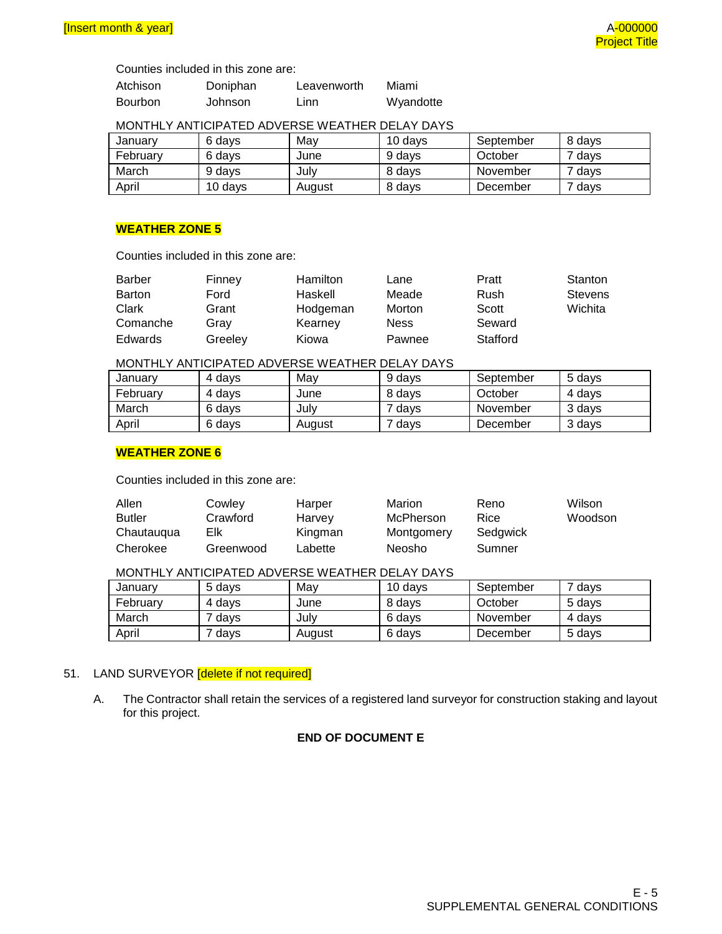Counties included in this zone are:

| Atchison | Doniphan | Leavenworth | Miami     |
|----------|----------|-------------|-----------|
| Bourbon  | Johnson  | Linn        | Wyandotte |

### MONTHLY ANTICIPATED ADVERSE WEATHER DELAY DAYS

| Januarv  | 6 davs  | Mav    | 10 davs | September | 8 davs |
|----------|---------|--------|---------|-----------|--------|
| February | 6 davs  | June   | 9 davs  | October   | davs   |
| March    | 9 davs  | Julv   | 8 davs  | November  | ' davs |
| April    | 10 davs | August | 8 days  | December  | davs   |

# **WEATHER ZONE 5**

Counties included in this zone are:

| Barber        | Finney  | Hamilton | Lane        | Pratt    | Stanton |
|---------------|---------|----------|-------------|----------|---------|
| <b>Barton</b> | Ford    | Haskell  | Meade       | Rush     | Stevens |
| Clark         | Grant   | Hodgeman | Morton      | Scott    | Wichita |
| Comanche      | Grav    | Kearney  | <b>Ness</b> | Seward   |         |
| Edwards       | Greelev | Kiowa    | Pawnee      | Stafford |         |

### MONTHLY ANTICIPATED ADVERSE WEATHER DELAY DAYS

| Januarv  | 4 davs | Mav    | 9 days | September | 5 davs |
|----------|--------|--------|--------|-----------|--------|
| Februarv | 4 davs | June   | 8 days | October   | 4 davs |
| March    | 6 davs | July   | davs   | November  | 3 davs |
| April    | 6 davs | August | days   | December  | 3 days |

### **WEATHER ZONE 6**

Counties included in this zone are:

| Allen         | Cowley    | Harper  | Marion     | Reno     | Wilson  |
|---------------|-----------|---------|------------|----------|---------|
| <b>Butler</b> | Crawford  | Harvey  | McPherson  | Rice     | Woodson |
| Chautaugua    | Elk       | Kingman | Montgomery | Sedgwick |         |
| Cherokee      | Greenwood | Labette | Neosho     | Sumner   |         |

# MONTHLY ANTICIPATED ADVERSE WEATHER DELAY DAYS

| January  | 5 davs | Mav    | 10 davs | September | <sup>7</sup> days |
|----------|--------|--------|---------|-----------|-------------------|
| February | 4 davs | June   | 8 davs  | October   | 5 davs            |
| March    | davs   | Julv   | 6 davs  | November  | 4 davs            |
| April    | days   | August | 6 days  | December  | 5 days            |

### 51. LAND SURVEYOR **[delete if not required]**

A. The Contractor shall retain the services of a registered land surveyor for construction staking and layout for this project.

# **END OF DOCUMENT E**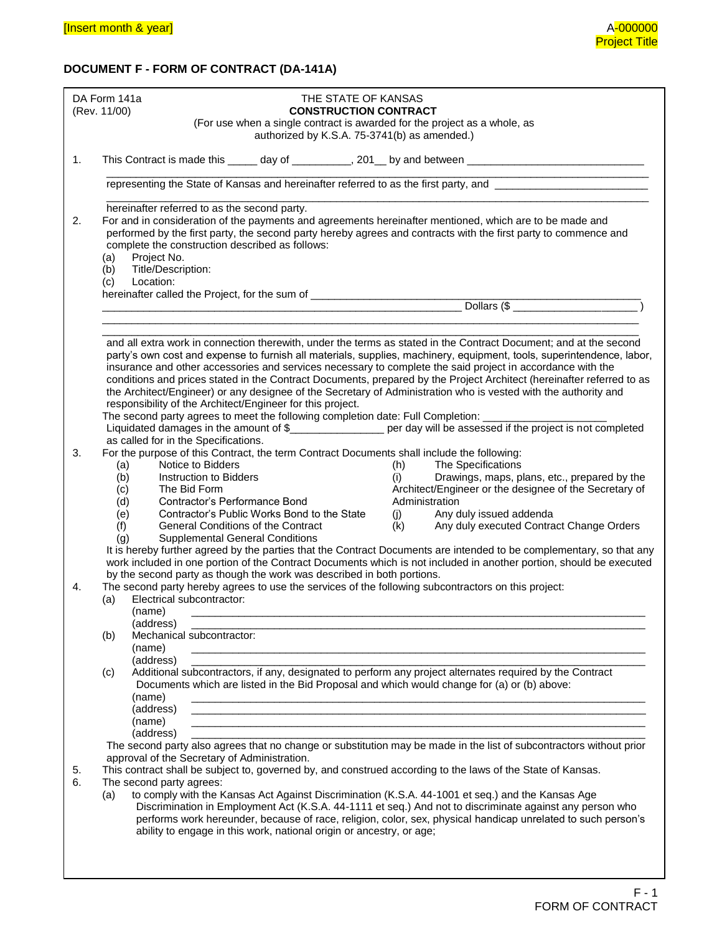# **DOCUMENT F - FORM OF CONTRACT (DA-141A)**

|          | DA Form 141a<br>THE STATE OF KANSAS<br>(Rev. 11/00)<br><b>CONSTRUCTION CONTRACT</b><br>(For use when a single contract is awarded for the project as a whole, as                                                                                                                                                                                                                                                                                                                                                                                                                                                                                                                                                                                                                                                                                                                                                                                                                              |
|----------|-----------------------------------------------------------------------------------------------------------------------------------------------------------------------------------------------------------------------------------------------------------------------------------------------------------------------------------------------------------------------------------------------------------------------------------------------------------------------------------------------------------------------------------------------------------------------------------------------------------------------------------------------------------------------------------------------------------------------------------------------------------------------------------------------------------------------------------------------------------------------------------------------------------------------------------------------------------------------------------------------|
|          | authorized by K.S.A. 75-3741(b) as amended.)                                                                                                                                                                                                                                                                                                                                                                                                                                                                                                                                                                                                                                                                                                                                                                                                                                                                                                                                                  |
| 1.       | This Contract is made this ______ day of ____________, 201___ by and between _______________________                                                                                                                                                                                                                                                                                                                                                                                                                                                                                                                                                                                                                                                                                                                                                                                                                                                                                          |
|          | representing the State of Kansas and hereinafter referred to as the first party, and <b>construct to a</b>                                                                                                                                                                                                                                                                                                                                                                                                                                                                                                                                                                                                                                                                                                                                                                                                                                                                                    |
| 2.       | hereinafter referred to as the second party.<br>For and in consideration of the payments and agreements hereinafter mentioned, which are to be made and<br>performed by the first party, the second party hereby agrees and contracts with the first party to commence and<br>complete the construction described as follows:<br>Project No.<br>(a)<br>Title/Description:<br>(b)<br>Location:                                                                                                                                                                                                                                                                                                                                                                                                                                                                                                                                                                                                 |
|          |                                                                                                                                                                                                                                                                                                                                                                                                                                                                                                                                                                                                                                                                                                                                                                                                                                                                                                                                                                                               |
|          | and all extra work in connection therewith, under the terms as stated in the Contract Document; and at the second<br>party's own cost and expense to furnish all materials, supplies, machinery, equipment, tools, superintendence, labor,<br>insurance and other accessories and services necessary to complete the said project in accordance with the<br>conditions and prices stated in the Contract Documents, prepared by the Project Architect (hereinafter referred to as<br>the Architect/Engineer) or any designee of the Secretary of Administration who is vested with the authority and<br>responsibility of the Architect/Engineer for this project.<br>The second party agrees to meet the following completion date: Full Completion: ________<br>Liquidated damages in the amount of \$___________________ per day will be assessed if the project is not completed<br>as called for in the Specifications.                                                                  |
| 3.       | For the purpose of this Contract, the term Contract Documents shall include the following:                                                                                                                                                                                                                                                                                                                                                                                                                                                                                                                                                                                                                                                                                                                                                                                                                                                                                                    |
|          | Notice to Bidders<br>The Specifications<br>(h)<br>(a)<br>(b)<br>Drawings, maps, plans, etc., prepared by the<br>Instruction to Bidders<br>(i)<br>The Bid Form<br>Architect/Engineer or the designee of the Secretary of<br>(c)<br>Administration<br>Contractor's Performance Bond<br>(d)<br>Contractor's Public Works Bond to the State<br>(e)<br>(j)<br>Any duly issued addenda<br>Any duly executed Contract Change Orders<br>(f)<br><b>General Conditions of the Contract</b><br>(k)<br><b>Supplemental General Conditions</b><br>(g)<br>It is hereby further agreed by the parties that the Contract Documents are intended to be complementary, so that any<br>work included in one portion of the Contract Documents which is not included in another portion, should be executed<br>by the second party as though the work was described in both portions.                                                                                                                             |
| 4.       | The second party hereby agrees to use the services of the following subcontractors on this project:<br>Electrical subcontractor:<br>(a)<br>(name)                                                                                                                                                                                                                                                                                                                                                                                                                                                                                                                                                                                                                                                                                                                                                                                                                                             |
|          | (address)<br>Mechanical subcontractor:<br>(b)<br>(name)<br>(address)                                                                                                                                                                                                                                                                                                                                                                                                                                                                                                                                                                                                                                                                                                                                                                                                                                                                                                                          |
| 5.<br>6. | Additional subcontractors, if any, designated to perform any project alternates required by the Contract<br>(c)<br>Documents which are listed in the Bid Proposal and which would change for (a) or (b) above:<br>(name)<br>(address)<br>(name)<br>(address)<br>The second party also agrees that no change or substitution may be made in the list of subcontractors without prior<br>approval of the Secretary of Administration.<br>This contract shall be subject to, governed by, and construed according to the laws of the State of Kansas.<br>The second party agrees:<br>to comply with the Kansas Act Against Discrimination (K.S.A. 44-1001 et seq.) and the Kansas Age<br>(a)<br>Discrimination in Employment Act (K.S.A. 44-1111 et seq.) And not to discriminate against any person who<br>performs work hereunder, because of race, religion, color, sex, physical handicap unrelated to such person's<br>ability to engage in this work, national origin or ancestry, or age; |
|          |                                                                                                                                                                                                                                                                                                                                                                                                                                                                                                                                                                                                                                                                                                                                                                                                                                                                                                                                                                                               |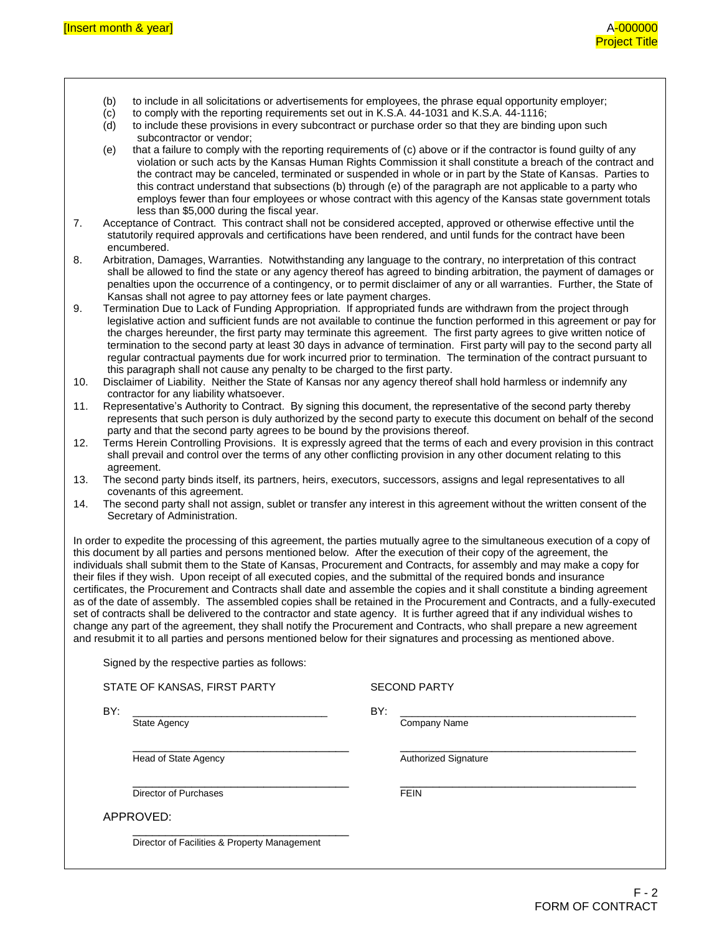- (b) to include in all solicitations or advertisements for employees, the phrase equal opportunity employer;
- (c) to comply with the reporting requirements set out in K.S.A. 44-1031 and K.S.A. 44-1116;
- (d) to include these provisions in every subcontract or purchase order so that they are binding upon such subcontractor or vendor;
- (e) that a failure to comply with the reporting requirements of (c) above or if the contractor is found guilty of any violation or such acts by the Kansas Human Rights Commission it shall constitute a breach of the contract and the contract may be canceled, terminated or suspended in whole or in part by the State of Kansas. Parties to this contract understand that subsections (b) through (e) of the paragraph are not applicable to a party who employs fewer than four employees or whose contract with this agency of the Kansas state government totals less than \$5,000 during the fiscal year.
- 7. Acceptance of Contract. This contract shall not be considered accepted, approved or otherwise effective until the statutorily required approvals and certifications have been rendered, and until funds for the contract have been encumbered.
- 8. Arbitration, Damages, Warranties. Notwithstanding any language to the contrary, no interpretation of this contract shall be allowed to find the state or any agency thereof has agreed to binding arbitration, the payment of damages or penalties upon the occurrence of a contingency, or to permit disclaimer of any or all warranties. Further, the State of Kansas shall not agree to pay attorney fees or late payment charges.
- 9. Termination Due to Lack of Funding Appropriation. If appropriated funds are withdrawn from the project through legislative action and sufficient funds are not available to continue the function performed in this agreement or pay for the charges hereunder, the first party may terminate this agreement. The first party agrees to give written notice of termination to the second party at least 30 days in advance of termination. First party will pay to the second party all regular contractual payments due for work incurred prior to termination. The termination of the contract pursuant to this paragraph shall not cause any penalty to be charged to the first party.
- 10. Disclaimer of Liability. Neither the State of Kansas nor any agency thereof shall hold harmless or indemnify any contractor for any liability whatsoever.
- 11. Representative's Authority to Contract. By signing this document, the representative of the second party thereby represents that such person is duly authorized by the second party to execute this document on behalf of the second party and that the second party agrees to be bound by the provisions thereof.
- 12. Terms Herein Controlling Provisions. It is expressly agreed that the terms of each and every provision in this contract shall prevail and control over the terms of any other conflicting provision in any other document relating to this agreement.
- 13. The second party binds itself, its partners, heirs, executors, successors, assigns and legal representatives to all covenants of this agreement.
- 14. The second party shall not assign, sublet or transfer any interest in this agreement without the written consent of the Secretary of Administration.

In order to expedite the processing of this agreement, the parties mutually agree to the simultaneous execution of a copy of this document by all parties and persons mentioned below. After the execution of their copy of the agreement, the individuals shall submit them to the State of Kansas, Procurement and Contracts, for assembly and may make a copy for their files if they wish. Upon receipt of all executed copies, and the submittal of the required bonds and insurance certificates, the Procurement and Contracts shall date and assemble the copies and it shall constitute a binding agreement as of the date of assembly. The assembled copies shall be retained in the Procurement and Contracts, and a fully-executed set of contracts shall be delivered to the contractor and state agency. It is further agreed that if any individual wishes to change any part of the agreement, they shall notify the Procurement and Contracts, who shall prepare a new agreement and resubmit it to all parties and persons mentioned below for their signatures and processing as mentioned above.

Signed by the respective parties as follows:

| Company Name                |
|-----------------------------|
|                             |
|                             |
| <b>Authorized Signature</b> |
| <b>FEIN</b>                 |
|                             |
|                             |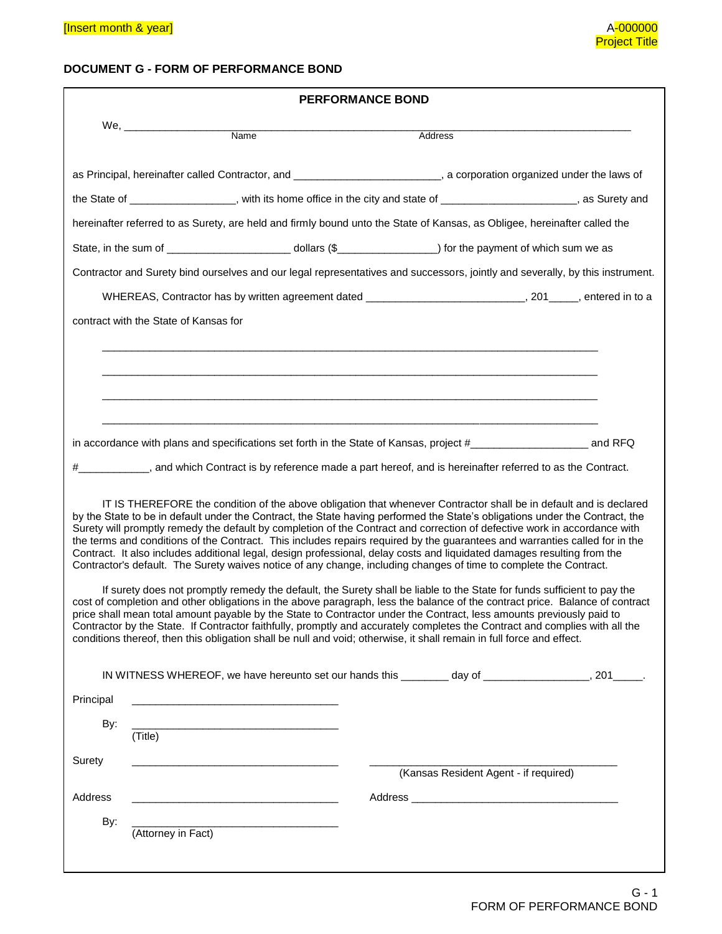# **DOCUMENT G - FORM OF PERFORMANCE BOND**

| <b>PERFORMANCE BOND</b>                                                               |                                                                                                                       |                                                                                                                                                                                                                                                                                                                                                                                                                                                                                                                                                                                                                                                                                                                                                                                                                                                                                                                                                                                                                                                                                                                                                                                                                                                                                                                                                                                                           |  |  |
|---------------------------------------------------------------------------------------|-----------------------------------------------------------------------------------------------------------------------|-----------------------------------------------------------------------------------------------------------------------------------------------------------------------------------------------------------------------------------------------------------------------------------------------------------------------------------------------------------------------------------------------------------------------------------------------------------------------------------------------------------------------------------------------------------------------------------------------------------------------------------------------------------------------------------------------------------------------------------------------------------------------------------------------------------------------------------------------------------------------------------------------------------------------------------------------------------------------------------------------------------------------------------------------------------------------------------------------------------------------------------------------------------------------------------------------------------------------------------------------------------------------------------------------------------------------------------------------------------------------------------------------------------|--|--|
| We, $\frac{1}{2}$                                                                     | $\overline{\mathsf{Name}}$                                                                                            | Address                                                                                                                                                                                                                                                                                                                                                                                                                                                                                                                                                                                                                                                                                                                                                                                                                                                                                                                                                                                                                                                                                                                                                                                                                                                                                                                                                                                                   |  |  |
|                                                                                       |                                                                                                                       |                                                                                                                                                                                                                                                                                                                                                                                                                                                                                                                                                                                                                                                                                                                                                                                                                                                                                                                                                                                                                                                                                                                                                                                                                                                                                                                                                                                                           |  |  |
|                                                                                       |                                                                                                                       | as Principal, hereinafter called Contractor, and _________________________, a corporation organized under the laws of                                                                                                                                                                                                                                                                                                                                                                                                                                                                                                                                                                                                                                                                                                                                                                                                                                                                                                                                                                                                                                                                                                                                                                                                                                                                                     |  |  |
|                                                                                       |                                                                                                                       | the State of _________________, with its home office in the city and state of _____________________, as Surety and                                                                                                                                                                                                                                                                                                                                                                                                                                                                                                                                                                                                                                                                                                                                                                                                                                                                                                                                                                                                                                                                                                                                                                                                                                                                                        |  |  |
|                                                                                       |                                                                                                                       | hereinafter referred to as Surety, are held and firmly bound unto the State of Kansas, as Obligee, hereinafter called the                                                                                                                                                                                                                                                                                                                                                                                                                                                                                                                                                                                                                                                                                                                                                                                                                                                                                                                                                                                                                                                                                                                                                                                                                                                                                 |  |  |
|                                                                                       |                                                                                                                       | State, in the sum of _______________________________ dollars (\$_____________________) for the payment of which sum we as                                                                                                                                                                                                                                                                                                                                                                                                                                                                                                                                                                                                                                                                                                                                                                                                                                                                                                                                                                                                                                                                                                                                                                                                                                                                                 |  |  |
|                                                                                       |                                                                                                                       | Contractor and Surety bind ourselves and our legal representatives and successors, jointly and severally, by this instrument.                                                                                                                                                                                                                                                                                                                                                                                                                                                                                                                                                                                                                                                                                                                                                                                                                                                                                                                                                                                                                                                                                                                                                                                                                                                                             |  |  |
|                                                                                       |                                                                                                                       | WHEREAS, Contractor has by written agreement dated ____________________________, 201_____, entered in to a                                                                                                                                                                                                                                                                                                                                                                                                                                                                                                                                                                                                                                                                                                                                                                                                                                                                                                                                                                                                                                                                                                                                                                                                                                                                                                |  |  |
| contract with the State of Kansas for                                                 |                                                                                                                       |                                                                                                                                                                                                                                                                                                                                                                                                                                                                                                                                                                                                                                                                                                                                                                                                                                                                                                                                                                                                                                                                                                                                                                                                                                                                                                                                                                                                           |  |  |
|                                                                                       |                                                                                                                       |                                                                                                                                                                                                                                                                                                                                                                                                                                                                                                                                                                                                                                                                                                                                                                                                                                                                                                                                                                                                                                                                                                                                                                                                                                                                                                                                                                                                           |  |  |
|                                                                                       |                                                                                                                       |                                                                                                                                                                                                                                                                                                                                                                                                                                                                                                                                                                                                                                                                                                                                                                                                                                                                                                                                                                                                                                                                                                                                                                                                                                                                                                                                                                                                           |  |  |
|                                                                                       |                                                                                                                       |                                                                                                                                                                                                                                                                                                                                                                                                                                                                                                                                                                                                                                                                                                                                                                                                                                                                                                                                                                                                                                                                                                                                                                                                                                                                                                                                                                                                           |  |  |
|                                                                                       |                                                                                                                       |                                                                                                                                                                                                                                                                                                                                                                                                                                                                                                                                                                                                                                                                                                                                                                                                                                                                                                                                                                                                                                                                                                                                                                                                                                                                                                                                                                                                           |  |  |
|                                                                                       |                                                                                                                       |                                                                                                                                                                                                                                                                                                                                                                                                                                                                                                                                                                                                                                                                                                                                                                                                                                                                                                                                                                                                                                                                                                                                                                                                                                                                                                                                                                                                           |  |  |
|                                                                                       |                                                                                                                       | #_____________, and which Contract is by reference made a part hereof, and is hereinafter referred to as the Contract.                                                                                                                                                                                                                                                                                                                                                                                                                                                                                                                                                                                                                                                                                                                                                                                                                                                                                                                                                                                                                                                                                                                                                                                                                                                                                    |  |  |
|                                                                                       |                                                                                                                       | IT IS THEREFORE the condition of the above obligation that whenever Contractor shall be in default and is declared<br>by the State to be in default under the Contract, the State having performed the State's obligations under the Contract, the<br>Surety will promptly remedy the default by completion of the Contract and correction of defective work in accordance with<br>the terms and conditions of the Contract. This includes repairs required by the guarantees and warranties called for in the<br>Contract. It also includes additional legal, design professional, delay costs and liquidated damages resulting from the<br>Contractor's default. The Surety waives notice of any change, including changes of time to complete the Contract.<br>If surety does not promptly remedy the default, the Surety shall be liable to the State for funds sufficient to pay the<br>cost of completion and other obligations in the above paragraph, less the balance of the contract price. Balance of contract<br>price shall mean total amount payable by the State to Contractor under the Contract, less amounts previously paid to<br>Contractor by the State. If Contractor faithfully, promptly and accurately completes the Contract and complies with all the<br>conditions thereof, then this obligation shall be null and void; otherwise, it shall remain in full force and effect. |  |  |
| Principal                                                                             |                                                                                                                       |                                                                                                                                                                                                                                                                                                                                                                                                                                                                                                                                                                                                                                                                                                                                                                                                                                                                                                                                                                                                                                                                                                                                                                                                                                                                                                                                                                                                           |  |  |
| By:                                                                                   |                                                                                                                       |                                                                                                                                                                                                                                                                                                                                                                                                                                                                                                                                                                                                                                                                                                                                                                                                                                                                                                                                                                                                                                                                                                                                                                                                                                                                                                                                                                                                           |  |  |
| (Title)                                                                               |                                                                                                                       |                                                                                                                                                                                                                                                                                                                                                                                                                                                                                                                                                                                                                                                                                                                                                                                                                                                                                                                                                                                                                                                                                                                                                                                                                                                                                                                                                                                                           |  |  |
| Surety                                                                                | <u> 1989 - Johann Barn, mars ann an t-Amhain an t-Amhain an t-Amhain an t-Amhain an t-Amhain an t-Amhain an t-Amh</u> | (Kansas Resident Agent - if required)                                                                                                                                                                                                                                                                                                                                                                                                                                                                                                                                                                                                                                                                                                                                                                                                                                                                                                                                                                                                                                                                                                                                                                                                                                                                                                                                                                     |  |  |
|                                                                                       |                                                                                                                       |                                                                                                                                                                                                                                                                                                                                                                                                                                                                                                                                                                                                                                                                                                                                                                                                                                                                                                                                                                                                                                                                                                                                                                                                                                                                                                                                                                                                           |  |  |
| Address<br>the control of the control of the control of the control of the control of |                                                                                                                       |                                                                                                                                                                                                                                                                                                                                                                                                                                                                                                                                                                                                                                                                                                                                                                                                                                                                                                                                                                                                                                                                                                                                                                                                                                                                                                                                                                                                           |  |  |
| By:<br>(Attorney in Fact)                                                             | <u> 1989 - Johann Stein, mars an deus an deus Amerikaansk kommunister (</u>                                           |                                                                                                                                                                                                                                                                                                                                                                                                                                                                                                                                                                                                                                                                                                                                                                                                                                                                                                                                                                                                                                                                                                                                                                                                                                                                                                                                                                                                           |  |  |
|                                                                                       |                                                                                                                       |                                                                                                                                                                                                                                                                                                                                                                                                                                                                                                                                                                                                                                                                                                                                                                                                                                                                                                                                                                                                                                                                                                                                                                                                                                                                                                                                                                                                           |  |  |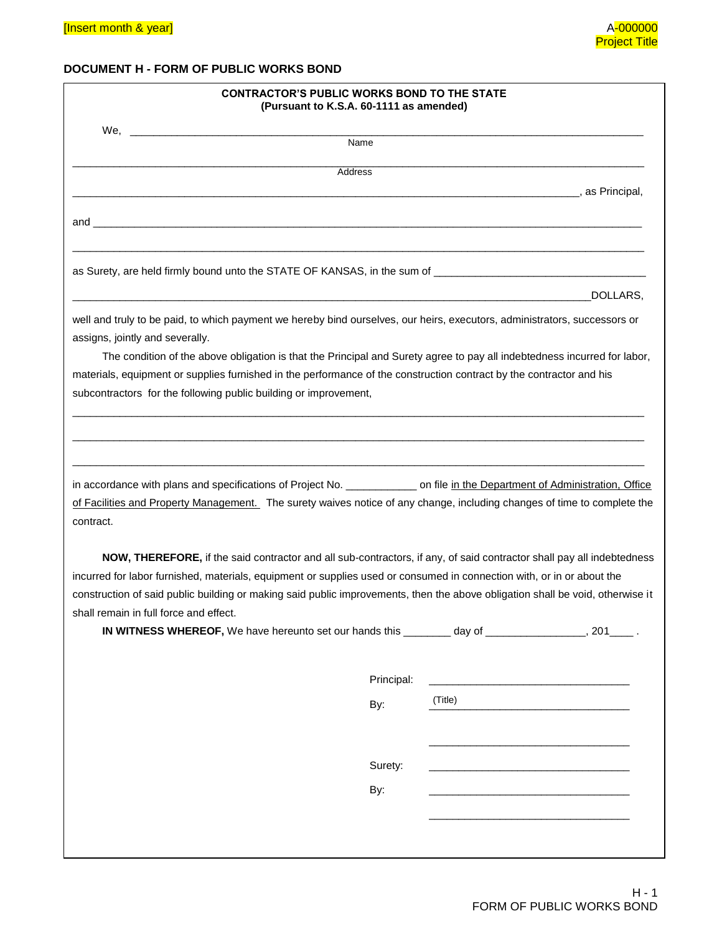# **DOCUMENT H - FORM OF PUBLIC WORKS BOND**

|                                                                                                                                                                                                                                                                       | <b>CONTRACTOR'S PUBLIC WORKS BOND TO THE STATE</b><br>(Pursuant to K.S.A. 60-1111 as amended)                            |         |          |
|-----------------------------------------------------------------------------------------------------------------------------------------------------------------------------------------------------------------------------------------------------------------------|--------------------------------------------------------------------------------------------------------------------------|---------|----------|
|                                                                                                                                                                                                                                                                       | Name                                                                                                                     |         |          |
|                                                                                                                                                                                                                                                                       | Address                                                                                                                  |         |          |
|                                                                                                                                                                                                                                                                       |                                                                                                                          |         |          |
|                                                                                                                                                                                                                                                                       |                                                                                                                          |         |          |
|                                                                                                                                                                                                                                                                       |                                                                                                                          |         |          |
|                                                                                                                                                                                                                                                                       |                                                                                                                          |         | DOLLARS, |
| well and truly to be paid, to which payment we hereby bind ourselves, our heirs, executors, administrators, successors or<br>assigns, jointly and severally.                                                                                                          |                                                                                                                          |         |          |
|                                                                                                                                                                                                                                                                       | The condition of the above obligation is that the Principal and Surety agree to pay all indebtedness incurred for labor, |         |          |
| materials, equipment or supplies furnished in the performance of the construction contract by the contractor and his                                                                                                                                                  |                                                                                                                          |         |          |
| subcontractors for the following public building or improvement,                                                                                                                                                                                                      |                                                                                                                          |         |          |
| in accordance with plans and specifications of Project No. _____________ on file in the Department of Administration, Office<br>of Facilities and Property Management. The surety waives notice of any change, including changes of time to complete the<br>contract. |                                                                                                                          |         |          |
|                                                                                                                                                                                                                                                                       | NOW, THEREFORE, if the said contractor and all sub-contractors, if any, of said contractor shall pay all indebtedness    |         |          |
| incurred for labor furnished, materials, equipment or supplies used or consumed in connection with, or in or about the                                                                                                                                                |                                                                                                                          |         |          |
| construction of said public building or making said public improvements, then the above obligation shall be void, otherwise it<br>shall remain in full force and effect.                                                                                              |                                                                                                                          |         |          |
|                                                                                                                                                                                                                                                                       | IN WITNESS WHEREOF, We have hereunto set our hands this ________ day of __________________, 201_____.                    |         |          |
|                                                                                                                                                                                                                                                                       |                                                                                                                          |         |          |
|                                                                                                                                                                                                                                                                       | Principal:                                                                                                               |         |          |
|                                                                                                                                                                                                                                                                       | By:                                                                                                                      | (Title) |          |
|                                                                                                                                                                                                                                                                       |                                                                                                                          |         |          |
|                                                                                                                                                                                                                                                                       | Surety:                                                                                                                  |         |          |
|                                                                                                                                                                                                                                                                       | By:                                                                                                                      |         |          |
|                                                                                                                                                                                                                                                                       |                                                                                                                          |         |          |
|                                                                                                                                                                                                                                                                       |                                                                                                                          |         |          |
|                                                                                                                                                                                                                                                                       |                                                                                                                          |         |          |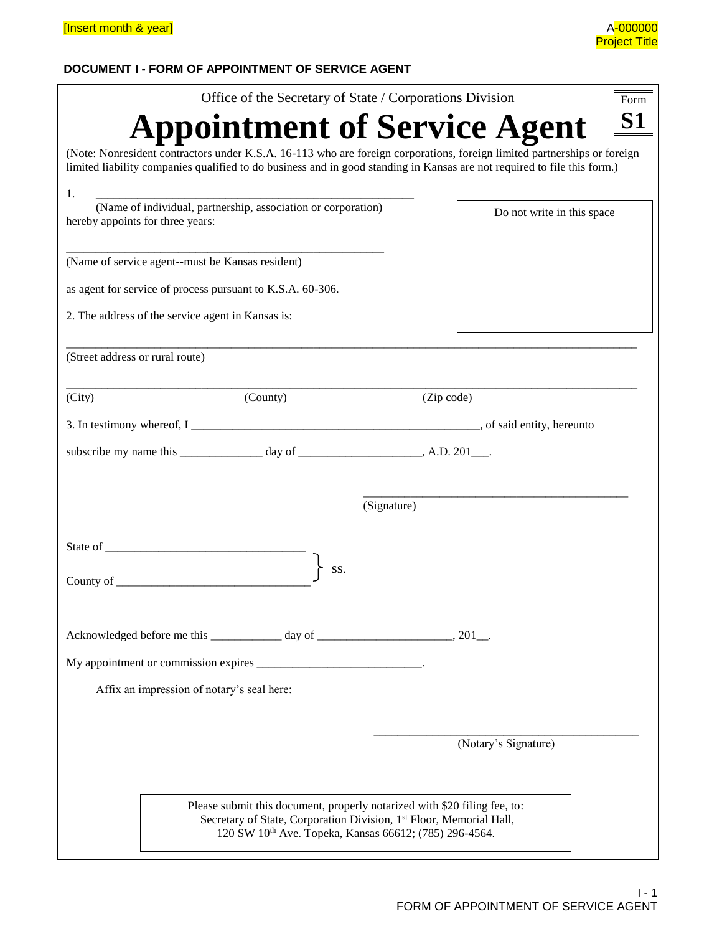# **DOCUMENT I - FORM OF APPOINTMENT OF SERVICE AGENT**

| Office of the Secretary of State / Corporations Division                                                                                                                                                                                             | Form                       |
|------------------------------------------------------------------------------------------------------------------------------------------------------------------------------------------------------------------------------------------------------|----------------------------|
| <b>Appointment of Service Agent</b>                                                                                                                                                                                                                  | <b>S1</b>                  |
| (Note: Nonresident contractors under K.S.A. 16-113 who are foreign corporations, foreign limited partnerships or foreign<br>limited liability companies qualified to do business and in good standing in Kansas are not required to file this form.) |                            |
| 1.<br>(Name of individual, partnership, association or corporation)<br>hereby appoints for three years:                                                                                                                                              | Do not write in this space |
| (Name of service agent--must be Kansas resident)                                                                                                                                                                                                     |                            |
| as agent for service of process pursuant to K.S.A. 60-306.                                                                                                                                                                                           |                            |
| 2. The address of the service agent in Kansas is:                                                                                                                                                                                                    |                            |
| (Street address or rural route)                                                                                                                                                                                                                      |                            |
| (City)<br>(County)                                                                                                                                                                                                                                   | (Zip code)                 |
|                                                                                                                                                                                                                                                      |                            |
| subscribe my name this $\frac{1}{2}$ day of $\frac{1}{2}$ day of $\frac{1}{2}$ , A.D. 201 $\frac{1}{2}$ .                                                                                                                                            |                            |
|                                                                                                                                                                                                                                                      |                            |
|                                                                                                                                                                                                                                                      | (Signature)                |
| SS.<br>County of the country of the country of the country of the country of the country of the country of the country of the country of the country of the country of the country of the country of the country of the country of th                |                            |
| Acknowledged before me this $\frac{1}{2}$ day of $\frac{1}{2}$ day of $\frac{1}{2}$ , 201.                                                                                                                                                           |                            |
|                                                                                                                                                                                                                                                      |                            |
| Affix an impression of notary's seal here:                                                                                                                                                                                                           |                            |
|                                                                                                                                                                                                                                                      |                            |
|                                                                                                                                                                                                                                                      | (Notary's Signature)       |
|                                                                                                                                                                                                                                                      |                            |
| Please submit this document, properly notarized with \$20 filing fee, to:<br>Secretary of State, Corporation Division, 1st Floor, Memorial Hall,<br>120 SW 10 <sup>th</sup> Ave. Topeka, Kansas 66612; (785) 296-4564.                               |                            |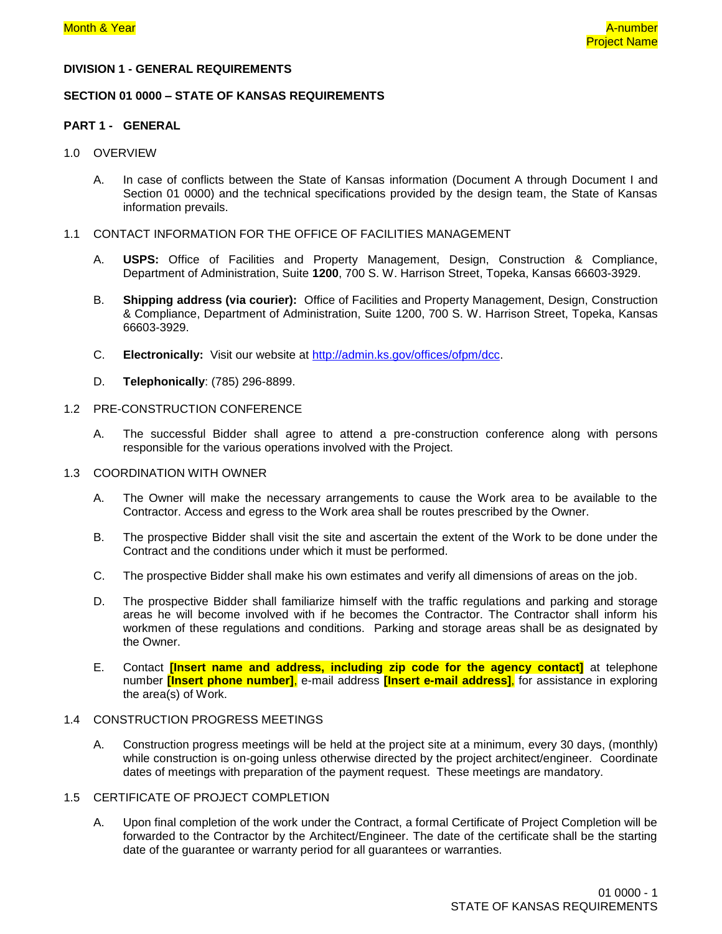#### **DIVISION 1 - GENERAL REQUIREMENTS**

#### **SECTION 01 0000 – STATE OF KANSAS REQUIREMENTS**

#### **PART 1 - GENERAL**

#### 1.0 OVERVIEW

- A. In case of conflicts between the State of Kansas information (Document A through Document I and Section 01 0000) and the technical specifications provided by the design team, the State of Kansas information prevails.
- 1.1 CONTACT INFORMATION FOR THE OFFICE OF FACILITIES MANAGEMENT
	- A. **USPS:** Office of Facilities and Property Management, Design, Construction & Compliance, Department of Administration, Suite **1200**, 700 S. W. Harrison Street, Topeka, Kansas 66603-3929.
	- B. **Shipping address (via courier):** Office of Facilities and Property Management, Design, Construction & Compliance, Department of Administration, Suite 1200, 700 S. W. Harrison Street, Topeka, Kansas 66603-3929.
	- C. **Electronically:** Visit our website at [http://admin.ks.gov/offices/ofpm/dcc.](http://admin.ks.gov/offices/ofpm/dcc)
	- D. **Telephonically**: (785) 296-8899.

### 1.2 PRE-CONSTRUCTION CONFERENCE

A. The successful Bidder shall agree to attend a pre-construction conference along with persons responsible for the various operations involved with the Project.

#### 1.3 COORDINATION WITH OWNER

- A. The Owner will make the necessary arrangements to cause the Work area to be available to the Contractor. Access and egress to the Work area shall be routes prescribed by the Owner.
- B. The prospective Bidder shall visit the site and ascertain the extent of the Work to be done under the Contract and the conditions under which it must be performed.
- C. The prospective Bidder shall make his own estimates and verify all dimensions of areas on the job.
- D. The prospective Bidder shall familiarize himself with the traffic regulations and parking and storage areas he will become involved with if he becomes the Contractor. The Contractor shall inform his workmen of these regulations and conditions. Parking and storage areas shall be as designated by the Owner.
- E. Contact **[Insert name and address, including zip code for the agency contact]** at telephone number **[Insert phone number]**, e-mail address **[Insert e-mail address]**, for assistance in exploring the area(s) of Work.

#### 1.4 CONSTRUCTION PROGRESS MEETINGS

A. Construction progress meetings will be held at the project site at a minimum, every 30 days, (monthly) while construction is on-going unless otherwise directed by the project architect/engineer.Coordinate dates of meetings with preparation of the payment request. These meetings are mandatory.

#### 1.5 CERTIFICATE OF PROJECT COMPLETION

A. Upon final completion of the work under the Contract, a formal Certificate of Project Completion will be forwarded to the Contractor by the Architect/Engineer. The date of the certificate shall be the starting date of the guarantee or warranty period for all guarantees or warranties.